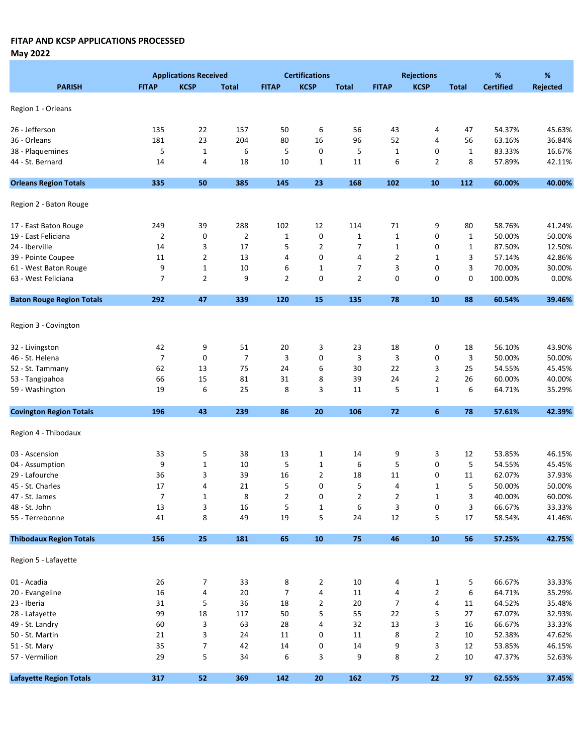May 2022

|                                  |                | <b>Applications Received</b> |                |                | <b>Certifications</b> |                |                | <b>Rejections</b> |              | $\%$             | %               |
|----------------------------------|----------------|------------------------------|----------------|----------------|-----------------------|----------------|----------------|-------------------|--------------|------------------|-----------------|
| <b>PARISH</b>                    | <b>FITAP</b>   | <b>KCSP</b>                  | <b>Total</b>   | <b>FITAP</b>   | <b>KCSP</b>           | <b>Total</b>   | <b>FITAP</b>   | <b>KCSP</b>       | <b>Total</b> | <b>Certified</b> | <b>Rejected</b> |
|                                  |                |                              |                |                |                       |                |                |                   |              |                  |                 |
| Region 1 - Orleans               |                |                              |                |                |                       |                |                |                   |              |                  |                 |
| 26 - Jefferson                   | 135            | 22                           | 157            | 50             | 6                     | 56             | 43             |                   |              | 54.37%           | 45.63%          |
| 36 - Orleans                     | 181            | 23                           | 204            | 80             | 16                    | 96             | 52             | 4<br>4            | 47<br>56     | 63.16%           | 36.84%          |
| 38 - Plaquemines                 | 5              | $\mathbf{1}$                 | 6              | 5              | 0                     | 5              | $\mathbf 1$    | 0                 | $\mathbf{1}$ | 83.33%           | 16.67%          |
| 44 - St. Bernard                 | 14             | 4                            | 18             | 10             | $\mathbf 1$           | 11             | 6              | 2                 | 8            | 57.89%           | 42.11%          |
|                                  |                |                              |                |                |                       |                |                |                   |              |                  |                 |
| <b>Orleans Region Totals</b>     | 335            | 50                           | 385            | 145            | 23                    | 168            | 102            | 10                | 112          | 60.00%           | 40.00%          |
| Region 2 - Baton Rouge           |                |                              |                |                |                       |                |                |                   |              |                  |                 |
| 17 - East Baton Rouge            | 249            | 39                           | 288            | 102            | 12                    | 114            | 71             | 9                 | 80           | 58.76%           | 41.24%          |
| 19 - East Feliciana              | $\overline{2}$ | 0                            | $\overline{2}$ | $\mathbf 1$    | 0                     | $\mathbf{1}$   | $\mathbf 1$    | 0                 | $\mathbf 1$  | 50.00%           | 50.00%          |
| 24 - Iberville                   | 14             | 3                            | 17             | 5              | $\overline{2}$        | 7              | $\mathbf 1$    | 0                 | 1            | 87.50%           | 12.50%          |
| 39 - Pointe Coupee               | 11             | $\overline{2}$               | 13             | 4              | 0                     | 4              | 2              | 1                 | 3            | 57.14%           | 42.86%          |
| 61 - West Baton Rouge            | 9              | $\mathbf{1}$                 | 10             | 6              | $\mathbf 1$           | 7              | 3              | 0                 | 3            | 70.00%           | 30.00%          |
| 63 - West Feliciana              | 7              | $\overline{2}$               | 9              | $\overline{2}$ | 0                     | $\overline{2}$ | 0              | 0                 | 0            | 100.00%          | 0.00%           |
| <b>Baton Rouge Region Totals</b> | 292            | 47                           | 339            | 120            | 15                    | 135            | 78             | 10                | 88           | 60.54%           | 39.46%          |
|                                  |                |                              |                |                |                       |                |                |                   |              |                  |                 |
| Region 3 - Covington             |                |                              |                |                |                       |                |                |                   |              |                  |                 |
| 32 - Livingston                  | 42             | 9                            | 51             | 20             | 3                     | 23             | 18             | 0                 | 18           | 56.10%           | 43.90%          |
| 46 - St. Helena                  | $\overline{7}$ | 0                            | $\overline{7}$ | 3              | 0                     | 3              | 3              | 0                 | 3            | 50.00%           | 50.00%          |
| 52 - St. Tammany                 | 62             | 13                           | 75             | 24             | 6                     | 30             | 22             | 3                 | 25           | 54.55%           | 45.45%          |
| 53 - Tangipahoa                  | 66             | 15                           | 81             | 31             | 8                     | 39             | 24             | 2                 | 26           | 60.00%           | 40.00%          |
| 59 - Washington                  | 19             | 6                            | 25             | 8              | 3                     | 11             | 5              | $\mathbf 1$       | 6            | 64.71%           | 35.29%          |
| <b>Covington Region Totals</b>   | 196            | 43                           | 239            | 86             | 20                    | 106            | 72             | 6                 | 78           | 57.61%           | 42.39%          |
|                                  |                |                              |                |                |                       |                |                |                   |              |                  |                 |
| Region 4 - Thibodaux             |                |                              |                |                |                       |                |                |                   |              |                  |                 |
| 03 - Ascension                   | 33             | 5                            | 38             | 13             | $\mathbf{1}$          | 14             | 9              | 3                 | 12           | 53.85%           | 46.15%          |
| 04 - Assumption                  | 9              | $1\,$                        | 10             | 5              | $\mathbf{1}$          | 6              | 5              | 0                 | 5            | 54.55%           | 45.45%          |
| 29 - Lafourche                   | 36             | 3                            | 39             | 16             | $\overline{2}$        | 18             | 11             | 0                 | 11           | 62.07%           | 37.93%          |
| 45 - St. Charles                 | 17             | 4                            | 21             | 5              | 0                     | 5              | 4              | 1                 | 5            | 50.00%           | 50.00%          |
| 47 - St. James                   | 7              | 1                            | 8              | 2              | 0                     | 2              | 2              | 1                 | 3            | 40.00%           | 60.00%          |
| 48 - St. John                    | $13\,$         | 3                            | 16             | 5              | $\mathbf 1$           | 6              | 3              | 0                 | 3            | 66.67%           | 33.33%          |
| 55 - Terrebonne                  | $41\,$         | 8                            | 49             | 19             | 5                     | 24             | 12             | 5                 | 17           | 58.54%           | 41.46%          |
| <b>Thibodaux Region Totals</b>   | 156            | 25                           | 181            | 65             | 10                    | 75             | 46             | 10                | 56           | 57.25%           | 42.75%          |
| Region 5 - Lafayette             |                |                              |                |                |                       |                |                |                   |              |                  |                 |
|                                  |                |                              |                |                |                       |                |                |                   |              |                  |                 |
| 01 - Acadia                      | 26             | 7                            | 33             | 8              | $\overline{2}$        | 10             | 4              | $\mathbf{1}$      | 5            | 66.67%           | 33.33%          |
| 20 - Evangeline                  | 16             | 4                            | $20\,$         | $\overline{7}$ | 4                     | 11             | 4              | $\mathbf 2$       | 6            | 64.71%           | 35.29%          |
| 23 - Iberia                      | 31             | 5                            | 36             | 18             | $\overline{2}$        | $20\,$         | $\overline{7}$ | 4                 | 11           | 64.52%           | 35.48%          |
| 28 - Lafayette                   | 99             | 18                           | 117            | 50             | 5                     | 55             | 22             | 5                 | 27           | 67.07%           | 32.93%          |
| 49 - St. Landry                  | 60             | 3                            | 63             | 28             | $\overline{4}$        | 32             | 13             | 3                 | 16           | 66.67%           | 33.33%          |
| 50 - St. Martin                  | 21             | 3                            | 24             | 11             | 0                     | 11             | 8              | $\overline{2}$    | 10           | 52.38%           | 47.62%          |
| 51 - St. Mary                    | 35             | 7                            | 42             | 14             | 0                     | 14             | 9              | 3                 | 12           | 53.85%           | 46.15%          |
| 57 - Vermilion                   | 29             | 5                            | 34             | 6              | 3                     | 9              | 8              | $\overline{2}$    | 10           | 47.37%           | 52.63%          |
| <b>Lafayette Region Totals</b>   | 317            | 52                           | 369            | 142            | 20                    | 162            | 75             | 22                | 97           | 62.55%           | 37.45%          |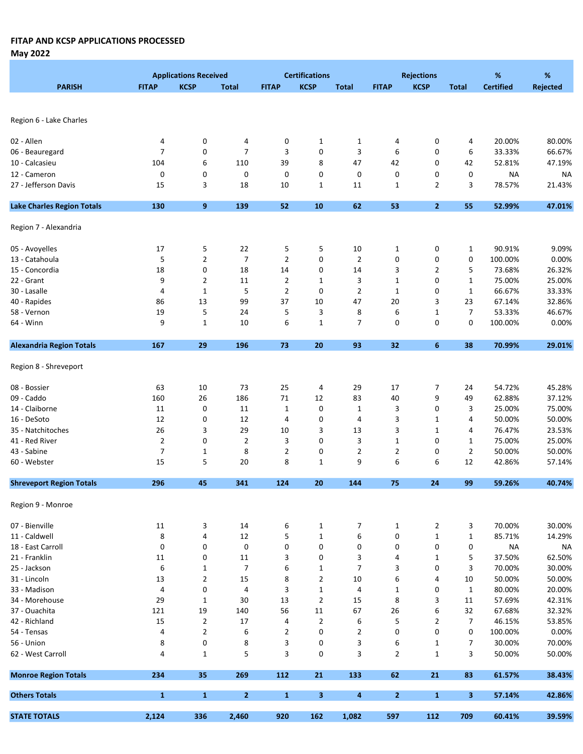May 2022

|                                   |                | <b>Applications Received</b> |                     |                | <b>Certifications</b>   |                |                | <b>Rejections</b> |                | %                | %                |
|-----------------------------------|----------------|------------------------------|---------------------|----------------|-------------------------|----------------|----------------|-------------------|----------------|------------------|------------------|
| <b>PARISH</b>                     | <b>FITAP</b>   | <b>KCSP</b>                  | <b>Total</b>        | <b>FITAP</b>   | <b>KCSP</b>             | <b>Total</b>   | <b>FITAP</b>   | <b>KCSP</b>       | <b>Total</b>   | <b>Certified</b> | <b>Rejected</b>  |
|                                   |                |                              |                     |                |                         |                |                |                   |                |                  |                  |
|                                   |                |                              |                     |                |                         |                |                |                   |                |                  |                  |
| Region 6 - Lake Charles           |                |                              |                     |                |                         |                |                |                   |                |                  |                  |
|                                   |                |                              |                     |                |                         |                |                |                   |                |                  |                  |
| 02 - Allen                        | 4<br>7         | 0<br>0                       | 4<br>$\overline{7}$ | 0<br>3         | $\mathbf{1}$<br>0       | $\mathbf{1}$   | 4<br>6         | 0                 | 4<br>6         | 20.00%<br>33.33% | 80.00%<br>66.67% |
| 06 - Beauregard                   |                |                              |                     |                |                         | 3              |                | 0                 |                |                  |                  |
| 10 - Calcasieu                    | 104            | 6                            | 110                 | 39             | 8                       | 47             | 42             | 0                 | 42             | 52.81%           | 47.19%           |
| 12 - Cameron                      | 0              | 0                            | 0                   | 0              | 0                       | 0              | 0              | 0                 | 0              | <b>NA</b>        | <b>NA</b>        |
| 27 - Jefferson Davis              | 15             | 3                            | 18                  | 10             | $\mathbf{1}$            | 11             | $\mathbf{1}$   | $\overline{2}$    | 3              | 78.57%           | 21.43%           |
| <b>Lake Charles Region Totals</b> | 130            | 9                            | 139                 | 52             | 10                      | 62             | 53             | $\overline{2}$    | 55             | 52.99%           | 47.01%           |
| Region 7 - Alexandria             |                |                              |                     |                |                         |                |                |                   |                |                  |                  |
| 05 - Avoyelles                    | 17             | 5                            | 22                  | 5              | 5                       | 10             | $\mathbf{1}$   | 0                 | 1              | 90.91%           | 9.09%            |
| 13 - Catahoula                    | 5              | $\overline{2}$               | $\overline{7}$      | $\overline{2}$ | 0                       | $\overline{2}$ | 0              | 0                 | 0              | 100.00%          | 0.00%            |
| 15 - Concordia                    | 18             | 0                            | 18                  | 14             | 0                       | 14             | 3              | 2                 | 5              | 73.68%           | 26.32%           |
| 22 - Grant                        | 9              | 2                            | 11                  | $\overline{2}$ | $\mathbf{1}$            | 3              | $\mathbf{1}$   | 0                 | $\mathbf{1}$   | 75.00%           | 25.00%           |
|                                   |                |                              |                     |                |                         |                |                |                   |                |                  |                  |
| 30 - Lasalle                      | 4              | $\mathbf{1}$                 | 5                   | $\overline{2}$ | 0                       | $\overline{2}$ | $\mathbf{1}$   | 0                 | 1              | 66.67%           | 33.33%           |
| 40 - Rapides                      | 86             | 13                           | 99                  | 37             | 10                      | 47             | 20             | 3                 | 23             | 67.14%           | 32.86%           |
| 58 - Vernon                       | 19             | 5                            | 24                  | 5              | 3                       | 8              | 6              | $\mathbf{1}$      | 7              | 53.33%           | 46.67%           |
| 64 - Winn                         | 9              | $\mathbf{1}$                 | 10                  | 6              | $\mathbf 1$             | 7              | 0              | 0                 | 0              | 100.00%          | 0.00%            |
| <b>Alexandria Region Totals</b>   | 167            | 29                           | 196                 | 73             | 20                      | 93             | 32             | 6                 | 38             | 70.99%           | 29.01%           |
| Region 8 - Shreveport             |                |                              |                     |                |                         |                |                |                   |                |                  |                  |
| 08 - Bossier                      | 63             | 10                           | 73                  | 25             | 4                       | 29             | 17             | 7                 | 24             | 54.72%           | 45.28%           |
| 09 - Caddo                        | 160            | 26                           | 186                 | $71\,$         | 12                      | 83             | 40             | 9                 | 49             | 62.88%           | 37.12%           |
| 14 - Claiborne                    | 11             | $\mathbf 0$                  | 11                  | $\mathbf{1}$   | 0                       | $\mathbf{1}$   | 3              | 0                 | 3              | 25.00%           | 75.00%           |
| 16 - DeSoto                       | 12             | 0                            | 12                  | 4              | 0                       | 4              | 3              | 1                 | 4              | 50.00%           | 50.00%           |
| 35 - Natchitoches                 | 26             | 3                            | 29                  | 10             | 3                       | 13             | 3              | $\mathbf{1}$      | 4              | 76.47%           | 23.53%           |
| 41 - Red River                    | $\overline{2}$ | 0                            | $\overline{2}$      | 3              | 0                       | 3              | 1              | 0                 | 1              | 75.00%           | 25.00%           |
| 43 - Sabine                       | $\overline{7}$ | $\mathbf{1}$                 | 8                   | $\overline{2}$ | 0                       | $\overline{2}$ | 2              | 0                 | $\overline{2}$ | 50.00%           | 50.00%           |
| 60 - Webster                      | 15             | 5                            | 20                  | 8              | $\mathbf{1}$            | 9              | 6              | 6                 | 12             | 42.86%           | 57.14%           |
| <b>Shreveport Region Totals</b>   | 296            | 45                           | 341                 | 124            | 20                      | 144            | 75             | 24                | 99             | 59.26%           | 40.74%           |
|                                   |                |                              |                     |                |                         |                |                |                   |                |                  |                  |
| Region 9 - Monroe                 |                |                              |                     |                |                         |                |                |                   |                |                  |                  |
| 07 - Bienville                    | 11             | 3                            | 14                  | 6              | $\mathbf{1}$            | 7              | $\mathbf{1}$   | $\overline{2}$    | 3              | 70.00%           | 30.00%           |
| 11 - Caldwell                     | 8              | 4                            | 12                  | 5              | $\mathbf{1}$            | 6              | 0              | 1                 | 1              | 85.71%           | 14.29%           |
| 18 - East Carroll                 | 0              | 0                            | $\pmb{0}$           | 0              | 0                       | 0              | 0              | $\pmb{0}$         | 0              | <b>NA</b>        | <b>NA</b>        |
| 21 - Franklin                     | 11             | 0                            | 11                  | 3              | 0                       | 3              | 4              | 1                 | 5              | 37.50%           | 62.50%           |
| 25 - Jackson                      | 6              | $\mathbf{1}$                 | $\overline{7}$      | 6              | $\mathbf{1}$            | 7              | 3              | 0                 | 3              | 70.00%           | 30.00%           |
| 31 - Lincoln                      | 13             | $\overline{2}$               | 15                  | 8              | $\overline{2}$          | 10             | 6              | 4                 | 10             | 50.00%           | 50.00%           |
| 33 - Madison                      | 4              | 0                            | 4                   | 3              | $1\,$                   | 4              | 1              | 0                 | 1              | 80.00%           | 20.00%           |
| 34 - Morehouse                    | 29             | 1                            | 30                  | 13             | $\overline{2}$          | 15             | 8              | 3                 | 11             | 57.69%           | 42.31%           |
| 37 - Ouachita                     | 121            | 19                           | 140                 | 56             | 11                      | 67             | 26             | 6                 | 32             | 67.68%           | 32.32%           |
| 42 - Richland                     | 15             | $\overline{2}$               | 17                  | 4              | $\overline{2}$          | 6              | 5              | 2                 | 7              | 46.15%           | 53.85%           |
| 54 - Tensas                       | 4              | $\overline{2}$               | 6                   | $\overline{2}$ | 0                       | $\overline{2}$ | 0              | 0                 | 0              | 100.00%          | 0.00%            |
| 56 - Union                        | 8              | 0                            | 8                   | 3              | 0                       | 3              | 6              | $\mathbf{1}$      | 7              | 30.00%           | 70.00%           |
| 62 - West Carroll                 | 4              | $\mathbf{1}$                 | 5                   | 3              | 0                       | 3              | $\overline{2}$ | $\mathbf{1}$      | 3              | 50.00%           | 50.00%           |
| <b>Monroe Region Totals</b>       | 234            | 35                           | 269                 | 112            | 21                      | 133            | 62             | 21                | 83             | 61.57%           | 38.43%           |
|                                   |                |                              |                     |                |                         |                |                |                   |                |                  |                  |
| <b>Others Totals</b>              | $\mathbf{1}$   | $\mathbf{1}$                 | $\overline{2}$      | $\mathbf{1}$   | $\overline{\mathbf{3}}$ | 4              | $\mathbf{2}$   | $\mathbf{1}$      | 3              | 57.14%           | 42.86%           |
| <b>STATE TOTALS</b>               | 2,124          | 336                          | 2,460               | 920            | 162                     | 1,082          | 597            | 112               | 709            | 60.41%           | 39.59%           |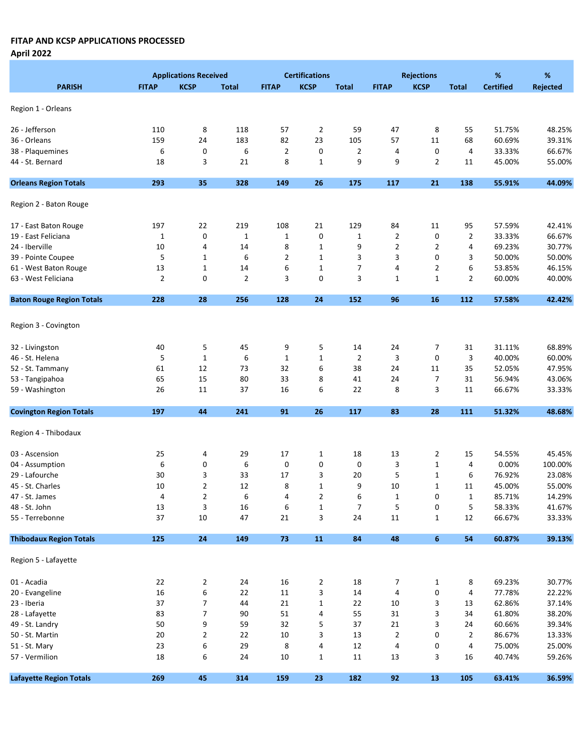April 2022

|                                  |                | <b>Applications Received</b> |                |                | <b>Certifications</b>     |                |                | <b>Rejections</b> |                | %                | %               |
|----------------------------------|----------------|------------------------------|----------------|----------------|---------------------------|----------------|----------------|-------------------|----------------|------------------|-----------------|
| <b>PARISH</b>                    | <b>FITAP</b>   | <b>KCSP</b>                  | <b>Total</b>   | <b>FITAP</b>   | <b>KCSP</b>               | <b>Total</b>   | <b>FITAP</b>   | <b>KCSP</b>       | <b>Total</b>   | <b>Certified</b> | <b>Rejected</b> |
|                                  |                |                              |                |                |                           |                |                |                   |                |                  |                 |
| Region 1 - Orleans               |                |                              |                |                |                           |                |                |                   |                |                  |                 |
| 26 - Jefferson                   | 110            | 8                            | 118            | 57             | $\overline{2}$            | 59             | 47             | 8                 | 55             | 51.75%           | 48.25%          |
| 36 - Orleans                     | 159            | 24                           | 183            | 82             | 23                        | 105            | 57             | 11                | 68             | 60.69%           | 39.31%          |
| 38 - Plaquemines                 | 6              | 0                            | 6              | $\overline{2}$ | 0                         | $\overline{2}$ | 4              | 0                 | 4              | 33.33%           | 66.67%          |
| 44 - St. Bernard                 | 18             | 3                            | 21             | 8              | $\mathbf{1}$              | 9              | 9              | $\overline{2}$    | 11             | 45.00%           | 55.00%          |
|                                  |                |                              |                |                |                           |                |                |                   |                |                  |                 |
| <b>Orleans Region Totals</b>     | 293            | 35                           | 328            | 149            | 26                        | 175            | 117            | 21                | 138            | 55.91%           | 44.09%          |
| Region 2 - Baton Rouge           |                |                              |                |                |                           |                |                |                   |                |                  |                 |
| 17 - East Baton Rouge            | 197            | 22                           | 219            | 108            | 21                        | 129            | 84             | 11                | 95             | 57.59%           | 42.41%          |
| 19 - East Feliciana              | $\mathbf{1}$   | 0                            | $\mathbf 1$    | $\mathbf{1}$   | 0                         | 1              | 2              | 0                 | 2              | 33.33%           | 66.67%          |
| 24 - Iberville                   | 10             | 4                            | 14             | 8              | $\mathbf{1}$              | 9              | $\overline{2}$ | $\overline{2}$    | 4              | 69.23%           | 30.77%          |
| 39 - Pointe Coupee               | 5              | $\mathbf{1}$                 | 6              | 2              | $\mathbf{1}$              | 3              | 3              | 0                 | 3              | 50.00%           | 50.00%          |
| 61 - West Baton Rouge            | 13             | $\mathbf{1}$                 | 14             | 6              | $\mathbf{1}$              | 7              | 4              | $\overline{2}$    | 6              | 53.85%           | 46.15%          |
| 63 - West Feliciana              | $\overline{2}$ | 0                            | $\overline{2}$ | 3              | 0                         | 3              | 1              | $\mathbf{1}$      | $\overline{2}$ | 60.00%           | 40.00%          |
| <b>Baton Rouge Region Totals</b> | 228            | 28                           | 256            | 128            | 24                        | 152            | 96             | 16                | 112            | 57.58%           | 42.42%          |
|                                  |                |                              |                |                |                           |                |                |                   |                |                  |                 |
| Region 3 - Covington             |                |                              |                |                |                           |                |                |                   |                |                  |                 |
| 32 - Livingston                  | 40             | 5                            | 45             | 9              | 5                         | 14             | 24             | 7                 | 31             | 31.11%           | 68.89%          |
| 46 - St. Helena                  | 5              | $\mathbf 1$                  | 6              | $\mathbf 1$    | $\mathbf 1$               | $\overline{2}$ | 3              | 0                 | 3              | 40.00%           | 60.00%          |
| 52 - St. Tammany                 | 61             | 12                           | 73             | 32             | 6                         | 38             | 24             | 11                | 35             | 52.05%           | 47.95%          |
| 53 - Tangipahoa                  | 65             | 15                           | 80             | 33             | 8                         | 41             | 24             | $\overline{7}$    | 31             | 56.94%           | 43.06%          |
| 59 - Washington                  | 26             | 11                           | 37             | 16             | 6                         | 22             | 8              | 3                 | 11             | 66.67%           | 33.33%          |
| <b>Covington Region Totals</b>   | 197            | 44                           | 241            | 91             | 26                        | 117            | 83             | 28                | 111            | 51.32%           | 48.68%          |
| Region 4 - Thibodaux             |                |                              |                |                |                           |                |                |                   |                |                  |                 |
|                                  |                |                              |                |                |                           |                |                |                   |                |                  |                 |
| 03 - Ascension                   | 25             | 4                            | 29             | 17             | 1                         | 18             | 13             | 2                 | 15             | 54.55%           | 45.45%          |
| 04 - Assumption                  | 6              | 0                            | 6              | 0              | 0                         | 0              | 3              | $\mathbf{1}$      | 4              | 0.00%            | 100.00%         |
| 29 - Lafourche                   | 30             | 3                            | 33             | 17             | 3                         | 20             | 5              | $\mathbf{1}$      | 6              | 76.92%           | 23.08%          |
| 45 - St. Charles                 | 10             | $\overline{2}$               | 12             | 8              | $\mathbf{1}$              | 9              | 10             | $\mathbf 1$       | 11             | 45.00%           | 55.00%          |
| 47 - St. James                   | 4              | 2                            | 6              | 4              | 2                         | 6              | 1              | 0                 | 1              | 85.71%           | 14.29%          |
| 48 - St. John                    | 13             | 3                            | 16             | 6              | $\mathbf{1}$              | $\overline{7}$ | 5              | 0                 | 5              | 58.33%           | 41.67%          |
| 55 - Terrebonne                  | 37             | 10                           | 47             | 21             | $\ensuremath{\mathsf{3}}$ | 24             | 11             | $\mathbf{1}$      | 12             | 66.67%           | 33.33%          |
| <b>Thibodaux Region Totals</b>   | 125            | ${\bf 24}$                   | 149            | 73             | 11                        | 84             | 48             | 6                 | 54             | 60.87%           | 39.13%          |
| Region 5 - Lafayette             |                |                              |                |                |                           |                |                |                   |                |                  |                 |
| 01 - Acadia                      | 22             | $\overline{2}$               | 24             | 16             | $\overline{2}$            | 18             | 7              | $\mathbf{1}$      | 8              | 69.23%           | 30.77%          |
| 20 - Evangeline                  | 16             | $\boldsymbol{6}$             | 22             | 11             | 3                         | 14             | 4              | 0                 | 4              | 77.78%           | 22.22%          |
| 23 - Iberia                      | 37             | $\overline{7}$               | 44             | 21             | $\mathbf 1$               | 22             | 10             | 3                 | 13             | 62.86%           | 37.14%          |
| 28 - Lafayette                   | 83             | $\overline{\phantom{a}}$     | 90             | 51             | 4                         | 55             | 31             | 3                 | 34             | 61.80%           | 38.20%          |
| 49 - St. Landry                  | 50             | 9                            | 59             | 32             | 5                         | 37             | 21             | 3                 | 24             | 60.66%           | 39.34%          |
| 50 - St. Martin                  | 20             | $\mathbf 2$                  | 22             | 10             | 3                         | 13             | $\overline{2}$ | 0                 | $\overline{2}$ | 86.67%           | 13.33%          |
| 51 - St. Mary                    | 23             | 6                            | 29             | 8              | 4                         | 12             | 4              | 0                 | 4              | 75.00%           | 25.00%          |
| 57 - Vermilion                   | 18             | 6                            | 24             | 10             | $\mathbf{1}$              | 11             | 13             | 3                 | 16             | 40.74%           | 59.26%          |
|                                  |                |                              |                |                |                           |                |                |                   |                |                  |                 |
| <b>Lafayette Region Totals</b>   | 269            | 45                           | 314            | 159            | 23                        | 182            | 92             | 13                | 105            | 63.41%           | 36.59%          |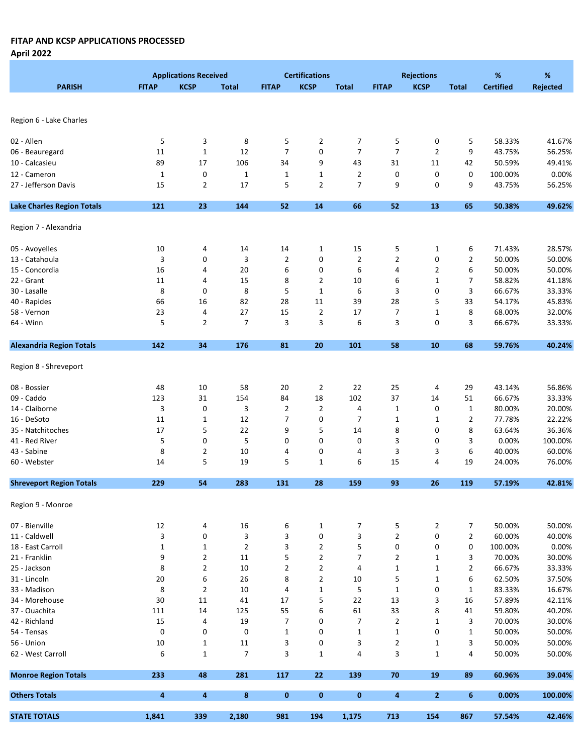April 2022

|                                   |              | <b>Applications Received</b> |                |                | <b>Certifications</b> |                |                | <b>Rejections</b> |                | %                | %               |
|-----------------------------------|--------------|------------------------------|----------------|----------------|-----------------------|----------------|----------------|-------------------|----------------|------------------|-----------------|
| <b>PARISH</b>                     | <b>FITAP</b> | <b>KCSP</b>                  | <b>Total</b>   | <b>FITAP</b>   | <b>KCSP</b>           | <b>Total</b>   | <b>FITAP</b>   | <b>KCSP</b>       | <b>Total</b>   | <b>Certified</b> | <b>Rejected</b> |
|                                   |              |                              |                |                |                       |                |                |                   |                |                  |                 |
|                                   |              |                              |                |                |                       |                |                |                   |                |                  |                 |
| Region 6 - Lake Charles           |              |                              |                |                |                       |                |                |                   |                |                  |                 |
|                                   |              |                              |                |                |                       |                |                |                   |                |                  |                 |
| 02 - Allen                        | 5            | 3                            | 8              | 5              | $\overline{2}$        | 7              | 5              | 0                 | 5              | 58.33%           | 41.67%          |
| 06 - Beauregard                   | 11           | $\mathbf{1}$                 | 12             | $\overline{7}$ | 0                     | $\overline{7}$ | $\overline{7}$ | $\overline{2}$    | 9              | 43.75%           | 56.25%          |
| 10 - Calcasieu                    | 89           | 17                           | 106            | 34             | 9                     | 43             | 31             | 11                | 42             | 50.59%           | 49.41%          |
| 12 - Cameron                      | $\mathbf 1$  | 0                            | $\mathbf 1$    | $\mathbf{1}$   | $\mathbf{1}$          | $\overline{2}$ | 0              | 0                 | 0              | 100.00%          | 0.00%           |
| 27 - Jefferson Davis              | 15           | $\overline{2}$               | 17             | 5              | $\overline{2}$        | 7              | 9              | 0                 | 9              | 43.75%           | 56.25%          |
| <b>Lake Charles Region Totals</b> | 121          | 23                           | 144            | 52             | 14                    | 66             | 52             | 13                | 65             | 50.38%           | 49.62%          |
| Region 7 - Alexandria             |              |                              |                |                |                       |                |                |                   |                |                  |                 |
|                                   |              |                              |                |                |                       |                |                |                   |                |                  |                 |
| 05 - Avoyelles                    | 10           | 4                            | 14             | 14             | $\mathbf{1}$          | 15             | 5              | $\mathbf{1}$      | 6              | 71.43%           | 28.57%          |
| 13 - Catahoula                    | 3            | 0                            | 3              | $\overline{2}$ | 0                     | $\overline{2}$ | $\overline{2}$ | 0                 | $\overline{2}$ | 50.00%           | 50.00%          |
| 15 - Concordia                    | 16           | 4                            | 20             | 6              | 0                     | 6              | 4              | $\overline{2}$    | 6              | 50.00%           | 50.00%          |
| 22 - Grant                        | 11           | 4                            | 15             | 8              | 2                     | 10             | 6              | $\mathbf{1}$      | 7              | 58.82%           | 41.18%          |
| 30 - Lasalle                      | 8            | 0                            | 8              | 5              | $\mathbf{1}$          | 6              | 3              | 0                 | 3              | 66.67%           | 33.33%          |
| 40 - Rapides                      | 66           | 16                           | 82             | 28             | 11                    | 39             | 28             | 5                 | 33             | 54.17%           | 45.83%          |
| 58 - Vernon                       | 23           | 4                            | 27             | 15             | $\overline{2}$        | 17             | 7              | $\mathbf{1}$      | 8              | 68.00%           | 32.00%          |
| 64 - Winn                         | 5            | $\overline{2}$               | 7              | 3              | 3                     | 6              | 3              | 0                 | 3              | 66.67%           | 33.33%          |
|                                   |              |                              |                |                |                       |                |                |                   |                |                  |                 |
| <b>Alexandria Region Totals</b>   | 142          | 34                           | 176            | 81             | 20                    | 101            | 58             | 10                | 68             | 59.76%           | 40.24%          |
| Region 8 - Shreveport             |              |                              |                |                |                       |                |                |                   |                |                  |                 |
| 08 - Bossier                      | 48           | 10                           | 58             | 20             | $\overline{2}$        | 22             | 25             | 4                 | 29             | 43.14%           | 56.86%          |
| 09 - Caddo                        | 123          | 31                           | 154            | 84             | 18                    | 102            | 37             | 14                | 51             | 66.67%           | 33.33%          |
| 14 - Claiborne                    | 3            | 0                            | 3              | $\overline{2}$ | 2                     | 4              | $\mathbf{1}$   | 0                 | $\mathbf{1}$   | 80.00%           | 20.00%          |
| 16 - DeSoto                       | 11           | $\mathbf{1}$                 | 12             | $\overline{7}$ | 0                     | 7              | 1              | $\mathbf{1}$      | $\overline{2}$ | 77.78%           | 22.22%          |
| 35 - Natchitoches                 | 17           | 5                            | 22             | 9              | 5                     | 14             | 8              | 0                 | 8              | 63.64%           | 36.36%          |
| 41 - Red River                    | 5            | 0                            | 5              | 0              | 0                     | 0              | 3              | 0                 | 3              | 0.00%            | 100.00%         |
| 43 - Sabine                       | 8            | 2                            | 10             | 4              | 0                     | 4              | 3              | 3                 | 6              | 40.00%           | 60.00%          |
| 60 - Webster                      | 14           | 5                            | 19             | 5              | $\mathbf{1}$          | 6              | 15             | 4                 | 19             | 24.00%           | 76.00%          |
| <b>Shreveport Region Totals</b>   | 229          | 54                           | 283            | 131            | 28                    | 159            | 93             | 26                | 119            | 57.19%           | 42.81%          |
|                                   |              |                              |                |                |                       |                |                |                   |                |                  |                 |
| Region 9 - Monroe                 |              |                              |                |                |                       |                |                |                   |                |                  |                 |
| 07 - Bienville                    | 12           | 4                            | 16             | 6              | $\mathbf{1}$          | 7              | 5              | $\overline{2}$    | 7              | 50.00%           | 50.00%          |
| 11 - Caldwell                     | 3            | 0                            | 3              | 3              | 0                     | 3              | $\overline{2}$ | 0                 | $\overline{2}$ | 60.00%           | 40.00%          |
| 18 - East Carroll                 | $\mathbf{1}$ | $\mathbf{1}$                 | $\overline{2}$ | 3              | 2                     | 5              | 0              | 0                 | 0              | 100.00%          | 0.00%           |
| 21 - Franklin                     | 9            | $\overline{2}$               | 11             | 5              | $\overline{2}$        | 7              | $\overline{2}$ | $\mathbf{1}$      | 3              | 70.00%           | 30.00%          |
| 25 - Jackson                      | 8            | $\overline{\mathbf{c}}$      | 10             | $\overline{2}$ | 2                     | 4              | $\mathbf 1$    | $\mathbf 1$       | $\overline{2}$ | 66.67%           | 33.33%          |
| 31 - Lincoln                      | 20           | 6                            | 26             | 8              | $\overline{2}$        | 10             | 5              | $\mathbf{1}$      | 6              | 62.50%           | 37.50%          |
| 33 - Madison                      | 8            | $\overline{2}$               | 10             | 4              | $\mathbf{1}$          | 5              | $\mathbf{1}$   | 0                 | 1              | 83.33%           | 16.67%          |
| 34 - Morehouse                    | 30           | 11                           | 41             | 17             | 5                     | 22             | 13             | 3                 | 16             | 57.89%           | 42.11%          |
| 37 - Ouachita                     | 111          | 14                           | 125            | 55             | 6                     | 61             | 33             | 8                 | 41             | 59.80%           | 40.20%          |
| 42 - Richland                     | 15           | 4                            | 19             | 7              | 0                     | 7              | $\overline{2}$ | 1                 | 3              | 70.00%           | 30.00%          |
| 54 - Tensas                       | 0            | 0                            | 0              | $\mathbf{1}$   | 0                     | $\mathbf{1}$   | $\mathbf{1}$   | 0                 | 1              | 50.00%           | 50.00%          |
| 56 - Union                        | $10\,$       | $\mathbf{1}$                 | 11             | 3              | 0                     | 3              | $\overline{2}$ | $\mathbf{1}$      | 3              | 50.00%           | 50.00%          |
| 62 - West Carroll                 | 6            | $\mathbf{1}$                 | $\overline{7}$ | 3              | $\mathbf{1}$          | 4              | 3              | $\mathbf{1}$      | 4              | 50.00%           | 50.00%          |
| <b>Monroe Region Totals</b>       | 233          | 48                           | 281            | 117            | 22                    | 139            | 70             | 19                | 89             | 60.96%           | 39.04%          |
|                                   |              |                              |                |                |                       |                |                |                   |                |                  |                 |
| <b>Others Totals</b>              | 4            | 4                            | 8              | $\mathbf 0$    | $\bf{0}$              | 0              | 4              | $\overline{2}$    | 6              | 0.00%            | 100.00%         |
| <b>STATE TOTALS</b>               | 1,841        | 339                          | 2,180          | 981            | 194                   | 1,175          | 713            | 154               | 867            | 57.54%           | 42.46%          |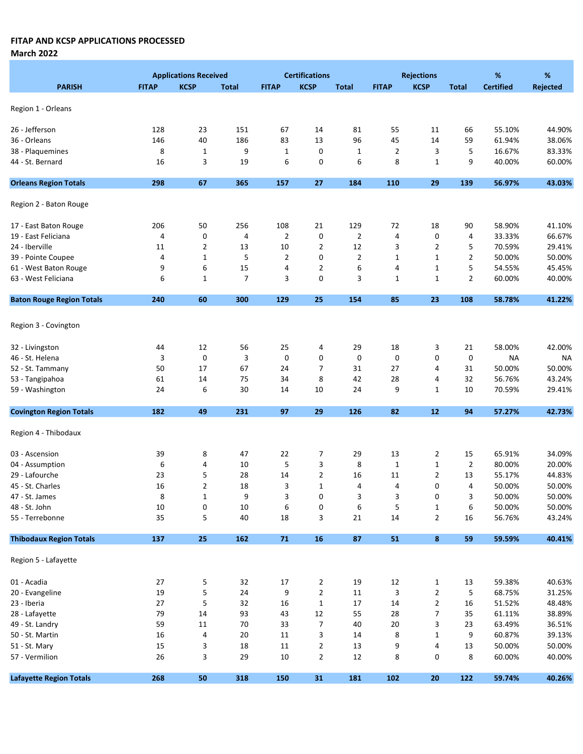March 2022

|                                  |              | <b>Applications Received</b> |                |                | <b>Certifications</b> |                |                | <b>Rejections</b> |                | %                | %         |
|----------------------------------|--------------|------------------------------|----------------|----------------|-----------------------|----------------|----------------|-------------------|----------------|------------------|-----------|
| <b>PARISH</b>                    | <b>FITAP</b> | <b>KCSP</b>                  | <b>Total</b>   | <b>FITAP</b>   | <b>KCSP</b>           | <b>Total</b>   | <b>FITAP</b>   | <b>KCSP</b>       | <b>Total</b>   | <b>Certified</b> | Rejected  |
|                                  |              |                              |                |                |                       |                |                |                   |                |                  |           |
| Region 1 - Orleans               |              |                              |                |                |                       |                |                |                   |                |                  |           |
| 26 - Jefferson                   | 128          | 23                           | 151            | 67             | 14                    | 81             | 55             | 11                | 66             | 55.10%           | 44.90%    |
| 36 - Orleans                     | 146          | 40                           | 186            | 83             | 13                    | 96             | 45             | 14                | 59             | 61.94%           | 38.06%    |
| 38 - Plaquemines                 | 8            | $\mathbf 1$                  | 9              | $\mathbf 1$    | 0                     | $\mathbf{1}$   | $\overline{2}$ | 3                 | 5              | 16.67%           | 83.33%    |
| 44 - St. Bernard                 | 16           | 3                            | 19             | 6              | 0                     | 6              | 8              | 1                 | 9              | 40.00%           | 60.00%    |
|                                  |              |                              |                |                |                       |                |                |                   |                |                  |           |
| <b>Orleans Region Totals</b>     | 298          | 67                           | 365            | 157            | 27                    | 184            | 110            | 29                | 139            | 56.97%           | 43.03%    |
| Region 2 - Baton Rouge           |              |                              |                |                |                       |                |                |                   |                |                  |           |
| 17 - East Baton Rouge            | 206          | 50                           | 256            | 108            | 21                    | 129            | 72             | 18                | 90             | 58.90%           | 41.10%    |
| 19 - East Feliciana              | 4            | 0                            | 4              | $\overline{2}$ | 0                     | $\overline{2}$ | 4              | 0                 | 4              | 33.33%           | 66.67%    |
| 24 - Iberville                   | 11           | $\overline{2}$               | 13             | 10             | $\overline{2}$        | 12             | 3              | $\overline{2}$    | 5              | 70.59%           | 29.41%    |
| 39 - Pointe Coupee               | 4            | $\mathbf{1}$                 | 5              | $\overline{2}$ | 0                     | $\overline{2}$ | $\mathbf{1}$   | 1                 | 2              | 50.00%           | 50.00%    |
| 61 - West Baton Rouge            | 9            | 6                            | 15             | 4              | $\overline{2}$        | 6              | 4              | $\mathbf{1}$      | 5              | 54.55%           | 45.45%    |
| 63 - West Feliciana              | 6            | $\mathbf{1}$                 | $\overline{7}$ | 3              | 0                     | 3              | $\mathbf{1}$   | 1                 | 2              | 60.00%           | 40.00%    |
| <b>Baton Rouge Region Totals</b> | 240          | 60                           | 300            | 129            | 25                    | 154            | 85             | 23                | 108            | 58.78%           | 41.22%    |
|                                  |              |                              |                |                |                       |                |                |                   |                |                  |           |
| Region 3 - Covington             |              |                              |                |                |                       |                |                |                   |                |                  |           |
| 32 - Livingston                  | 44           | 12                           | 56             | 25             | 4                     | 29             | 18             | 3                 | 21             | 58.00%           | 42.00%    |
| 46 - St. Helena                  | 3            | $\pmb{0}$                    | 3              | 0              | 0                     | 0              | 0              | 0                 | $\mathbf 0$    | <b>NA</b>        | <b>NA</b> |
| 52 - St. Tammany                 | 50           | 17                           | 67             | 24             | 7                     | 31             | 27             | 4                 | 31             | 50.00%           | 50.00%    |
| 53 - Tangipahoa                  | 61           | 14                           | 75             | 34             | 8                     | 42             | 28             | 4                 | 32             | 56.76%           | 43.24%    |
| 59 - Washington                  | 24           | 6                            | 30             | 14             | 10                    | 24             | 9              | 1                 | 10             | 70.59%           | 29.41%    |
| <b>Covington Region Totals</b>   | 182          | 49                           | 231            | 97             | 29                    | 126            | 82             | 12                | 94             | 57.27%           | 42.73%    |
| Region 4 - Thibodaux             |              |                              |                |                |                       |                |                |                   |                |                  |           |
|                                  |              |                              |                |                |                       |                |                |                   |                |                  |           |
| 03 - Ascension                   | 39           | 8                            | 47             | 22             | 7                     | 29             | 13             | $\overline{2}$    | 15             | 65.91%           | 34.09%    |
| 04 - Assumption                  | 6            | 4                            | 10             | 5              | 3                     | 8              | $\mathbf{1}$   | $\mathbf 1$       | $\overline{2}$ | 80.00%           | 20.00%    |
| 29 - Lafourche                   | 23           | 5                            | 28             | 14             | $\overline{2}$        | 16             | 11             | $\overline{2}$    | 13             | 55.17%           | 44.83%    |
| 45 - St. Charles                 | 16           | $\overline{2}$               | 18             | 3              | $\mathbf 1$           | 4              | 4              | 0                 | 4              | 50.00%           | 50.00%    |
| 47 - St. James                   | 8            | $\mathbf{1}$                 | 9              | 3              | 0                     | 3              | 3              | 0                 | 3              | 50.00%           | 50.00%    |
| 48 - St. John                    | 10           | 0                            | 10             | 6              | 0                     | 6              | 5              | $\mathbf{1}$      | 6              | 50.00%           | 50.00%    |
| 55 - Terrebonne                  | 35           | 5                            | 40             | 18             | 3                     | $21\,$         | 14             | $\overline{2}$    | 16             | 56.76%           | 43.24%    |
| <b>Thibodaux Region Totals</b>   | 137          | 25                           | 162            | ${\bf 71}$     | 16                    | 87             | 51             | 8                 | 59             | 59.59%           | 40.41%    |
| Region 5 - Lafayette             |              |                              |                |                |                       |                |                |                   |                |                  |           |
| 01 - Acadia                      | 27           | 5                            | 32             | 17             | 2                     | 19             | 12             | $\mathbf{1}$      | 13             | 59.38%           | 40.63%    |
| 20 - Evangeline                  | 19           | 5                            | 24             | 9              | $\overline{2}$        | 11             | 3              | $\overline{2}$    | 5              | 68.75%           | 31.25%    |
| 23 - Iberia                      | 27           | $\mathsf S$                  | 32             | 16             | $\mathbf 1$           | 17             | 14             | $\overline{2}$    | 16             | 51.52%           | 48.48%    |
| 28 - Lafayette                   | 79           | 14                           | 93             | 43             | 12                    | 55             | 28             | 7                 | 35             | 61.11%           | 38.89%    |
| 49 - St. Landry                  | 59           | 11                           | 70             | 33             | 7                     | 40             | 20             | 3                 | 23             | 63.49%           | 36.51%    |
| 50 - St. Martin                  | 16           | 4                            | 20             | 11             | 3                     | 14             | 8              | $\mathbf 1$       | 9              | 60.87%           | 39.13%    |
| 51 - St. Mary                    | 15           | 3                            | 18             | 11             | 2                     | 13             | 9              | 4                 | 13             | 50.00%           | 50.00%    |
| 57 - Vermilion                   | 26           | 3                            | 29             | 10             | $\overline{2}$        | $12\,$         | 8              | 0                 | 8              | 60.00%           | 40.00%    |
|                                  |              |                              |                |                |                       |                |                |                   |                |                  |           |
| <b>Lafayette Region Totals</b>   | 268          | 50                           | 318            | 150            | 31                    | 181            | 102            | 20                | 122            | 59.74%           | 40.26%    |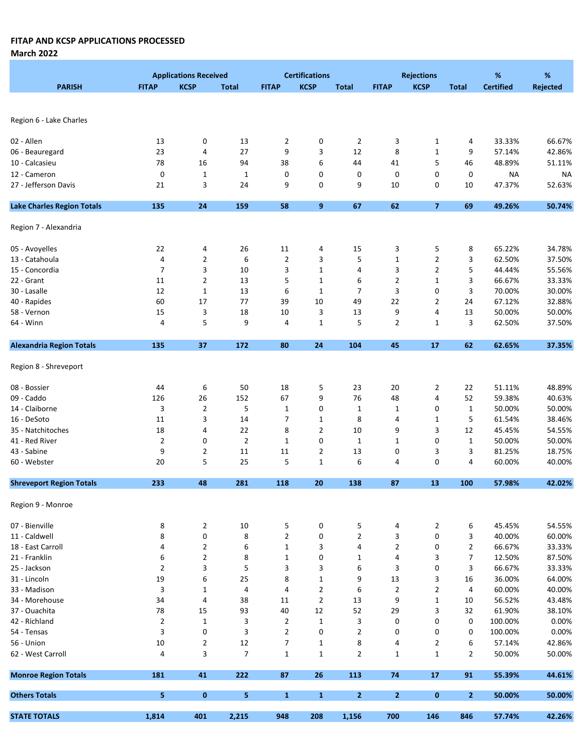March 2022

|                                   |                | <b>Applications Received</b> |                |                | <b>Certifications</b> |                |                         | <b>Rejections</b> |                | %                | %               |
|-----------------------------------|----------------|------------------------------|----------------|----------------|-----------------------|----------------|-------------------------|-------------------|----------------|------------------|-----------------|
| <b>PARISH</b>                     | <b>FITAP</b>   | <b>KCSP</b>                  | <b>Total</b>   | <b>FITAP</b>   | <b>KCSP</b>           | <b>Total</b>   | <b>FITAP</b>            | <b>KCSP</b>       | <b>Total</b>   | <b>Certified</b> | <b>Rejected</b> |
|                                   |                |                              |                |                |                       |                |                         |                   |                |                  |                 |
|                                   |                |                              |                |                |                       |                |                         |                   |                |                  |                 |
| Region 6 - Lake Charles           |                |                              |                |                |                       |                |                         |                   |                |                  |                 |
|                                   |                |                              |                |                |                       |                |                         |                   |                |                  |                 |
| 02 - Allen                        | 13             | 0                            | 13             | $\overline{2}$ | 0                     | $\overline{2}$ | 3                       | $\mathbf{1}$      | 4              | 33.33%           | 66.67%          |
| 06 - Beauregard                   | 23             | 4                            | 27             | 9              | 3                     | 12             | 8                       | $\mathbf{1}$      | 9              | 57.14%           | 42.86%          |
| 10 - Calcasieu                    | 78             | 16                           | 94             | 38             | 6                     | 44             | 41                      | 5                 | 46             | 48.89%           | 51.11%          |
| 12 - Cameron                      | 0              | $\mathbf{1}$                 | $\mathbf 1$    | 0              | 0                     | 0              | 0                       | 0                 | 0              | <b>NA</b>        | <b>NA</b>       |
| 27 - Jefferson Davis              | 21             | 3                            | 24             | 9              | 0                     | 9              | 10                      | 0                 | 10             | 47.37%           | 52.63%          |
| <b>Lake Charles Region Totals</b> | 135            | 24                           | 159            | 58             | 9                     | 67             | 62                      | $\overline{7}$    | 69             | 49.26%           | 50.74%          |
| Region 7 - Alexandria             |                |                              |                |                |                       |                |                         |                   |                |                  |                 |
|                                   |                |                              |                |                |                       |                |                         |                   |                |                  |                 |
| 05 - Avoyelles                    | 22             | 4                            | 26             | 11             | 4                     | 15             | 3                       | 5                 | 8              | 65.22%           | 34.78%          |
| 13 - Catahoula                    | 4              | $\mathbf{2}$                 | 6              | $\overline{2}$ | 3                     | 5              | $\mathbf{1}$            | $\overline{2}$    | 3              | 62.50%           | 37.50%          |
| 15 - Concordia                    | $\overline{7}$ | 3                            | 10             | 3              | $\mathbf{1}$          | 4              | 3                       | $\overline{2}$    | 5              | 44.44%           | 55.56%          |
| 22 - Grant                        | 11             | $\overline{2}$               | 13             | 5              | $\mathbf{1}$          | 6              | 2                       | 1                 | 3              | 66.67%           | 33.33%          |
| 30 - Lasalle                      | 12             | $\mathbf{1}$                 | 13             | 6              | $\mathbf{1}$          | 7              | 3                       | 0                 | 3              | 70.00%           | 30.00%          |
| 40 - Rapides                      | 60             | 17                           | 77             | 39             | 10                    | 49             | 22                      | 2                 | 24             | 67.12%           | 32.88%          |
| 58 - Vernon                       | 15             | 3                            | 18             | 10             | 3                     | 13             | 9                       | 4                 | 13             | 50.00%           | 50.00%          |
| 64 - Winn                         | 4              | 5                            | 9              | 4              | $\mathbf 1$           | 5              | $\overline{2}$          | $\mathbf{1}$      | 3              | 62.50%           | 37.50%          |
| <b>Alexandria Region Totals</b>   | 135            | 37                           | 172            | 80             | 24                    | 104            | 45                      | 17                | 62             | 62.65%           | 37.35%          |
|                                   |                |                              |                |                |                       |                |                         |                   |                |                  |                 |
| Region 8 - Shreveport             |                |                              |                |                |                       |                |                         |                   |                |                  |                 |
| 08 - Bossier                      | 44             | 6                            | 50             | 18             | 5                     | 23             | 20                      | 2                 | 22             | 51.11%           | 48.89%          |
| 09 - Caddo                        | 126            | 26                           | 152            | 67             | 9                     | 76             | 48                      | 4                 | 52             | 59.38%           | 40.63%          |
| 14 - Claiborne                    | 3              | $\overline{2}$               | 5              | 1              | 0                     | 1              | 1                       | 0                 | $\mathbf{1}$   | 50.00%           | 50.00%          |
| 16 - DeSoto                       | 11             | 3                            | 14             | 7              | $\mathbf 1$           | 8              | 4                       | $\mathbf 1$       | 5              | 61.54%           | 38.46%          |
| 35 - Natchitoches                 | 18             | 4                            | 22             | 8              | $\overline{2}$        | 10             | 9                       | 3                 | 12             | 45.45%           | 54.55%          |
| 41 - Red River                    | $\overline{2}$ | 0                            | $\overline{2}$ | $\mathbf 1$    | 0                     | 1              | 1                       | 0                 | $\mathbf{1}$   | 50.00%           | 50.00%          |
| 43 - Sabine                       | 9              | $\mathbf{2}$                 | 11             | 11             | $\overline{2}$        | 13             | 0                       | 3                 | 3              | 81.25%           | 18.75%          |
| 60 - Webster                      | 20             | 5                            | 25             | 5              | $\mathbf{1}$          | 6              | 4                       | 0                 | 4              | 60.00%           | 40.00%          |
|                                   |                |                              |                |                |                       |                |                         |                   |                |                  |                 |
| <b>Shreveport Region Totals</b>   | 233            | 48                           | 281            | 118            | 20                    | 138            | 87                      | 13                | 100            | 57.98%           | 42.02%          |
| Region 9 - Monroe                 |                |                              |                |                |                       |                |                         |                   |                |                  |                 |
| 07 - Bienville                    | 8              | $\overline{2}$               | 10             | 5              | 0                     | 5              | 4                       | $\overline{2}$    | 6              | 45.45%           | 54.55%          |
| 11 - Caldwell                     | 8              | 0                            | 8              | $\overline{2}$ | 0                     | $\overline{2}$ | 3                       | 0                 | 3              | 40.00%           | 60.00%          |
| 18 - East Carroll                 | 4              | $\overline{2}$               | 6              | $\mathbf{1}$   | 3                     | 4              | $\overline{2}$          | 0                 | $\overline{2}$ | 66.67%           | 33.33%          |
| 21 - Franklin                     | 6              | $\mathbf 2$                  | 8              | $\mathbf 1$    | 0                     | $\mathbf{1}$   | 4                       | 3                 | 7              | 12.50%           | 87.50%          |
| 25 - Jackson                      | $\overline{2}$ | 3                            | 5              | 3              | 3                     | 6              | 3                       | 0                 | 3              | 66.67%           | 33.33%          |
| 31 - Lincoln                      | 19             | 6                            | 25             | 8              | $\mathbf 1$           | 9              | 13                      | 3                 | 16             | 36.00%           | 64.00%          |
| 33 - Madison                      | 3              | $\mathbf{1}$                 | 4              | 4              | $\overline{2}$        | 6              | $\overline{\mathbf{c}}$ | 2                 | 4              | 60.00%           | 40.00%          |
| 34 - Morehouse                    | 34             | 4                            | 38             | 11             | $\overline{2}$        | 13             | 9                       | $\mathbf 1$       | 10             | 56.52%           | 43.48%          |
| 37 - Ouachita                     | 78             | 15                           | 93             | 40             | 12                    | 52             | 29                      | 3                 | 32             | 61.90%           | 38.10%          |
| 42 - Richland                     | $\overline{2}$ | $\mathbf{1}$                 | 3              | $\overline{2}$ | $\mathbf{1}$          | 3              | 0                       | 0                 | 0              | 100.00%          | 0.00%           |
| 54 - Tensas                       | 3              | $\pmb{0}$                    | 3              | $\overline{2}$ | 0                     | $\overline{2}$ | 0                       | 0                 | 0              | 100.00%          | 0.00%           |
| 56 - Union                        | $10\,$         | $\overline{\mathbf{c}}$      | $12\,$         | $\overline{7}$ | $\mathbf 1$           | 8              | 4                       | $\overline{2}$    | 6              | 57.14%           | 42.86%          |
|                                   |                |                              | $\overline{7}$ |                |                       |                |                         |                   |                |                  |                 |
| 62 - West Carroll                 | 4              | 3                            |                | $\mathbf 1$    | $\mathbf{1}$          | $\overline{2}$ | $\mathbf{1}$            | 1                 | 2              | 50.00%           | 50.00%          |
| <b>Monroe Region Totals</b>       | 181            | 41                           | 222            | 87             | 26                    | 113            | 74                      | 17                | 91             | 55.39%           | 44.61%          |
| <b>Others Totals</b>              | 5              | $\mathbf{0}$                 | 5              | $\mathbf{1}$   | $\mathbf{1}$          | $\overline{2}$ | $\overline{2}$          | $\bf{0}$          | $\mathbf{2}$   | 50.00%           | 50.00%          |
| <b>STATE TOTALS</b>               | 1,814          | 401                          | 2,215          | 948            | 208                   | 1,156          | 700                     | 146               | 846            | 57.74%           | 42.26%          |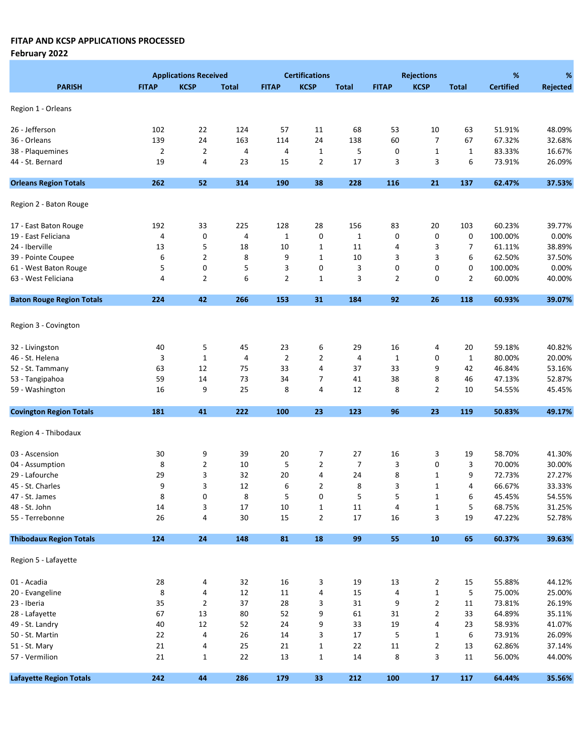|                                  |                | <b>Applications Received</b> |              |                | <b>Certifications</b>   |                |                | <b>Rejections</b> |                | %                | %               |
|----------------------------------|----------------|------------------------------|--------------|----------------|-------------------------|----------------|----------------|-------------------|----------------|------------------|-----------------|
| <b>PARISH</b>                    | <b>FITAP</b>   | <b>KCSP</b>                  | <b>Total</b> | <b>FITAP</b>   | <b>KCSP</b>             | <b>Total</b>   | <b>FITAP</b>   | <b>KCSP</b>       | <b>Total</b>   | <b>Certified</b> | <b>Rejected</b> |
| Region 1 - Orleans               |                |                              |              |                |                         |                |                |                   |                |                  |                 |
|                                  |                |                              |              |                |                         |                |                |                   |                |                  |                 |
| 26 - Jefferson                   | 102            | 22                           | 124          | 57             | 11                      | 68             | 53             | 10                | 63             | 51.91%           | 48.09%          |
| 36 - Orleans                     | 139            | 24                           | 163          | 114            | 24                      | 138            | 60             | $\overline{7}$    | 67             | 67.32%           | 32.68%          |
| 38 - Plaquemines                 | $\overline{2}$ | $\overline{2}$               | 4            | 4              | $\mathbf{1}$            | 5              | 0              | $\mathbf 1$       | $\mathbf{1}$   | 83.33%           | 16.67%          |
| 44 - St. Bernard                 | 19             | 4                            | 23           | 15             | $\overline{2}$          | 17             | 3              | 3                 | 6              | 73.91%           | 26.09%          |
| <b>Orleans Region Totals</b>     | 262            | 52                           | 314          | 190            | 38                      | 228            | 116            | 21                | 137            | 62.47%           | 37.53%          |
| Region 2 - Baton Rouge           |                |                              |              |                |                         |                |                |                   |                |                  |                 |
| 17 - East Baton Rouge            | 192            | 33                           | 225          | 128            | 28                      | 156            | 83             | 20                | 103            | 60.23%           | 39.77%          |
| 19 - East Feliciana              | 4              | $\mathbf 0$                  | 4            | $\mathbf{1}$   | 0                       | $\mathbf{1}$   | 0              | 0                 | 0              | 100.00%          | 0.00%           |
| 24 - Iberville                   | 13             | 5                            | 18           | 10             | $\mathbf 1$             | 11             | 4              | 3                 | 7              | 61.11%           | 38.89%          |
| 39 - Pointe Coupee               | 6              | $\overline{2}$               | 8            | 9              | $\mathbf 1$             | 10             | 3              | 3                 | 6              | 62.50%           | 37.50%          |
| 61 - West Baton Rouge            | 5              | 0                            | 5            | 3              | 0                       | 3              | 0              | 0                 | 0              | 100.00%          | 0.00%           |
| 63 - West Feliciana              | 4              | $\overline{2}$               | 6            | $\overline{2}$ | $\mathbf{1}$            | 3              | $\overline{2}$ | 0                 | $\overline{2}$ | 60.00%           | 40.00%          |
| <b>Baton Rouge Region Totals</b> | 224            | 42                           | 266          | 153            | 31                      | 184            | 92             | 26                | 118            | 60.93%           | 39.07%          |
|                                  |                |                              |              |                |                         |                |                |                   |                |                  |                 |
| Region 3 - Covington             |                |                              |              |                |                         |                |                |                   |                |                  |                 |
| 32 - Livingston                  | 40             | 5                            | 45           | 23             | 6                       | 29             | 16             | 4                 | 20             | 59.18%           | 40.82%          |
| 46 - St. Helena                  | 3              | $\mathbf{1}$                 | 4            | $\overline{2}$ | $\overline{2}$          | 4              | $\mathbf{1}$   | 0                 | $1\,$          | 80.00%           | 20.00%          |
| 52 - St. Tammany                 | 63             | 12                           | 75           | 33             | $\overline{\mathbf{4}}$ | 37             | 33             | 9                 | 42             | 46.84%           | 53.16%          |
| 53 - Tangipahoa                  | 59             | 14                           | 73           | 34             | 7                       | 41             | 38             | 8                 | 46             | 47.13%           | 52.87%          |
| 59 - Washington                  | 16             | 9                            | 25           | 8              | $\overline{4}$          | 12             | 8              | $\overline{2}$    | 10             | 54.55%           | 45.45%          |
|                                  |                |                              |              |                |                         |                |                |                   |                |                  |                 |
| <b>Covington Region Totals</b>   | 181            | 41                           | 222          | 100            | 23                      | 123            | 96             | 23                | 119            | 50.83%           | 49.17%          |
| Region 4 - Thibodaux             |                |                              |              |                |                         |                |                |                   |                |                  |                 |
| 03 - Ascension                   | 30             | 9                            | 39           | 20             | 7                       | 27             | 16             | 3                 | 19             | 58.70%           | 41.30%          |
| 04 - Assumption                  | 8              | $\overline{2}$               | 10           | 5              | $\overline{2}$          | $\overline{7}$ | 3              | 0                 | 3              | 70.00%           | 30.00%          |
| 29 - Lafourche                   | 29             | 3                            | 32           | 20             | 4                       | 24             | 8              | $\mathbf 1$       | 9              | 72.73%           | 27.27%          |
| 45 - St. Charles                 | 9              | 3                            | 12           | 6              | $\overline{2}$          | 8              | 3              | 1                 | 4              | 66.67%           | 33.33%          |
| 47 - St. James                   | 8              | 0                            | 8            | 5              | 0                       | 5              | 5              | 1                 | 6              | 45.45%           | 54.55%          |
| 48 - St. John                    | 14             | 3                            | 17           | 10             | $\mathbf{1}$            | $11\,$         | 4              | 1                 | 5              | 68.75%           | 31.25%          |
| 55 - Terrebonne                  | $26\,$         | 4                            | 30           | 15             | $\overline{2}$          | $17\,$         | 16             | 3                 | 19             | 47.22%           | 52.78%          |
| <b>Thibodaux Region Totals</b>   | 124            | ${\bf 24}$                   | 148          | 81             | 18                      | 99             | 55             | 10                | 65             | 60.37%           | 39.63%          |
| Region 5 - Lafayette             |                |                              |              |                |                         |                |                |                   |                |                  |                 |
| 01 - Acadia                      | 28             | 4                            | 32           | $16\,$         | 3                       | 19             | 13             | $\overline{2}$    | 15             | 55.88%           | 44.12%          |
| 20 - Evangeline                  | 8              | 4                            | $12\,$       | 11             | 4                       | 15             | 4              | $\mathbf 1$       | 5              | 75.00%           | 25.00%          |
| 23 - Iberia                      | 35             | $\overline{2}$               | 37           | 28             | 3                       | 31             | 9              | $\overline{2}$    | 11             | 73.81%           | 26.19%          |
| 28 - Lafayette                   | 67             | 13                           | 80           | 52             | 9                       |                | 31             | $\mathbf 2$       | 33             | 64.89%           | 35.11%          |
|                                  |                |                              |              |                |                         | 61             |                |                   |                |                  |                 |
| 49 - St. Landry                  | $40\,$         | $12\,$                       | 52           | 24             | 9                       | 33             | 19             | 4                 | 23             | 58.93%           | 41.07%          |
| 50 - St. Martin                  | 22             | 4                            | 26           | 14             | 3                       | 17             | 5              | 1                 | 6              | 73.91%           | 26.09%          |
| 51 - St. Mary                    | $21\,$         | 4                            | 25           | 21             | $\mathbf 1$             | 22             | 11             | 2                 | 13             | 62.86%           | 37.14%          |
| 57 - Vermilion                   | $21\,$         | $\mathbf{1}$                 | 22           | 13             | $\mathbf 1$             | 14             | 8              | 3                 | 11             | 56.00%           | 44.00%          |
| <b>Lafayette Region Totals</b>   | 242            | 44                           | 286          | 179            | 33                      | 212            | 100            | 17                | 117            | 64.44%           | 35.56%          |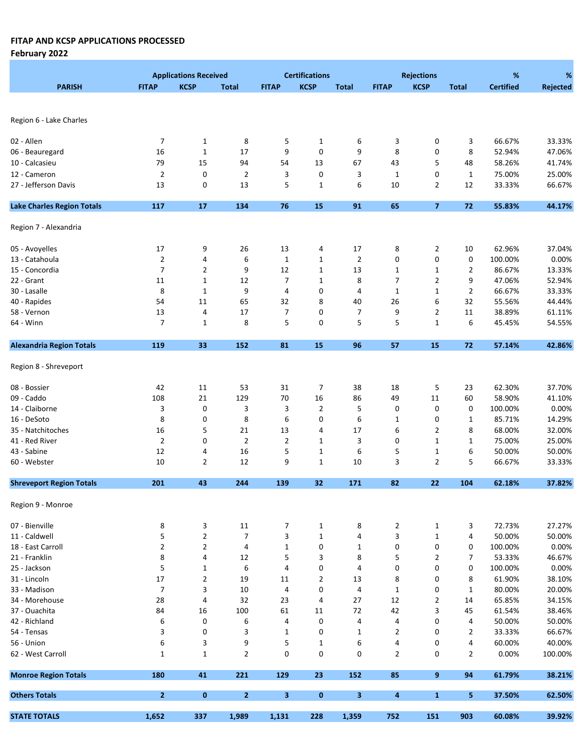|                                   |                | <b>Applications Received</b> |                |                | <b>Certifications</b> |                |                | <b>Rejections</b> |                | %                | %        |
|-----------------------------------|----------------|------------------------------|----------------|----------------|-----------------------|----------------|----------------|-------------------|----------------|------------------|----------|
| <b>PARISH</b>                     | <b>FITAP</b>   | <b>KCSP</b>                  | <b>Total</b>   | <b>FITAP</b>   | <b>KCSP</b>           | <b>Total</b>   | <b>FITAP</b>   | <b>KCSP</b>       | <b>Total</b>   | <b>Certified</b> | Rejected |
|                                   |                |                              |                |                |                       |                |                |                   |                |                  |          |
|                                   |                |                              |                |                |                       |                |                |                   |                |                  |          |
| Region 6 - Lake Charles           |                |                              |                |                |                       |                |                |                   |                |                  |          |
| 02 - Allen                        | 7              | $\mathbf{1}$                 | 8              | 5              | $\mathbf{1}$          | 6              | 3              | 0                 | 3              | 66.67%           | 33.33%   |
| 06 - Beauregard                   | 16             | $\mathbf 1$                  | 17             | 9              | 0                     | 9              | 8              | 0                 | 8              | 52.94%           | 47.06%   |
| 10 - Calcasieu                    | 79             | 15                           | 94             | 54             | 13                    | 67             | 43             | 5                 | 48             | 58.26%           | 41.74%   |
| 12 - Cameron                      | $\overline{2}$ | $\mathbf 0$                  | $\overline{2}$ | 3              | 0                     | 3              | $\mathbf{1}$   | 0                 | $\mathbf{1}$   | 75.00%           | 25.00%   |
| 27 - Jefferson Davis              | 13             | 0                            | 13             | 5              | $\mathbf{1}$          | 6              | 10             | 2                 | 12             | 33.33%           | 66.67%   |
|                                   |                |                              |                |                |                       |                |                |                   |                |                  |          |
| <b>Lake Charles Region Totals</b> | 117            | 17                           | 134            | 76             | 15                    | 91             | 65             | $\overline{7}$    | 72             | 55.83%           | 44.17%   |
| Region 7 - Alexandria             |                |                              |                |                |                       |                |                |                   |                |                  |          |
| 05 - Avoyelles                    | 17             | 9                            | 26             | 13             | 4                     | 17             | 8              | 2                 | 10             | 62.96%           | 37.04%   |
| 13 - Catahoula                    | $\overline{2}$ | 4                            | 6              | $\mathbf{1}$   | $\mathbf{1}$          | $\overline{2}$ | 0              | 0                 | 0              | 100.00%          | 0.00%    |
| 15 - Concordia                    | 7              | $\overline{2}$               | 9              | 12             | $\mathbf{1}$          | 13             | $\mathbf{1}$   | 1                 | $\overline{2}$ | 86.67%           | 13.33%   |
| 22 - Grant                        | 11             | 1                            | 12             | $\overline{7}$ | 1                     | 8              | 7              | 2                 | 9              | 47.06%           | 52.94%   |
|                                   |                |                              |                |                |                       |                |                |                   |                |                  |          |
| 30 - Lasalle                      | 8              | $\mathbf{1}$                 | 9              | 4              | 0                     | 4              | $\mathbf{1}$   | $\mathbf 1$       | $\overline{2}$ | 66.67%           | 33.33%   |
| 40 - Rapides                      | 54             | 11                           | 65             | 32             | 8                     | 40             | 26             | 6                 | 32             | 55.56%           | 44.44%   |
| 58 - Vernon                       | 13             | 4                            | 17             | 7              | 0                     | 7              | 9              | 2                 | 11             | 38.89%           | 61.11%   |
| 64 - Winn                         | 7              | $\mathbf{1}$                 | 8              | 5              | 0                     | 5              | 5              | $\mathbf 1$       | 6              | 45.45%           | 54.55%   |
| <b>Alexandria Region Totals</b>   | 119            | 33                           | 152            | 81             | 15                    | 96             | 57             | 15                | 72             | 57.14%           | 42.86%   |
| Region 8 - Shreveport             |                |                              |                |                |                       |                |                |                   |                |                  |          |
| 08 - Bossier                      | 42             | 11                           | 53             | 31             | 7                     | 38             | 18             | 5                 | 23             | 62.30%           | 37.70%   |
| 09 - Caddo                        | 108            | 21                           | 129            | $70\,$         | 16                    | 86             | 49             | $11\,$            | 60             | 58.90%           | 41.10%   |
| 14 - Claiborne                    | 3              | 0                            | 3              | 3              | $\overline{2}$        | 5              | 0              | 0                 | 0              | 100.00%          | 0.00%    |
| 16 - DeSoto                       | 8              | 0                            | 8              | 6              | 0                     | 6              | $\mathbf{1}$   | 0                 | $\mathbf 1$    | 85.71%           | 14.29%   |
| 35 - Natchitoches                 | 16             | 5                            | 21             | 13             | 4                     | 17             | 6              | 2                 | 8              | 68.00%           | 32.00%   |
| 41 - Red River                    | $\overline{2}$ | 0                            | $\overline{2}$ | $\overline{2}$ | $\mathbf{1}$          | 3              | 0              | $\mathbf 1$       | 1              | 75.00%           | 25.00%   |
| 43 - Sabine                       | 12             | 4                            | 16             | 5              | $1\,$                 | 6              | 5              | 1                 | 6              | 50.00%           | 50.00%   |
| 60 - Webster                      | 10             | $\overline{2}$               | 12             | 9              | $\mathbf{1}$          | 10             | 3              | $\overline{2}$    | 5              | 66.67%           | 33.33%   |
|                                   |                |                              |                |                |                       |                |                |                   |                |                  |          |
| <b>Shreveport Region Totals</b>   | 201            | 43                           | 244            | 139            | 32                    | 171            | 82             | 22                | 104            | 62.18%           | 37.82%   |
| Region 9 - Monroe                 |                |                              |                |                |                       |                |                |                   |                |                  |          |
| 07 - Bienville                    | 8              | 3                            | 11             | 7              | $\mathbf{1}$          | 8              | $\overline{2}$ | $\mathbf{1}$      | 3              | 72.73%           | 27.27%   |
| 11 - Caldwell                     | 5              | $\overline{2}$               | 7              | 3              | $\mathbf{1}$          | 4              | 3              | $\mathbf{1}$      | 4              | 50.00%           | 50.00%   |
| 18 - East Carroll                 | $\overline{2}$ | $\overline{2}$               | 4              | $\mathbf{1}$   | 0                     | $\mathbf{1}$   | 0              | $\pmb{0}$         | 0              | 100.00%          | 0.00%    |
| 21 - Franklin                     | 8              | 4                            | 12             | 5              | 3                     | 8              | 5              | 2                 | 7              | 53.33%           | 46.67%   |
| 25 - Jackson                      | 5              | $\mathbf{1}$                 | 6              | 4              | 0                     | 4              | 0              | 0                 | 0              | 100.00%          | 0.00%    |
| 31 - Lincoln                      | 17             | $\overline{2}$               | 19             | 11             | $\overline{2}$        | 13             | 8              | 0                 | 8              | 61.90%           | 38.10%   |
| 33 - Madison                      | $\overline{7}$ | 3                            | 10             | 4              | 0                     | 4              | $\mathbf{1}$   | 0                 | 1              | 80.00%           | 20.00%   |
| 34 - Morehouse                    | 28             | 4                            | 32             | 23             | 4                     | 27             | 12             | 2                 | 14             | 65.85%           | 34.15%   |
| 37 - Ouachita                     | 84             | 16                           | 100            | 61             | 11                    | 72             | 42             | 3                 | 45             | 61.54%           | 38.46%   |
| 42 - Richland                     | 6              | 0                            | 6              | 4              | 0                     | 4              | 4              | 0                 | 4              | 50.00%           | 50.00%   |
| 54 - Tensas                       | 3              | 0                            | 3              | $\mathbf{1}$   | 0                     | $\mathbf{1}$   | 2              | 0                 | 2              | 33.33%           | 66.67%   |
|                                   |                |                              |                |                |                       |                |                |                   |                |                  |          |
| 56 - Union                        | 6              | 3                            | 9              | 5              | $\mathbf{1}$          | 6              | 4              | 0                 | 4              | 60.00%           | 40.00%   |
| 62 - West Carroll                 | $\mathbf 1$    | $\mathbf{1}$                 | $\mathbf{2}$   | 0              | 0                     | 0              | $\overline{2}$ | 0                 | $\overline{2}$ | 0.00%            | 100.00%  |
| <b>Monroe Region Totals</b>       | 180            | 41                           | 221            | 129            | 23                    | 152            | 85             | 9                 | 94             | 61.79%           | 38.21%   |
| <b>Others Totals</b>              | $\overline{2}$ | $\mathbf 0$                  | $\overline{2}$ | 3              | $\pmb{0}$             | 3              | 4              | $\mathbf{1}$      | 5.             | 37.50%           | 62.50%   |
| <b>STATE TOTALS</b>               | 1,652          | 337                          | 1,989          | 1,131          | 228                   | 1,359          | 752            | 151               | 903            | 60.08%           | 39.92%   |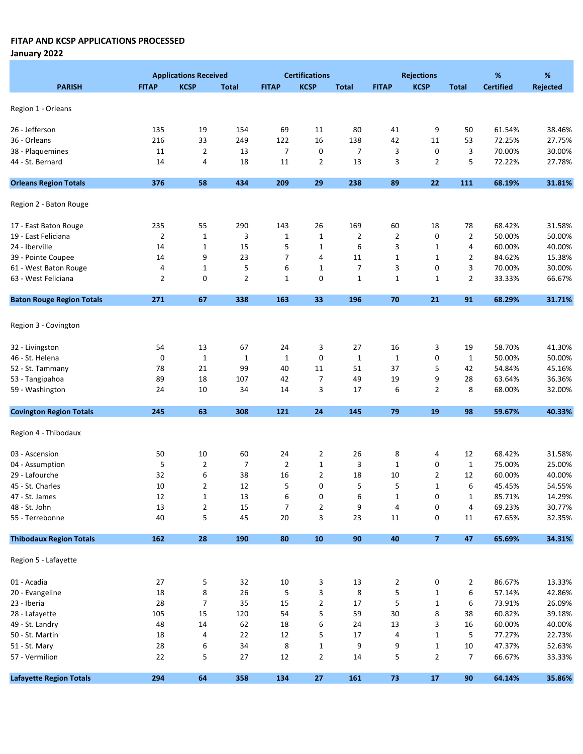January 2022

|                                  |              | <b>Applications Received</b> |                |                | <b>Certifications</b> |                |              | <b>Rejections</b>       |                | %                | %               |
|----------------------------------|--------------|------------------------------|----------------|----------------|-----------------------|----------------|--------------|-------------------------|----------------|------------------|-----------------|
| <b>PARISH</b>                    | <b>FITAP</b> | <b>KCSP</b>                  | <b>Total</b>   | <b>FITAP</b>   | <b>KCSP</b>           | <b>Total</b>   | <b>FITAP</b> | <b>KCSP</b>             | <b>Total</b>   | <b>Certified</b> | <b>Rejected</b> |
|                                  |              |                              |                |                |                       |                |              |                         |                |                  |                 |
| Region 1 - Orleans               |              |                              |                |                |                       |                |              |                         |                |                  |                 |
| 26 - Jefferson                   | 135          | 19                           | 154            | 69             | 11                    | 80             | 41           | 9                       | 50             | 61.54%           | 38.46%          |
| 36 - Orleans                     | 216          | 33                           | 249            | 122            | 16                    | 138            | 42           | 11                      | 53             | 72.25%           | 27.75%          |
| 38 - Plaquemines                 | 11           | $\overline{2}$               | 13             | $\overline{7}$ | 0                     | $\overline{7}$ | 3            | 0                       | 3              | 70.00%           | 30.00%          |
| 44 - St. Bernard                 | 14           | 4                            | 18             | 11             | $\overline{2}$        | 13             | 3            | $\overline{2}$          | 5              | 72.22%           | 27.78%          |
| <b>Orleans Region Totals</b>     | 376          | 58                           | 434            | 209            | 29                    | 238            | 89           | 22                      | 111            | 68.19%           | 31.81%          |
| Region 2 - Baton Rouge           |              |                              |                |                |                       |                |              |                         |                |                  |                 |
| 17 - East Baton Rouge            | 235          | 55                           | 290            | 143            | 26                    | 169            | 60           | 18                      | 78             | 68.42%           | 31.58%          |
| 19 - East Feliciana              | $\mathbf{2}$ | $\mathbf 1$                  | 3              | 1              | $\mathbf{1}$          | $\overline{2}$ | 2            | 0                       | 2              | 50.00%           | 50.00%          |
| 24 - Iberville                   | 14           | $\mathbf 1$                  | 15             | 5              | $\mathbf{1}$          | 6              | 3            | 1                       | 4              | 60.00%           | 40.00%          |
| 39 - Pointe Coupee               | 14           | 9                            | 23             | 7              | 4                     | 11             | $\mathbf{1}$ | 1                       | $\overline{2}$ | 84.62%           | 15.38%          |
| 61 - West Baton Rouge            | 4            | $\mathbf{1}$                 | 5              | 6              | $\mathbf{1}$          | $\overline{7}$ | 3            | 0                       | 3              | 70.00%           | 30.00%          |
| 63 - West Feliciana              | 2            | 0                            | $\overline{2}$ | $\mathbf 1$    | 0                     | $\mathbf 1$    | $\mathbf{1}$ | 1                       | 2              | 33.33%           | 66.67%          |
| <b>Baton Rouge Region Totals</b> | 271          | 67                           | 338            | 163            | 33                    | 196            | 70           | 21                      | 91             | 68.29%           | 31.71%          |
|                                  |              |                              |                |                |                       |                |              |                         |                |                  |                 |
| Region 3 - Covington             |              |                              |                |                |                       |                |              |                         |                |                  |                 |
| 32 - Livingston                  | 54           | 13                           | 67             | 24             | 3                     | 27             | 16           | 3                       | 19             | 58.70%           | 41.30%          |
| 46 - St. Helena                  | 0            | $\mathbf{1}$                 | $1\,$          | $1\,$          | $\pmb{0}$             | $\mathbf{1}$   | $\mathbf{1}$ | 0                       | $\mathbf{1}$   | 50.00%           | 50.00%          |
| 52 - St. Tammany                 | 78           | 21                           | 99             | 40             | 11                    | 51             | 37           | 5                       | 42             | 54.84%           | 45.16%          |
| 53 - Tangipahoa                  | 89           | 18                           | 107            | 42             | $\overline{7}$        | 49             | 19           | 9                       | 28             | 63.64%           | 36.36%          |
| 59 - Washington                  | 24           | 10                           | 34             | 14             | 3                     | 17             | 6            | $\overline{2}$          | 8              | 68.00%           | 32.00%          |
| <b>Covington Region Totals</b>   | 245          | 63                           | 308            | 121            | 24                    | 145            | 79           | 19                      | 98             | 59.67%           | 40.33%          |
|                                  |              |                              |                |                |                       |                |              |                         |                |                  |                 |
| Region 4 - Thibodaux             |              |                              |                |                |                       |                |              |                         |                |                  |                 |
| 03 - Ascension                   | 50           | 10                           | 60             | 24             | 2                     | 26             | 8            | 4                       | 12             | 68.42%           | 31.58%          |
| 04 - Assumption                  | 5            | $\overline{2}$               | $\overline{7}$ | $\overline{2}$ | $\mathbf 1$           | 3              | $\mathbf 1$  | 0                       | $\mathbf{1}$   | 75.00%           | 25.00%          |
| 29 - Lafourche                   | 32           | 6                            | 38             | 16             | $\overline{2}$        | 18             | 10           | 2                       | 12             | 60.00%           | 40.00%          |
| 45 - St. Charles                 | 10           | $\overline{2}$               | 12             | 5              | 0                     | 5              | 5            | $\mathbf 1$             | 6              | 45.45%           | 54.55%          |
| 47 - St. James                   | 12           | 1                            | 13             | 6              | 0                     | 6              | 1            | 0                       | 1              | 85.71%           | 14.29%          |
| 48 - St. John                    | 13           | $\overline{2}$               | 15             | 7              | $\overline{2}$        | 9              | $\pmb{4}$    | 0                       | 4              | 69.23%           | 30.77%          |
| 55 - Terrebonne                  | 40           | 5                            | 45             | 20             | 3                     | 23             | 11           | 0                       | 11             | 67.65%           | 32.35%          |
| <b>Thibodaux Region Totals</b>   | 162          | 28                           | 190            | ${\bf 80}$     | 10                    | $90\,$         | 40           | $\overline{\mathbf{z}}$ | 47             | 65.69%           | 34.31%          |
| Region 5 - Lafayette             |              |                              |                |                |                       |                |              |                         |                |                  |                 |
| 01 - Acadia                      | 27           | 5                            | 32             | 10             | 3                     | 13             | 2            | 0                       | 2              | 86.67%           | 13.33%          |
| 20 - Evangeline                  | 18           | 8                            | 26             | 5              | 3                     | 8              | 5            | $\mathbf 1$             | 6              | 57.14%           | 42.86%          |
| 23 - Iberia                      | 28           | $\overline{7}$               | 35             | 15             | $\overline{2}$        | 17             | 5            | $\mathbf 1$             | 6              | 73.91%           | 26.09%          |
| 28 - Lafayette                   | 105          | 15                           | 120            | 54             | 5                     | 59             | 30           | 8                       | 38             | 60.82%           | 39.18%          |
| 49 - St. Landry                  | 48           | 14                           | 62             | 18             | 6                     | 24             | 13           | 3                       | 16             | 60.00%           | 40.00%          |
| 50 - St. Martin                  | 18           | 4                            | 22             | 12             | 5                     | 17             | 4            | 1                       | 5              | 77.27%           | 22.73%          |
| 51 - St. Mary                    | 28           | 6                            | 34             | 8              | $\mathbf 1$           | 9              | 9            | 1                       | 10             | 47.37%           | 52.63%          |
| 57 - Vermilion                   | 22           | 5                            | 27             | 12             | $\overline{2}$        | 14             | 5            | $\overline{2}$          | 7              | 66.67%           | 33.33%          |
| <b>Lafayette Region Totals</b>   | 294          | 64                           | 358            | 134            | 27                    | 161            | 73           | 17                      | 90             | 64.14%           | 35.86%          |
|                                  |              |                              |                |                |                       |                |              |                         |                |                  |                 |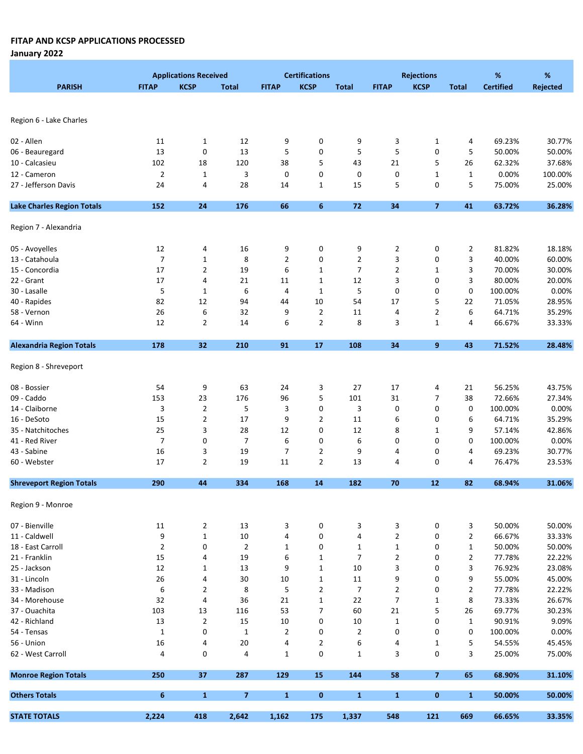January 2022

|                                   |                | <b>Applications Received</b> |                         |                | <b>Certifications</b> |                |                | <b>Rejections</b>        |                | $\%$             | $\%$            |
|-----------------------------------|----------------|------------------------------|-------------------------|----------------|-----------------------|----------------|----------------|--------------------------|----------------|------------------|-----------------|
| <b>PARISH</b>                     | <b>FITAP</b>   | <b>KCSP</b>                  | <b>Total</b>            | <b>FITAP</b>   | <b>KCSP</b>           | <b>Total</b>   | <b>FITAP</b>   | <b>KCSP</b>              | <b>Total</b>   | <b>Certified</b> | <b>Rejected</b> |
|                                   |                |                              |                         |                |                       |                |                |                          |                |                  |                 |
|                                   |                |                              |                         |                |                       |                |                |                          |                |                  |                 |
| Region 6 - Lake Charles           |                |                              |                         |                |                       |                |                |                          |                |                  |                 |
|                                   |                |                              |                         |                |                       |                |                |                          |                |                  |                 |
| 02 - Allen                        | 11             | $\mathbf{1}$                 | 12                      | 9              | 0                     | 9              | 3              | 1                        | 4              | 69.23%           | 30.77%          |
| 06 - Beauregard                   | 13             | 0                            | 13                      | 5              | 0                     | 5              | 5              | 0                        | 5              | 50.00%           | 50.00%          |
| 10 - Calcasieu                    | 102            | 18                           | 120                     | 38             | 5                     | 43             | 21             | 5                        | 26             | 62.32%           | 37.68%          |
| 12 - Cameron                      | $\overline{2}$ | $\mathbf{1}$                 | 3                       | 0              | 0                     | 0              | 0              | 1                        | $\mathbf{1}$   | 0.00%            | 100.00%         |
| 27 - Jefferson Davis              | 24             | 4                            | 28                      | 14             | $1\,$                 | 15             | 5              | 0                        | 5              | 75.00%           | 25.00%          |
| <b>Lake Charles Region Totals</b> | 152            | 24                           | 176                     | 66             | $6\phantom{1}6$       | 72             | 34             | $\overline{\phantom{a}}$ | 41             | 63.72%           | 36.28%          |
| Region 7 - Alexandria             |                |                              |                         |                |                       |                |                |                          |                |                  |                 |
|                                   |                |                              |                         |                |                       |                |                |                          |                |                  |                 |
| 05 - Avoyelles                    | 12             | 4                            | 16                      | 9              | 0                     | 9              | $\overline{2}$ | 0                        | 2              | 81.82%           | 18.18%          |
| 13 - Catahoula                    | $\overline{7}$ | $\mathbf{1}$                 | 8                       | $\overline{2}$ | 0                     | 2              | 3              | 0                        | 3              | 40.00%           | 60.00%          |
| 15 - Concordia                    | 17             | 2                            | 19                      | 6              | $\mathbf{1}$          | 7              | 2              | 1                        | 3              | 70.00%           | 30.00%          |
| 22 - Grant                        | 17             | 4                            | 21                      | 11             | $\mathbf{1}$          | 12             | 3              | 0                        | 3              | 80.00%           | 20.00%          |
| 30 - Lasalle                      | 5              | $\mathbf{1}$                 | 6                       | 4              | $\mathbf{1}$          | 5              | 0              | 0                        | 0              | 100.00%          | 0.00%           |
| 40 - Rapides                      | 82             | 12                           | 94                      | 44             | 10                    | 54             | 17             | 5                        | 22             | 71.05%           | 28.95%          |
| 58 - Vernon                       | 26             | 6                            | 32                      | 9              | $\overline{2}$        | 11             | 4              | 2                        | 6              | 64.71%           | 35.29%          |
| 64 - Winn                         | 12             | 2                            | 14                      | 6              | $\overline{2}$        | 8              | 3              | $\mathbf{1}$             | 4              | 66.67%           | 33.33%          |
| <b>Alexandria Region Totals</b>   | 178            | 32                           | 210                     | 91             | 17                    | 108            | 34             | 9                        | 43             | 71.52%           | 28.48%          |
|                                   |                |                              |                         |                |                       |                |                |                          |                |                  |                 |
| Region 8 - Shreveport             |                |                              |                         |                |                       |                |                |                          |                |                  |                 |
| 08 - Bossier                      | 54             | 9                            | 63                      | 24             | 3                     | 27             | 17             | 4                        | 21             | 56.25%           | 43.75%          |
| 09 - Caddo                        | 153            | 23                           | 176                     | 96             | 5                     | 101            | 31             | $\overline{7}$           | 38             | 72.66%           | 27.34%          |
| 14 - Claiborne                    | 3              | $\overline{2}$               | 5                       | 3              | 0                     | 3              | 0              | 0                        | 0              | 100.00%          | 0.00%           |
| 16 - DeSoto                       | 15             | $\mathbf{2}$                 | 17                      | 9              | $\overline{2}$        | 11             | 6              | 0                        | 6              | 64.71%           | 35.29%          |
| 35 - Natchitoches                 | 25             | 3                            | 28                      | 12             | 0                     | 12             | 8              | 1                        | 9              | 57.14%           | 42.86%          |
| 41 - Red River                    | $\overline{7}$ | 0                            | $\overline{7}$          | 6              | 0                     | 6              | 0              | 0                        | 0              | 100.00%          | 0.00%           |
| 43 - Sabine                       | 16             | 3                            | 19                      | $\overline{7}$ | $\overline{2}$        | 9              | 4              | 0                        | 4              | 69.23%           | 30.77%          |
| 60 - Webster                      | 17             | $\mathbf{2}$                 | 19                      | 11             | $\overline{2}$        | 13             | 4              | 0                        | 4              | 76.47%           | 23.53%          |
|                                   |                |                              |                         |                |                       |                |                |                          |                |                  |                 |
| <b>Shreveport Region Totals</b>   | 290            | 44                           | 334                     | 168            | 14                    | 182            | 70             | 12                       | 82             | 68.94%           | 31.06%          |
| Region 9 - Monroe                 |                |                              |                         |                |                       |                |                |                          |                |                  |                 |
| 07 - Bienville                    | 11             | $\overline{2}$               | 13                      | 3              | 0                     | 3              | 3              | 0                        | 3              | 50.00%           | 50.00%          |
| 11 - Caldwell                     | 9              | $\mathbf 1$                  | $10\,$                  | 4              | $\pmb{0}$             | 4              | $\overline{2}$ | 0                        | $\overline{2}$ | 66.67%           | 33.33%          |
| 18 - East Carroll                 | $\overline{2}$ | 0                            | $\overline{2}$          | $\mathbf{1}$   | 0                     | $\mathbf{1}$   | $\mathbf 1$    | 0                        | $\mathbf{1}$   | 50.00%           | 50.00%          |
| 21 - Franklin                     | 15             | 4                            | 19                      | 6              | $\mathbf 1$           | $\overline{7}$ | $\overline{2}$ | 0                        | $\overline{2}$ | 77.78%           | 22.22%          |
| 25 - Jackson                      | 12             | $\mathbf{1}$                 | 13                      | 9              | $\mathbf 1$           | 10             | 3              | 0                        | 3              | 76.92%           | 23.08%          |
| 31 - Lincoln                      | 26             | 4                            | 30                      | 10             | $1\,$                 | 11             | 9              | 0                        | 9              | 55.00%           | 45.00%          |
| 33 - Madison                      | 6              | 2                            | 8                       | 5              | $\overline{2}$        | $\overline{7}$ | $\mathbf{2}$   | 0                        | 2              | 77.78%           | 22.22%          |
| 34 - Morehouse                    | 32             | 4                            | 36                      | 21             | $\mathbf{1}$          | 22             | 7              | 1                        | 8              | 73.33%           | 26.67%          |
| 37 - Ouachita                     | 103            | 13                           | 116                     | 53             | $\overline{7}$        | 60             | 21             | 5                        | 26             | 69.77%           | 30.23%          |
| 42 - Richland                     | 13             |                              |                         |                | 0                     |                | $\mathbf{1}$   | 0                        | $\mathbf{1}$   | 90.91%           | 9.09%           |
| 54 - Tensas                       |                | $\overline{2}$<br>0          | 15                      | 10             | 0                     | 10             | 0              | 0                        | 0              |                  |                 |
|                                   | $\mathbf 1$    |                              | $\mathbf{1}$            | 2              |                       | $\overline{2}$ |                |                          |                | 100.00%          | 0.00%           |
| 56 - Union                        | 16             | 4                            | 20                      | 4              | $\overline{2}$        | 6              | 4              | 1                        | 5              | 54.55%           | 45.45%          |
| 62 - West Carroll                 | 4              | 0                            | 4                       | 1              | 0                     | $\mathbf{1}$   | 3              | 0                        | 3              | 25.00%           | 75.00%          |
| <b>Monroe Region Totals</b>       | 250            | 37                           | 287                     | 129            | 15                    | 144            | 58             | $\overline{7}$           | 65             | 68.90%           | 31.10%          |
| <b>Others Totals</b>              | 6              | $\mathbf{1}$                 | $\overline{\mathbf{z}}$ | $\mathbf{1}$   | $\pmb{0}$             | $\mathbf{1}$   | $\mathbf{1}$   | $\bf{0}$                 | $\mathbf{1}$   | 50.00%           | 50.00%          |
| <b>STATE TOTALS</b>               | 2,224          | 418                          | 2,642                   | 1,162          | 175                   | 1,337          | 548            | 121                      | 669            | 66.65%           | 33.35%          |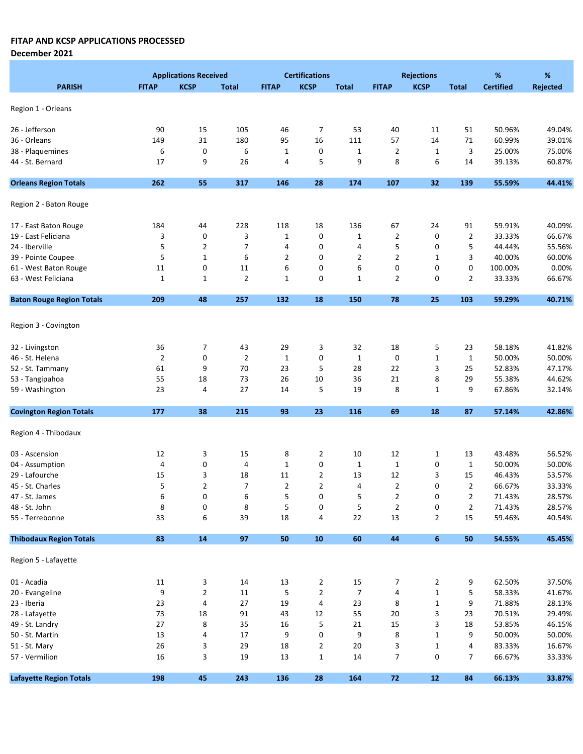December 2021

|                                  |                | <b>Applications Received</b> |                |                | <b>Certifications</b> |                |                | <b>Rejections</b> |                | %                | %               |
|----------------------------------|----------------|------------------------------|----------------|----------------|-----------------------|----------------|----------------|-------------------|----------------|------------------|-----------------|
| <b>PARISH</b>                    | <b>FITAP</b>   | <b>KCSP</b>                  | <b>Total</b>   | <b>FITAP</b>   | <b>KCSP</b>           | <b>Total</b>   | <b>FITAP</b>   | <b>KCSP</b>       | <b>Total</b>   | <b>Certified</b> | <b>Rejected</b> |
|                                  |                |                              |                |                |                       |                |                |                   |                |                  |                 |
| Region 1 - Orleans               |                |                              |                |                |                       |                |                |                   |                |                  |                 |
| 26 - Jefferson                   | 90             | 15                           | 105            | 46             | 7                     | 53             | 40             | 11                | 51             | 50.96%           | 49.04%          |
| 36 - Orleans                     | 149            | 31                           | 180            | 95             | 16                    | 111            | 57             | 14                | 71             | 60.99%           | 39.01%          |
| 38 - Plaquemines                 | 6              | 0                            | 6              | $\mathbf{1}$   | 0                     | $\mathbf 1$    | $\overline{2}$ | $\mathbf{1}$      | 3              | 25.00%           | 75.00%          |
| 44 - St. Bernard                 | 17             | 9                            | 26             | 4              | 5                     | 9              | 8              | 6                 | 14             | 39.13%           | 60.87%          |
| <b>Orleans Region Totals</b>     | 262            | 55                           | 317            | 146            | 28                    | 174            | 107            | 32                | 139            | 55.59%           | 44.41%          |
| Region 2 - Baton Rouge           |                |                              |                |                |                       |                |                |                   |                |                  |                 |
| 17 - East Baton Rouge            | 184            | 44                           | 228            | 118            | 18                    | 136            | 67             | 24                | 91             | 59.91%           | 40.09%          |
| 19 - East Feliciana              | 3              | 0                            | 3              | $\mathbf{1}$   | 0                     | $\mathbf{1}$   | 2              | 0                 | 2              | 33.33%           | 66.67%          |
| 24 - Iberville                   | 5              | $\overline{2}$               | 7              | 4              | 0                     | 4              | 5              | 0                 | 5              | 44.44%           | 55.56%          |
| 39 - Pointe Coupee               | 5              | $\mathbf 1$                  | 6              | 2              | 0                     | 2              | $\overline{2}$ | 1                 | 3              | 40.00%           | 60.00%          |
| 61 - West Baton Rouge            | 11             | 0                            | 11             | 6              | 0                     | 6              | 0              | 0                 | 0              | 100.00%          | 0.00%           |
| 63 - West Feliciana              | 1              | $\mathbf{1}$                 | $\overline{2}$ | $\mathbf{1}$   | 0                     | 1              | 2              | 0                 | $\overline{2}$ | 33.33%           | 66.67%          |
| <b>Baton Rouge Region Totals</b> | 209            | 48                           | 257            | 132            | 18                    | 150            | 78             | 25                | 103            | 59.29%           | 40.71%          |
|                                  |                |                              |                |                |                       |                |                |                   |                |                  |                 |
| Region 3 - Covington             |                |                              |                |                |                       |                |                |                   |                |                  |                 |
| 32 - Livingston                  | 36             | 7                            | 43             | 29             | 3                     | 32             | 18             | 5                 | 23             | 58.18%           | 41.82%          |
| 46 - St. Helena                  | $\overline{2}$ | $\pmb{0}$                    | $\overline{2}$ | $\mathbf{1}$   | 0                     | $\mathbf 1$    | $\mathbf 0$    | $\mathbf{1}$      | $\mathbf{1}$   | 50.00%           | 50.00%          |
| 52 - St. Tammany                 | 61             | 9                            | 70             | 23             | 5                     | 28             | 22             | 3                 | 25             | 52.83%           | 47.17%          |
| 53 - Tangipahoa                  | 55             | 18                           | 73             | 26             | 10                    | 36             | 21             | 8                 | 29             | 55.38%           | 44.62%          |
| 59 - Washington                  | 23             | 4                            | 27             | 14             | 5                     | 19             | 8              | $\mathbf 1$       | 9              | 67.86%           | 32.14%          |
| <b>Covington Region Totals</b>   | 177            | 38                           | 215            | 93             | 23                    | 116            | 69             | 18                | 87             | 57.14%           | 42.86%          |
|                                  |                |                              |                |                |                       |                |                |                   |                |                  |                 |
| Region 4 - Thibodaux             |                |                              |                |                |                       |                |                |                   |                |                  |                 |
| 03 - Ascension                   | 12             | 3                            | 15             | 8              | 2                     | 10             | 12             | 1                 | 13             | 43.48%           | 56.52%          |
| 04 - Assumption                  | 4              | 0                            | 4              | $\mathbf{1}$   | 0                     | $\mathbf 1$    | $\mathbf{1}$   | 0                 | 1              | 50.00%           | 50.00%          |
| 29 - Lafourche                   | 15             | 3                            | 18             | 11             | $\overline{2}$        | 13             | 12             | 3                 | 15             | 46.43%           | 53.57%          |
| 45 - St. Charles                 | 5              | $\overline{2}$               | $\overline{7}$ | $\overline{2}$ | $\overline{2}$        | 4              | $\overline{2}$ | 0                 | $\overline{2}$ | 66.67%           | 33.33%          |
| 47 - St. James                   | 6              | 0                            | 6              | 5              | 0                     | 5              | 2              | 0                 | 2              | 71.43%           | 28.57%          |
| 48 - St. John                    | 8              | 0                            | 8              | 5              | 0                     | 5              | $\overline{2}$ | 0                 | $\overline{2}$ | 71.43%           | 28.57%          |
| 55 - Terrebonne                  | 33             | 6                            | 39             | 18             | 4                     | 22             | 13             | $\overline{2}$    | 15             | 59.46%           | 40.54%          |
| <b>Thibodaux Region Totals</b>   | 83             | 14                           | 97             | 50             | 10                    | 60             | 44             | 6                 | 50             | 54.55%           | 45.45%          |
| Region 5 - Lafayette             |                |                              |                |                |                       |                |                |                   |                |                  |                 |
| 01 - Acadia                      | 11             | 3                            | 14             | 13             | $\overline{2}$        | 15             | 7              | $\overline{2}$    | 9              | 62.50%           | 37.50%          |
| 20 - Evangeline                  | 9              | $\sqrt{2}$                   | $11\,$         | 5              | $\overline{2}$        | $\overline{7}$ | 4              | $\mathbf 1$       | 5              | 58.33%           | 41.67%          |
| 23 - Iberia                      | 23             | 4                            | 27             | 19             | 4                     | 23             | 8              | $\mathbf 1$       | 9              | 71.88%           | 28.13%          |
| 28 - Lafayette                   | 73             | 18                           | 91             | 43             | 12                    | 55             | 20             | 3                 | 23             | 70.51%           | 29.49%          |
| 49 - St. Landry                  | 27             | 8                            | 35             | 16             | 5                     | 21             | 15             | 3                 | 18             | 53.85%           | 46.15%          |
| 50 - St. Martin                  | 13             | 4                            | 17             | 9              | 0                     | 9              | 8              | $\mathbf 1$       | 9              | 50.00%           | 50.00%          |
| 51 - St. Mary                    | 26             | 3                            | 29             | 18             | $\overline{2}$        | 20             | 3              | $\mathbf{1}$      | 4              | 83.33%           | 16.67%          |
| 57 - Vermilion                   | 16             | 3                            | 19             | 13             | $\mathbf{1}$          | 14             | 7              | 0                 | 7              | 66.67%           | 33.33%          |
| <b>Lafayette Region Totals</b>   | 198            | 45                           | 243            | 136            | 28                    | 164            | 72             | $12$              | 84             | 66.13%           | 33.87%          |
|                                  |                |                              |                |                |                       |                |                |                   |                |                  |                 |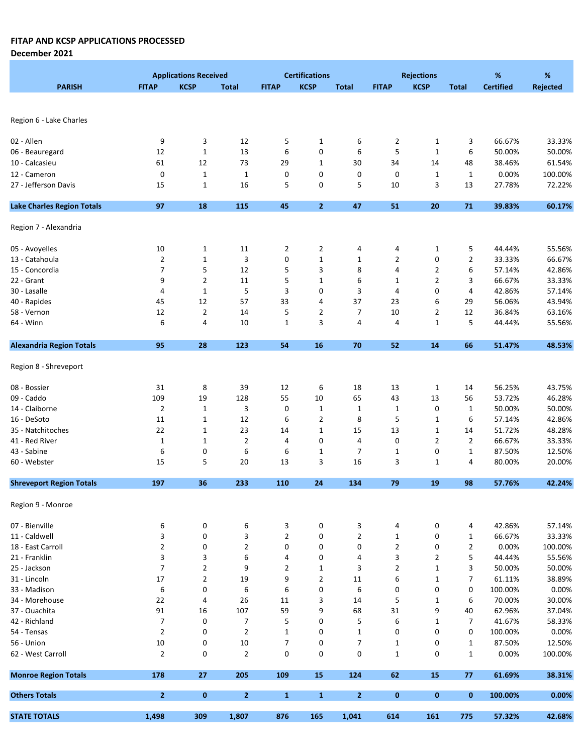|                                   |                | <b>Applications Received</b> |                |                | <b>Certifications</b> |                |                | <b>Rejections</b> |                | %                | %        |
|-----------------------------------|----------------|------------------------------|----------------|----------------|-----------------------|----------------|----------------|-------------------|----------------|------------------|----------|
| <b>PARISH</b>                     | <b>FITAP</b>   | <b>KCSP</b>                  | <b>Total</b>   | <b>FITAP</b>   | <b>KCSP</b>           | <b>Total</b>   | <b>FITAP</b>   | <b>KCSP</b>       | <b>Total</b>   | <b>Certified</b> | Rejected |
|                                   |                |                              |                |                |                       |                |                |                   |                |                  |          |
|                                   |                |                              |                |                |                       |                |                |                   |                |                  |          |
| Region 6 - Lake Charles           |                |                              |                |                |                       |                |                |                   |                |                  |          |
|                                   |                |                              |                |                |                       |                |                |                   |                |                  |          |
| 02 - Allen                        | 9              | 3<br>$\mathbf 1$             | 12             | 5              | $\mathbf{1}$          | 6<br>6         | 2<br>5         | $\mathbf{1}$      | 3              | 66.67%           | 33.33%   |
| 06 - Beauregard                   | 12             |                              | 13             | 6              | 0                     |                |                | $\mathbf{1}$      | 6              | 50.00%           | 50.00%   |
| 10 - Calcasieu                    | 61             | 12                           | 73             | 29             | $\mathbf 1$           | 30             | 34             | 14                | 48             | 38.46%           | 61.54%   |
| 12 - Cameron                      | 0              | $\mathbf 1$                  | $\mathbf 1$    | 0              | 0                     | 0              | 0              | $\mathbf{1}$      | $\mathbf{1}$   | 0.00%            | 100.00%  |
| 27 - Jefferson Davis              | 15             | $\mathbf{1}$                 | 16             | 5              | 0                     | 5              | 10             | 3                 | 13             | 27.78%           | 72.22%   |
| <b>Lake Charles Region Totals</b> | 97             | 18                           | 115            | 45             | $\overline{2}$        | 47             | 51             | 20                | 71             | 39.83%           | 60.17%   |
| Region 7 - Alexandria             |                |                              |                |                |                       |                |                |                   |                |                  |          |
| 05 - Avoyelles                    | 10             | $\mathbf{1}$                 | 11             | 2              | $\overline{2}$        | 4              | 4              | $\mathbf{1}$      | 5              | 44.44%           | 55.56%   |
| 13 - Catahoula                    | $\overline{2}$ | $\mathbf 1$                  | 3              | 0              | $\mathbf 1$           | $\mathbf{1}$   | 2              | 0                 | $\overline{2}$ | 33.33%           | 66.67%   |
| 15 - Concordia                    | 7              | 5                            | 12             | 5              | 3                     | 8              | 4              | 2                 | 6              | 57.14%           | 42.86%   |
| 22 - Grant                        | 9              | $\overline{2}$               | 11             | 5              | $\mathbf{1}$          |                | 1              | 2                 | 3              | 66.67%           | 33.33%   |
|                                   |                |                              |                |                |                       | 6              |                |                   |                |                  |          |
| 30 - Lasalle                      | 4              | $\mathbf{1}$                 | 5              | 3              | 0                     | 3              | 4              | 0                 | 4              | 42.86%           | 57.14%   |
| 40 - Rapides                      | 45             | 12                           | 57             | 33             | 4                     | 37             | 23             | 6                 | 29             | 56.06%           | 43.94%   |
| 58 - Vernon                       | 12             | $\overline{2}$               | 14             | 5              | $\overline{2}$        | 7              | 10             | $\overline{2}$    | 12             | 36.84%           | 63.16%   |
| 64 - Winn                         | 6              | 4                            | 10             | $\mathbf{1}$   | 3                     | 4              | 4              | $\mathbf 1$       | 5              | 44.44%           | 55.56%   |
| <b>Alexandria Region Totals</b>   | 95             | 28                           | 123            | 54             | 16                    | 70             | 52             | 14                | 66             | 51.47%           | 48.53%   |
| Region 8 - Shreveport             |                |                              |                |                |                       |                |                |                   |                |                  |          |
| 08 - Bossier                      | 31             | 8                            | 39             | 12             | 6                     | 18             | 13             | $\mathbf{1}$      | 14             | 56.25%           | 43.75%   |
| 09 - Caddo                        | 109            | 19                           | 128            | 55             | 10                    | 65             | 43             | 13                | 56             | 53.72%           | 46.28%   |
| 14 - Claiborne                    | $\overline{2}$ | $\mathbf{1}$                 | 3              | 0              | $\mathbf{1}$          | 1              | $\mathbf{1}$   | 0                 | $\mathbf{1}$   | 50.00%           | 50.00%   |
| 16 - DeSoto                       | 11             | $\mathbf 1$                  | 12             | 6              | $\overline{2}$        | 8              | 5              | $\mathbf{1}$      | 6              | 57.14%           | 42.86%   |
| 35 - Natchitoches                 | 22             | $\mathbf{1}$                 | 23             | 14             | $\mathbf{1}$          | 15             | 13             | $\mathbf{1}$      | 14             | 51.72%           | 48.28%   |
| 41 - Red River                    | $\mathbf 1$    | $\mathbf{1}$                 | $\overline{2}$ | 4              | 0                     | 4              | 0              | $\overline{2}$    | $\overline{2}$ | 66.67%           | 33.33%   |
| 43 - Sabine                       | 6              | 0                            | 6              | 6              | $\mathbf 1$           | $\overline{7}$ | $\mathbf{1}$   | 0                 | $\mathbf{1}$   | 87.50%           | 12.50%   |
| 60 - Webster                      | 15             | 5                            | 20             | 13             | 3                     | 16             | 3              | 1                 | 4              | 80.00%           | 20.00%   |
|                                   |                |                              |                |                |                       |                |                |                   |                |                  |          |
| <b>Shreveport Region Totals</b>   | 197            | 36                           | 233            | 110            | 24                    | 134            | 79             | 19                | 98             | 57.76%           | 42.24%   |
| Region 9 - Monroe                 |                |                              |                |                |                       |                |                |                   |                |                  |          |
| 07 - Bienville                    | 6              | 0                            | 6              | 3              | 0                     | 3              | 4              | 0                 | 4              | 42.86%           | 57.14%   |
| 11 - Caldwell                     | 3              | 0                            | 3              | $\overline{2}$ | 0                     | $\overline{2}$ | $\mathbf{1}$   | 0                 | 1              | 66.67%           | 33.33%   |
| 18 - East Carroll                 | $\overline{2}$ | 0                            | $\overline{2}$ | 0              | 0                     | 0              | $\overline{2}$ | 0                 | $\overline{2}$ | 0.00%            | 100.00%  |
| 21 - Franklin                     | 3              | 3                            | 6              | 4              | 0                     | 4              | 3              | $\overline{2}$    | 5              | 44.44%           | 55.56%   |
| 25 - Jackson                      | $\overline{7}$ | $\mathbf{2}$                 | 9              | $\overline{2}$ | $\mathbf 1$           | 3              | $\overline{2}$ | $\mathbf{1}$      | 3              | 50.00%           | 50.00%   |
| 31 - Lincoln                      | 17             | $\overline{\mathbf{c}}$      | 19             | 9              | $\overline{2}$        | 11             | 6              | 1                 | 7              | 61.11%           | 38.89%   |
| 33 - Madison                      | 6              | 0                            | 6              | 6              | 0                     | 6              | 0              | 0                 | 0              | 100.00%          | 0.00%    |
| 34 - Morehouse                    | 22             | 4                            | 26             | 11             | 3                     | 14             | 5              | 1                 | 6              | 70.00%           | 30.00%   |
| 37 - Ouachita                     | 91             | 16                           | 107            | 59             | 9                     | 68             | 31             | 9                 | 40             | 62.96%           | 37.04%   |
| 42 - Richland                     | $\overline{7}$ | 0                            | 7              | 5              | 0                     | 5              | 6              | 1                 | 7              | 41.67%           | 58.33%   |
| 54 - Tensas                       | $\overline{2}$ | 0                            | $\overline{2}$ | $\mathbf 1$    | 0                     | $\mathbf{1}$   | 0              | 0                 | 0              | 100.00%          | 0.00%    |
| 56 - Union                        | $10\,$         | 0                            | 10             | $\overline{7}$ | 0                     | $\overline{7}$ | $\mathbf{1}$   | 0                 | $\mathbf{1}$   | 87.50%           | 12.50%   |
| 62 - West Carroll                 | $\overline{2}$ | 0                            | $\overline{2}$ | 0              | 0                     | 0              | $\mathbf{1}$   | 0                 | $\mathbf{1}$   | 0.00%            | 100.00%  |
| <b>Monroe Region Totals</b>       | 178            | 27                           | 205            | 109            | 15                    | 124            | 62             | 15                | 77             | 61.69%           | 38.31%   |
| <b>Others Totals</b>              | $\overline{2}$ | $\mathbf{0}$                 | $\mathbf{2}$   | $\mathbf{1}$   | $\mathbf{1}$          | $\overline{2}$ | $\mathbf 0$    | $\bf{0}$          | 0              | 100.00%          | 0.00%    |
| <b>STATE TOTALS</b>               | 1,498          | 309                          | 1,807          | 876            | 165                   | 1,041          | 614            | 161               | 775            | 57.32%           | 42.68%   |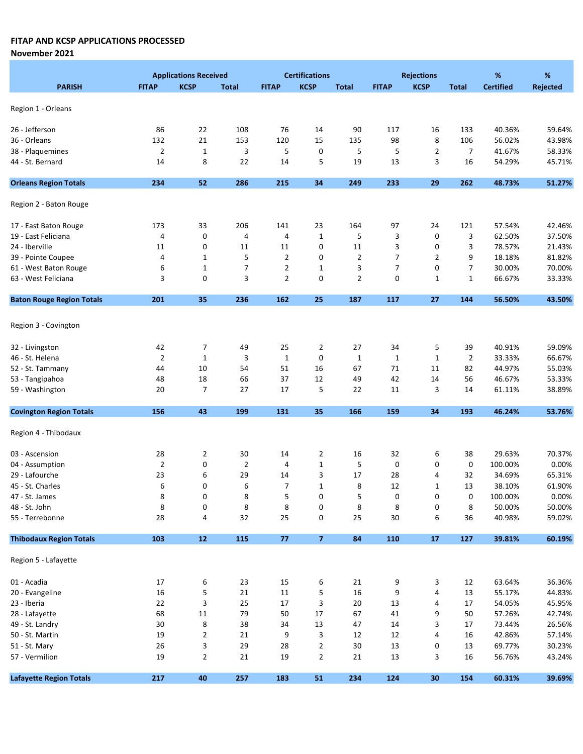November 2021

|                                  | <b>Applications Received</b> |                           |                |                | <b>Certifications</b>     |                | <b>Rejections</b> |                |                | %                | %                |  |
|----------------------------------|------------------------------|---------------------------|----------------|----------------|---------------------------|----------------|-------------------|----------------|----------------|------------------|------------------|--|
| <b>PARISH</b>                    | <b>FITAP</b>                 | <b>KCSP</b>               | <b>Total</b>   | <b>FITAP</b>   | <b>KCSP</b>               | <b>Total</b>   | <b>FITAP</b>      | <b>KCSP</b>    | <b>Total</b>   | <b>Certified</b> | <b>Rejected</b>  |  |
|                                  |                              |                           |                |                |                           |                |                   |                |                |                  |                  |  |
| Region 1 - Orleans               |                              |                           |                |                |                           |                |                   |                |                |                  |                  |  |
| 26 - Jefferson                   | 86                           | 22                        | 108            | 76             | 14                        | 90             | 117               | 16             | 133            | 40.36%           | 59.64%           |  |
| 36 - Orleans                     | 132                          | 21                        | 153            | 120            | 15                        | 135            | 98                | 8              | 106            | 56.02%           | 43.98%           |  |
| 38 - Plaquemines                 | $\overline{2}$               | $\mathbf 1$               | 3              | 5              | 0                         | 5              | 5                 | $\overline{2}$ | $\overline{7}$ | 41.67%           | 58.33%           |  |
| 44 - St. Bernard                 | 14                           | 8                         | 22             | 14             | 5                         | 19             | 13                | 3              | 16             | 54.29%           | 45.71%           |  |
| <b>Orleans Region Totals</b>     | 234                          | 52                        | 286            | 215            | 34                        | 249            | 233               | 29             | 262            | 48.73%           | 51.27%           |  |
|                                  |                              |                           |                |                |                           |                |                   |                |                |                  |                  |  |
| Region 2 - Baton Rouge           |                              |                           |                |                |                           |                |                   |                |                |                  |                  |  |
| 17 - East Baton Rouge            | 173                          | 33                        | 206            | 141            | 23                        | 164            | 97                | 24             | 121            | 57.54%           | 42.46%           |  |
| 19 - East Feliciana              | 4                            | 0                         | 4              | 4              | $\mathbf{1}$              | 5              | 3                 | 0              | 3              | 62.50%           | 37.50%           |  |
| 24 - Iberville                   | 11                           | 0                         | 11             | 11             | 0                         | 11             | 3                 | 0              | 3              | 78.57%           | 21.43%           |  |
| 39 - Pointe Coupee               | 4                            | 1                         | 5              | $\overline{2}$ | 0                         | $\overline{2}$ | 7                 | $\overline{2}$ | 9              | 18.18%           | 81.82%           |  |
| 61 - West Baton Rouge            | 6                            | $\mathbf{1}$              | $\overline{7}$ | 2              | $\mathbf{1}$              | 3              | 7                 | 0              | 7              | 30.00%           | 70.00%           |  |
| 63 - West Feliciana              | 3                            | $\mathbf 0$               | 3              | $\overline{2}$ | 0                         | $\overline{2}$ | 0                 | $\mathbf{1}$   | $\mathbf{1}$   | 66.67%           | 33.33%           |  |
| <b>Baton Rouge Region Totals</b> | 201                          | 35                        | 236            | 162            | 25                        | 187            | 117               | 27             | 144            | 56.50%           | 43.50%           |  |
|                                  |                              |                           |                |                |                           |                |                   |                |                |                  |                  |  |
| Region 3 - Covington             |                              |                           |                |                |                           |                |                   |                |                |                  |                  |  |
| 32 - Livingston                  | 42                           | 7                         | 49             | 25             | $\overline{2}$            | 27             | 34                | 5              | 39             | 40.91%           | 59.09%           |  |
| 46 - St. Helena                  | $\overline{2}$               | $\mathbf 1$               | 3              | $\mathbf{1}$   | 0                         | $\mathbf{1}$   | $\mathbf{1}$      | $\mathbf{1}$   | $\overline{2}$ | 33.33%           | 66.67%           |  |
| 52 - St. Tammany                 | 44                           | 10                        | 54             | 51             | 16                        | 67             | 71                | 11             | 82             | 44.97%           | 55.03%           |  |
| 53 - Tangipahoa                  | 48                           | 18                        | 66             | 37             | 12                        | 49             | 42                | 14             | 56             | 46.67%           | 53.33%           |  |
| 59 - Washington                  | 20                           | $\overline{7}$            | 27             | 17             | 5                         | 22             | 11                | 3              | 14             | 61.11%           | 38.89%           |  |
| <b>Covington Region Totals</b>   | 156                          | 43                        | 199            | 131            | 35                        | 166            | 159               | 34             | 193            | 46.24%           | 53.76%           |  |
|                                  |                              |                           |                |                |                           |                |                   |                |                |                  |                  |  |
| Region 4 - Thibodaux             |                              |                           |                |                |                           |                |                   |                |                |                  |                  |  |
| 03 - Ascension                   | 28                           | $\overline{2}$            | 30             | 14             | $\overline{2}$            | 16             | 32                | 6              | 38             | 29.63%           | 70.37%           |  |
| 04 - Assumption                  | $\overline{2}$               | 0                         | $\overline{2}$ | 4              | $\mathbf{1}$              | 5              | 0                 | 0              | 0              | 100.00%          | 0.00%            |  |
| 29 - Lafourche                   | 23                           | 6                         | 29             | 14             | 3                         | 17             | 28                | 4              | 32             | 34.69%           | 65.31%           |  |
| 45 - St. Charles                 | 6                            | 0                         | 6              | $\overline{7}$ | $\mathbf{1}$              | 8              | 12                | 1              | 13             | 38.10%           | 61.90%           |  |
| 47 - St. James                   | 8                            | 0                         | 8              | 5              | 0                         | 5              | 0                 | 0              | 0              | 100.00%          | 0.00%            |  |
| 48 - St. John                    | 8                            | 0                         | 8              | 8              | 0                         | 8              | 8                 | 0              | 8              | 50.00%           | 50.00%           |  |
| 55 - Terrebonne                  | 28                           | 4                         | 32             | 25             | $\pmb{0}$                 | 25             | 30                | 6              | 36             | 40.98%           | 59.02%           |  |
| <b>Thibodaux Region Totals</b>   | 103                          | ${\bf 12}$                | 115            | $77\,$         | $\overline{7}$            | 84             | 110               | 17             | 127            | 39.81%           | 60.19%           |  |
| Region 5 - Lafayette             |                              |                           |                |                |                           |                |                   |                |                |                  |                  |  |
| 01 - Acadia                      | 17                           |                           |                |                |                           |                |                   |                |                | 63.64%           |                  |  |
| 20 - Evangeline                  | $16\,$                       | 6<br>5                    | 23<br>21       | 15<br>11       | 6<br>5                    | 21<br>16       | 9<br>9            | 3<br>4         | 12<br>13       | 55.17%           | 36.36%<br>44.83% |  |
| 23 - Iberia                      | 22                           | $\ensuremath{\mathsf{3}}$ | 25             | 17             | $\ensuremath{\mathsf{3}}$ | 20             | 13                | 4              | 17             | 54.05%           | 45.95%           |  |
| 28 - Lafayette                   | 68                           | 11                        | 79             | 50             | 17                        | 67             | 41                | 9              | 50             | 57.26%           | 42.74%           |  |
| 49 - St. Landry                  | 30                           |                           | 38             |                | 13                        |                | 14                | 3              | 17             | 73.44%           | 26.56%           |  |
| 50 - St. Martin                  | 19                           | 8<br>$\overline{2}$       | 21             | 34<br>9        | 3                         | 47<br>12       | 12                | 4              | 16             | 42.86%           | 57.14%           |  |
|                                  |                              |                           |                |                |                           |                |                   |                |                |                  |                  |  |
| 51 - St. Mary                    | 26                           | 3                         | 29             | 28             | $\overline{2}$            | 30             | 13                | 0              | 13             | 69.77%           | 30.23%           |  |
| 57 - Vermilion                   | 19                           | $\overline{2}$            | 21             | 19             | $\overline{2}$            | 21             | 13                | 3              | 16             | 56.76%           | 43.24%           |  |
| <b>Lafayette Region Totals</b>   | 217                          | 40                        | 257            | 183            | 51                        | 234            | 124               | 30             | 154            | 60.31%           | 39.69%           |  |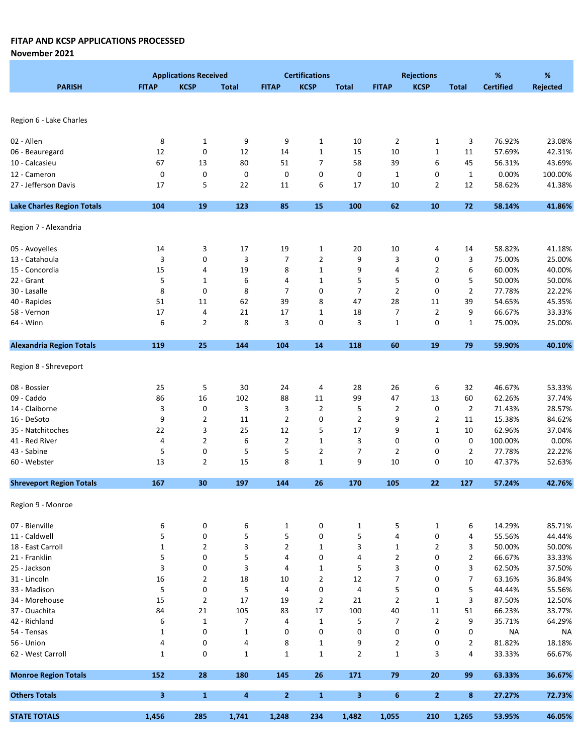November 2021

|                                   | <b>Applications Received</b> |                |              |                | <b>Certifications</b> | <b>Rejections</b> |                |                | %              | %                |                 |
|-----------------------------------|------------------------------|----------------|--------------|----------------|-----------------------|-------------------|----------------|----------------|----------------|------------------|-----------------|
| <b>PARISH</b>                     | <b>FITAP</b>                 | <b>KCSP</b>    | <b>Total</b> | <b>FITAP</b>   | <b>KCSP</b>           | <b>Total</b>      | <b>FITAP</b>   | <b>KCSP</b>    | <b>Total</b>   | <b>Certified</b> | <b>Rejected</b> |
|                                   |                              |                |              |                |                       |                   |                |                |                |                  |                 |
| Region 6 - Lake Charles           |                              |                |              |                |                       |                   |                |                |                |                  |                 |
| 02 - Allen                        | 8                            | 1              | 9            | 9              | $\mathbf{1}$          | 10                | $\overline{2}$ | 1              | 3              | 76.92%           | 23.08%          |
| 06 - Beauregard                   | 12                           | 0              | 12           | 14             | $\mathbf 1$           | 15                | 10             | $\mathbf 1$    | 11             | 57.69%           | 42.31%          |
| 10 - Calcasieu                    | 67                           | 13             | 80           | 51             | $\overline{7}$        | 58                | 39             | 6              | 45             | 56.31%           | 43.69%          |
| 12 - Cameron                      | 0                            | 0              | 0            | 0              | 0                     | 0                 | $\mathbf{1}$   | 0              | $\mathbf{1}$   | 0.00%            | 100.00%         |
| 27 - Jefferson Davis              | 17                           | 5              | 22           | 11             | 6                     | 17                | 10             | $\overline{2}$ | 12             | 58.62%           | 41.38%          |
| <b>Lake Charles Region Totals</b> | 104                          | 19             | 123          | 85             | 15                    | 100               | 62             | ${\bf 10}$     | 72             | 58.14%           | 41.86%          |
| Region 7 - Alexandria             |                              |                |              |                |                       |                   |                |                |                |                  |                 |
|                                   | 14                           | 3              | 17           |                |                       |                   |                |                |                | 58.82%           | 41.18%          |
| 05 - Avoyelles                    |                              | 0              |              | 19             | 1                     | 20                | 10             | 4              | 14             |                  |                 |
| 13 - Catahoula                    | 3                            |                | 3            | $\overline{7}$ | $\overline{2}$        | 9                 | 3              | 0              | 3              | 75.00%           | 25.00%          |
| 15 - Concordia                    | 15                           | 4              | 19           | 8              | $\mathbf 1$           | 9                 | 4              | 2              | 6              | 60.00%           | 40.00%          |
| 22 - Grant                        | 5                            | $\mathbf{1}$   | 6            | 4              | $\mathbf{1}$          | 5                 | 5              | 0              | 5              | 50.00%           | 50.00%          |
| 30 - Lasalle                      | 8                            | 0              | 8            | 7              | 0                     | 7                 | 2              | 0              | $\overline{2}$ | 77.78%           | 22.22%          |
| 40 - Rapides                      | 51                           | 11             | 62           | 39             | 8                     | 47                | 28             | 11             | 39             | 54.65%           | 45.35%          |
| 58 - Vernon                       | 17                           | 4              | 21           | 17             | $1\,$                 | 18                | 7              | $\overline{2}$ | 9              | 66.67%           | 33.33%          |
| 64 - Winn                         | 6                            | 2              | 8            | 3              | 0                     | 3                 | $\mathbf{1}$   | 0              | $\mathbf{1}$   | 75.00%           | 25.00%          |
| <b>Alexandria Region Totals</b>   | 119                          | 25             | 144          | 104            | 14                    | 118               | 60             | 19             | 79             | 59.90%           | 40.10%          |
| Region 8 - Shreveport             |                              |                |              |                |                       |                   |                |                |                |                  |                 |
| 08 - Bossier                      | 25                           | 5              | 30           | 24             | 4                     | 28                | 26             | 6              | 32             | 46.67%           | 53.33%          |
| 09 - Caddo                        | 86                           | 16             | 102          | 88             | 11                    | 99                | 47             | 13             | 60             | 62.26%           | 37.74%          |
| 14 - Claiborne                    | 3                            | 0              | 3            | 3              | $\overline{2}$        | 5                 | 2              | 0              | 2              | 71.43%           | 28.57%          |
| 16 - DeSoto                       | 9                            | $\overline{2}$ | 11           | $\overline{2}$ | 0                     | $\mathbf{2}$      | 9              | $\overline{2}$ | 11             | 15.38%           | 84.62%          |
| 35 - Natchitoches                 | 22                           | 3              | 25           | 12             | 5                     | 17                | 9              | $\mathbf{1}$   | 10             | 62.96%           | 37.04%          |
| 41 - Red River                    | 4                            | $\overline{2}$ | 6            | $\overline{2}$ | $\mathbf{1}$          | 3                 | 0              | 0              | 0              | 100.00%          | 0.00%           |
| 43 - Sabine                       | 5                            | 0              | 5            | 5              | $\overline{2}$        | 7                 | 2              | 0              | $\overline{2}$ | 77.78%           | 22.22%          |
| 60 - Webster                      | 13                           | $\overline{2}$ | 15           | 8              | $\mathbf 1$           | 9                 | 10             | 0              | 10             | 47.37%           | 52.63%          |
| <b>Shreveport Region Totals</b>   | 167                          | 30             | 197          | 144            | 26                    | 170               | 105            | 22             | 127            | 57.24%           | 42.76%          |
| Region 9 - Monroe                 |                              |                |              |                |                       |                   |                |                |                |                  |                 |
| 07 - Bienville                    | 6                            | 0              | 6            | $\mathbf{1}$   | 0                     | $\mathbf{1}$      | 5              | $\mathbf{1}$   | 6              | 14.29%           | 85.71%          |
| 11 - Caldwell                     | 5                            | $\pmb{0}$      | 5            | 5              | 0                     | 5                 | 4              | 0              | 4              | 55.56%           | 44.44%          |
| 18 - East Carroll                 | $\mathbf{1}$                 | 2              | 3            | $\overline{2}$ | $\mathbf{1}$          | 3                 | $\mathbf{1}$   | $\overline{2}$ | 3              | 50.00%           | 50.00%          |
| 21 - Franklin                     | 5                            | 0              | 5            | 4              | 0                     | 4                 | $\overline{2}$ | 0              | $\overline{2}$ | 66.67%           | 33.33%          |
| 25 - Jackson                      | 3                            | 0              | 3            | 4              | $\mathbf 1$           | 5                 | 3              | 0              | 3              | 62.50%           | 37.50%          |
| 31 - Lincoln                      | $16\,$                       | $\overline{2}$ | 18           | 10             | $\overline{2}$        | 12                | 7              | 0              | 7              | 63.16%           | 36.84%          |
| 33 - Madison                      | 5                            | 0              | 5            | 4              | 0                     | 4                 | 5              | 0              | 5              | 44.44%           | 55.56%          |
| 34 - Morehouse                    | 15                           | $\overline{2}$ | 17           | 19             | 2                     | 21                | 2              | $\mathbf{1}$   | 3              | 87.50%           | 12.50%          |
| 37 - Ouachita                     | 84                           | 21             | 105          | 83             | 17                    | 100               | 40             | 11             | 51             | 66.23%           | 33.77%          |
| 42 - Richland                     | 6                            | $\mathbf{1}$   | 7            | 4              | $\mathbf{1}$          | 5                 | 7              | $\overline{2}$ | 9              | 35.71%           | 64.29%          |
| 54 - Tensas                       | $\mathbf{1}$                 | $\pmb{0}$      | $\mathbf 1$  | 0              | 0                     | 0                 | 0              | 0              | 0              | <b>NA</b>        | <b>NA</b>       |
| 56 - Union                        | 4                            | 0              | 4            | 8              | $\mathbf{1}$          | 9                 | $\overline{2}$ | 0              | $\overline{2}$ | 81.82%           | 18.18%          |
| 62 - West Carroll                 | $\mathbf{1}$                 | 0              | $\mathbf{1}$ | $\mathbf{1}$   | $1\,$                 | $\mathbf{2}$      | $\mathbf{1}$   | 3              | 4              | 33.33%           | 66.67%          |
| <b>Monroe Region Totals</b>       | 152                          | 28             | 180          | 145            | 26                    | 171               | 79             | ${\bf 20}$     | 99             | 63.33%           | 36.67%          |
| <b>Others Totals</b>              | 3                            | $\mathbf{1}$   | 4            | $\overline{2}$ | $\mathbf{1}$          | 3                 | 6              | $\mathbf{2}$   | 8              | 27.27%           | 72.73%          |
| <b>STATE TOTALS</b>               | 1,456                        | 285            | 1,741        | 1,248          | 234                   | 1,482             | 1,055          | 210            | 1,265          | 53.95%           | 46.05%          |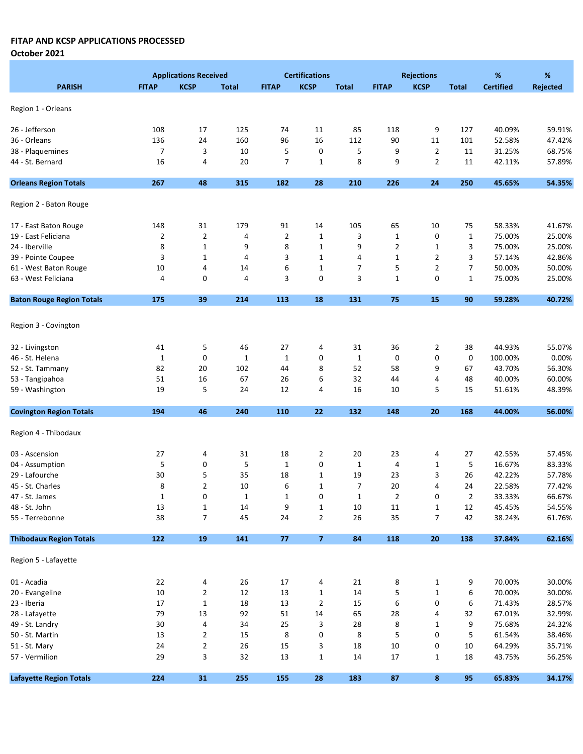|                                    |                | <b>Applications Received</b> |                    |                | <b>Certifications</b> |                         |                | <b>Rejections</b> |              | %                | %                |
|------------------------------------|----------------|------------------------------|--------------------|----------------|-----------------------|-------------------------|----------------|-------------------|--------------|------------------|------------------|
| <b>PARISH</b>                      | <b>FITAP</b>   | <b>KCSP</b>                  | Total              | <b>FITAP</b>   | <b>KCSP</b>           | <b>Total</b>            | <b>FITAP</b>   | <b>KCSP</b>       | <b>Total</b> | <b>Certified</b> | Rejected         |
|                                    |                |                              |                    |                |                       |                         |                |                   |              |                  |                  |
| Region 1 - Orleans                 |                |                              |                    |                |                       |                         |                |                   |              |                  |                  |
| 26 - Jefferson                     | 108            | 17                           | 125                | 74             | 11                    | 85                      | 118            | 9                 | 127          | 40.09%           | 59.91%           |
| 36 - Orleans                       | 136            | 24                           | 160                | 96             | 16                    | 112                     | 90             | 11                | 101          | 52.58%           | 47.42%           |
| 38 - Plaquemines                   | $\overline{7}$ | 3                            | 10                 | 5              | 0                     | 5                       | 9              | $\overline{2}$    | 11           | 31.25%           | 68.75%           |
| 44 - St. Bernard                   | 16             | 4                            | 20                 | 7              | $\mathbf{1}$          | 8                       | 9              | $\overline{2}$    | 11           | 42.11%           | 57.89%           |
| <b>Orleans Region Totals</b>       | 267            | 48                           | 315                | 182            | 28                    | 210                     | 226            | 24                | 250          | 45.65%           | 54.35%           |
|                                    |                |                              |                    |                |                       |                         |                |                   |              |                  |                  |
| Region 2 - Baton Rouge             |                |                              |                    |                |                       |                         |                |                   |              |                  |                  |
| 17 - East Baton Rouge              | 148            | 31                           | 179                | 91             | 14                    | 105                     | 65             | 10                | 75           | 58.33%           | 41.67%           |
| 19 - East Feliciana                | 2              | $\overline{2}$               | 4                  | $\overline{2}$ | $\mathbf 1$           | 3                       | $1\,$          | 0                 | $\mathbf 1$  | 75.00%           | 25.00%           |
| 24 - Iberville                     | 8              | $\mathbf{1}$                 | 9                  | 8              | $\mathbf 1$           | 9                       | $\overline{2}$ | $\mathbf 1$       | 3            | 75.00%           | 25.00%           |
| 39 - Pointe Coupee                 | 3              | $\mathbf 1$                  | 4                  | 3              | $\mathbf 1$           | 4                       | $1\,$          | 2                 | 3            | 57.14%           | 42.86%           |
| 61 - West Baton Rouge              | 10             | 4                            | 14                 | 6              | $\mathbf{1}$          | 7                       | 5              | 2                 | 7            | 50.00%           | 50.00%           |
| 63 - West Feliciana                | 4              | 0                            | 4                  | 3              | $\mathbf 0$           | 3                       | $\mathbf{1}$   | 0                 | 1            | 75.00%           | 25.00%           |
| <b>Baton Rouge Region Totals</b>   | 175            | 39                           | 214                | 113            | 18                    | 131                     | 75             | 15                | 90           | 59.28%           | 40.72%           |
|                                    |                |                              |                    |                |                       |                         |                |                   |              |                  |                  |
| Region 3 - Covington               |                |                              |                    |                |                       |                         |                |                   |              |                  |                  |
| 32 - Livingston                    | 41             | 5                            | 46                 | 27             | 4                     | 31                      | 36             | 2                 | 38           | 44.93%           | 55.07%           |
| 46 - St. Helena                    | $\mathbf{1}$   | 0                            | $\mathbf{1}$       | 1              | 0                     | $\mathbf{1}$            | 0              | 0                 | 0            | 100.00%          | 0.00%            |
| 52 - St. Tammany                   | 82             | 20                           | 102                | 44             | 8                     | 52                      | 58             | 9                 | 67           | 43.70%           | 56.30%           |
| 53 - Tangipahoa                    | 51             | 16                           | 67                 | 26             | 6                     | 32                      | 44             | 4                 | 48           | 40.00%           | 60.00%           |
| 59 - Washington                    | 19             | 5                            | 24                 | 12             | 4                     | 16                      | 10             | 5                 | 15           | 51.61%           | 48.39%           |
| <b>Covington Region Totals</b>     | 194            | 46                           | 240                | 110            | 22                    | 132                     | 148            | 20                | 168          | 44.00%           | 56.00%           |
| Region 4 - Thibodaux               |                |                              |                    |                |                       |                         |                |                   |              |                  |                  |
|                                    |                |                              |                    |                |                       |                         |                |                   |              |                  |                  |
| 03 - Ascension                     | 27             | 4                            | 31                 | 18             | 2                     | 20                      | 23             | 4                 | 27           | 42.55%           | 57.45%           |
| 04 - Assumption                    | 5              | 0                            | 5                  | $\mathbf 1$    | 0                     | $\mathbf{1}$            | 4              | 1                 | 5            | 16.67%           | 83.33%           |
| 29 - Lafourche                     | 30             | 5                            | 35                 | 18             | $\mathbf 1$           | 19                      | 23             | 3                 | 26           | 42.22%           | 57.78%<br>77.42% |
| 45 - St. Charles<br>47 - St. James | 8              | $\overline{2}$               | 10<br>$\mathbf{1}$ | 6              | $\mathbf 1$           | $\overline{7}$<br>$1\,$ | 20             | 4<br>0            | 24           | 22.58%<br>33.33% | 66.67%           |
| 48 - St. John                      | $\mathbf 1$    | 0<br>$\mathbf{1}$            |                    | 1<br>9         | 0<br>1                |                         | $\overline{2}$ | 1                 | 2            |                  |                  |
| 55 - Terrebonne                    | 13<br>38       | $\overline{7}$               | 14<br>45           | 24             | $\overline{2}$        | 10<br>26                | 11<br>35       | $\overline{7}$    | 12<br>42     | 45.45%<br>38.24% | 54.55%<br>61.76% |
|                                    |                |                              |                    |                |                       |                         |                |                   |              |                  |                  |
| <b>Thibodaux Region Totals</b>     | 122            | ${\bf 19}$                   | 141                | 77             | $\overline{7}$        | 84                      | 118            | 20                | 138          | 37.84%           | 62.16%           |
| Region 5 - Lafayette               |                |                              |                    |                |                       |                         |                |                   |              |                  |                  |
| 01 - Acadia                        | 22             | 4                            | 26                 | 17             | 4                     | 21                      | 8              | 1                 | 9            | 70.00%           | 30.00%           |
| 20 - Evangeline                    | 10             | $\overline{2}$               | 12                 | 13             | 1                     | 14                      | 5              | 1                 | 6            | 70.00%           | 30.00%           |
| 23 - Iberia                        | 17             | $\mathbf 1$                  | 18                 | 13             | $\overline{2}$        | 15                      | 6              | 0                 | 6            | 71.43%           | 28.57%           |
| 28 - Lafayette                     | 79             | $13\,$                       | 92                 | 51             | 14                    | 65                      | 28             | 4                 | 32           | 67.01%           | 32.99%           |
| 49 - St. Landry                    | 30             | 4                            | 34                 | 25             | 3                     | 28                      | 8              | 1                 | 9            | 75.68%           | 24.32%           |
| 50 - St. Martin                    | 13             | $\overline{2}$               | 15                 | 8              | 0                     | 8                       | 5              | 0                 | 5            | 61.54%           | 38.46%           |
| 51 - St. Mary                      | 24             | $\mathbf 2$                  | 26                 | 15             | 3                     | 18                      | 10             | 0                 | 10           | 64.29%           | 35.71%           |
| 57 - Vermilion                     | 29             | 3                            | 32                 | 13             | 1                     | 14                      | 17             | 1                 | 18           | 43.75%           | 56.25%           |
| <b>Lafayette Region Totals</b>     | 224            | 31                           | 255                | 155            | ${\bf 28}$            | 183                     | ${\bf 87}$     | $\bf8$            | 95           | 65.83%           | 34.17%           |
|                                    |                |                              |                    |                |                       |                         |                |                   |              |                  |                  |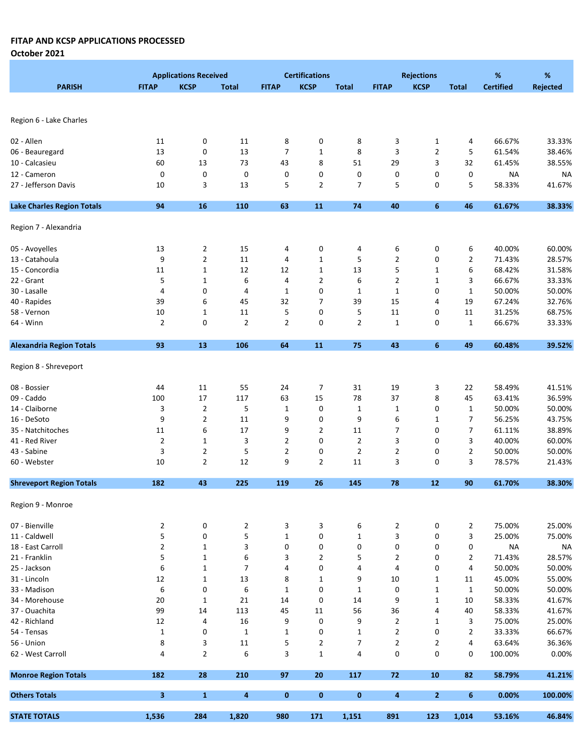|                                   |                | <b>Applications Received</b> |                  |                | <b>Certifications</b> |              |                         | <b>Rejections</b> |                | %                | %               |
|-----------------------------------|----------------|------------------------------|------------------|----------------|-----------------------|--------------|-------------------------|-------------------|----------------|------------------|-----------------|
| <b>PARISH</b>                     | <b>FITAP</b>   | <b>KCSP</b>                  | <b>Total</b>     | <b>FITAP</b>   | <b>KCSP</b>           | <b>Total</b> | <b>FITAP</b>            | <b>KCSP</b>       | <b>Total</b>   | <b>Certified</b> | <b>Rejected</b> |
|                                   |                |                              |                  |                |                       |              |                         |                   |                |                  |                 |
|                                   |                |                              |                  |                |                       |              |                         |                   |                |                  |                 |
| Region 6 - Lake Charles           |                |                              |                  |                |                       |              |                         |                   |                |                  |                 |
|                                   |                |                              |                  |                |                       |              |                         |                   |                |                  |                 |
| 02 - Allen                        | 11             | 0                            | 11               | 8              | 0                     | 8            | 3                       | $\mathbf{1}$      | 4              | 66.67%           | 33.33%          |
| 06 - Beauregard                   | 13             | 0                            | 13               | $\overline{7}$ | $\mathbf 1$           | 8            | 3                       | $\overline{2}$    | 5              | 61.54%           | 38.46%          |
| 10 - Calcasieu                    | 60             | 13                           | 73               | 43             | 8                     | 51           | 29                      | 3                 | 32             | 61.45%           | 38.55%          |
| 12 - Cameron                      | 0              | 0                            | 0                | 0              | 0                     | 0            | 0                       | 0                 | 0              | <b>NA</b>        | <b>NA</b>       |
| 27 - Jefferson Davis              | 10             | 3                            | 13               | 5              | $\overline{2}$        | 7            | 5                       | 0                 | 5              | 58.33%           | 41.67%          |
| <b>Lake Charles Region Totals</b> | 94             | 16                           | 110              | 63             | 11                    | 74           | 40                      | 6                 | 46             | 61.67%           | 38.33%          |
|                                   |                |                              |                  |                |                       |              |                         |                   |                |                  |                 |
| Region 7 - Alexandria             |                |                              |                  |                |                       |              |                         |                   |                |                  |                 |
|                                   |                |                              |                  |                |                       |              |                         |                   |                |                  |                 |
| 05 - Avoyelles                    | 13             | 2                            | 15               | 4              | 0                     | 4            | 6                       | 0                 | 6              | 40.00%           | 60.00%          |
| 13 - Catahoula                    | 9              | $\overline{2}$               | 11               | 4              | $1\,$                 | 5            | $\mathbf{2}$            | 0                 | 2              | 71.43%           | 28.57%          |
| 15 - Concordia                    | 11             | $\mathbf{1}$                 | 12               | 12             | $1\,$                 | 13           | 5                       | $\mathbf{1}$      | 6              | 68.42%           | 31.58%          |
| 22 - Grant                        | 5              | $\mathbf{1}$                 | 6                | 4              | $\overline{2}$        | 6            | $\overline{2}$          | $\mathbf{1}$      | 3              | 66.67%           | 33.33%          |
| 30 - Lasalle                      | 4              | 0                            | 4                | 1              | 0                     | 1            | 1                       | 0                 | 1              | 50.00%           | 50.00%          |
| 40 - Rapides                      | 39             | 6                            | 45               | 32             | 7                     | 39           | 15                      | 4                 | 19             | 67.24%           | 32.76%          |
| 58 - Vernon                       | 10             | $\mathbf{1}$                 | 11               | 5              | 0                     | 5            | 11                      | 0                 | 11             | 31.25%           | 68.75%          |
| 64 - Winn                         | 2              | 0                            | $\overline{2}$   | $\overline{2}$ | 0                     | $\mathbf{2}$ | $\mathbf{1}$            | 0                 | $\mathbf{1}$   | 66.67%           | 33.33%          |
|                                   |                |                              |                  |                |                       |              |                         |                   |                |                  |                 |
| <b>Alexandria Region Totals</b>   | 93             | 13                           | 106              | 64             | 11                    | 75           | 43                      | 6                 | 49             | 60.48%           | 39.52%          |
| Region 8 - Shreveport             |                |                              |                  |                |                       |              |                         |                   |                |                  |                 |
| 08 - Bossier                      | 44             | 11                           | 55               | 24             | 7                     | 31           | 19                      | 3                 | 22             | 58.49%           | 41.51%          |
| 09 - Caddo                        | 100            | 17                           | 117              | 63             | 15                    | 78           | 37                      | 8                 | 45             | 63.41%           | 36.59%          |
| 14 - Claiborne                    | 3              | $\overline{2}$               | 5                | $\mathbf 1$    | 0                     | $\mathbf{1}$ | $\mathbf{1}$            | 0                 | $\mathbf{1}$   | 50.00%           | 50.00%          |
| 16 - DeSoto                       | 9              | $\overline{2}$               | 11               | 9              | 0                     | 9            | 6                       | 1                 | 7              | 56.25%           | 43.75%          |
| 35 - Natchitoches                 | 11             | 6                            | 17               | 9              | $\overline{2}$        | 11           | 7                       | 0                 | 7              | 61.11%           | 38.89%          |
| 41 - Red River                    | $\overline{2}$ | $\mathbf{1}$                 | 3                | $\overline{2}$ | $\mathbf 0$           | $\mathbf{2}$ | 3                       | 0                 | 3              | 40.00%           | 60.00%          |
| 43 - Sabine                       | 3              | $\overline{2}$               | 5                | $\overline{2}$ | 0                     | 2            | $\overline{2}$          | 0                 | 2              | 50.00%           | 50.00%          |
| 60 - Webster                      | 10             | $\overline{2}$               | 12               | 9              | $\overline{2}$        | 11           | 3                       | 0                 | 3              | 78.57%           | 21.43%          |
|                                   |                |                              |                  |                |                       |              |                         |                   |                |                  |                 |
| <b>Shreveport Region Totals</b>   | 182            | 43                           | 225              | 119            | 26                    | 145          | 78                      | 12                | 90             | 61.70%           | 38.30%          |
| Region 9 - Monroe                 |                |                              |                  |                |                       |              |                         |                   |                |                  |                 |
| 07 - Bienville                    | $\overline{2}$ | 0                            | 2                | 3              | 3                     | 6            | $\overline{2}$          | 0                 | 2              | 75.00%           | 25.00%          |
| 11 - Caldwell                     | 5              | 0                            | 5                | $\mathbf{1}$   | 0                     | $\mathbf{1}$ | 3                       | 0                 | 3              | 25.00%           | 75.00%          |
| 18 - East Carroll                 | $\overline{2}$ | $\mathbf{1}$                 | 3                | 0              | 0                     | 0            | 0                       | 0                 | 0              | <b>NA</b>        | <b>NA</b>       |
| 21 - Franklin                     | 5              | $\mathbf 1$                  | 6                | 3              | $\overline{2}$        | 5            | 2                       | 0                 | $\overline{2}$ | 71.43%           | 28.57%          |
| 25 - Jackson                      | 6              | $\mathbf{1}$                 | 7                | 4              | 0                     | 4            | 4                       | 0                 | 4              | 50.00%           | 50.00%          |
| 31 - Lincoln                      | 12             | $\mathbf{1}$                 | 13               | 8              | $\mathbf{1}$          | 9            | 10                      | $\mathbf 1$       | 11             | 45.00%           | 55.00%          |
| 33 - Madison                      | 6              | 0                            |                  | $\mathbf{1}$   | 0                     |              | 0                       |                   | $\mathbf{1}$   | 50.00%           | 50.00%          |
|                                   |                |                              | 6                |                |                       | $\mathbf{1}$ |                         | $\mathbf{1}$      |                |                  |                 |
| 34 - Morehouse<br>37 - Ouachita   | 20             | $\mathbf{1}$                 | 21               | 14             | 0                     | 14           | 9                       | $\mathbf{1}$      | 10             | 58.33%           | 41.67%          |
|                                   | 99             | 14                           | 113              | 45             | 11                    | 56           | 36                      | 4                 | 40             | 58.33%           | 41.67%          |
| 42 - Richland                     | 12             | 4                            | 16               | 9              | 0                     | 9            | $\overline{\mathbf{c}}$ | 1                 | 3              | 75.00%           | 25.00%          |
| 54 - Tensas                       | $\mathbf 1$    | $\pmb{0}$                    | $\mathbf{1}$     | $\mathbf 1$    | 0                     | $\mathbf{1}$ | $\overline{2}$          | 0                 | 2              | 33.33%           | 66.67%          |
| 56 - Union                        | 8              | 3                            | 11               | 5              | $\overline{2}$        | 7            | 2                       | $\overline{2}$    | 4              | 63.64%           | 36.36%          |
| 62 - West Carroll                 | 4              | 2                            | 6                | 3              | $\mathbf 1$           | 4            | 0                       | 0                 | 0              | 100.00%          | 0.00%           |
| <b>Monroe Region Totals</b>       | 182            | 28                           | 210              | 97             | 20                    | 117          | 72                      | 10                | 82             | 58.79%           | 41.21%          |
| <b>Others Totals</b>              | 3              | $\mathbf{1}$                 | $\boldsymbol{4}$ | $\mathbf 0$    | $\mathbf 0$           | $\pmb{0}$    | 4                       | $\overline{2}$    | 6              | 0.00%            | 100.00%         |
| <b>STATE TOTALS</b>               | 1,536          | 284                          | 1,820            | 980            | 171                   | 1,151        | 891                     | 123               | 1,014          | 53.16%           | 46.84%          |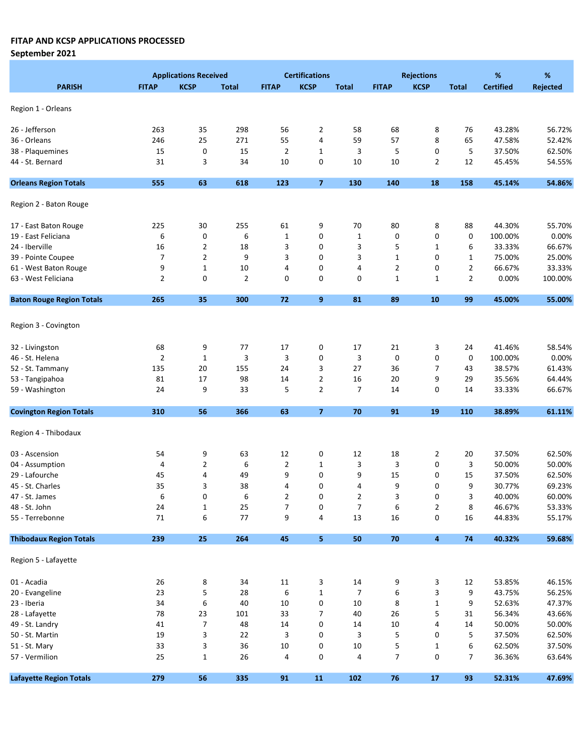## September 2021

|                                  | <b>Applications Received</b> |                  |                |                | <b>Certifications</b> |                | <b>Rejections</b> |             |                | %                | %               |  |
|----------------------------------|------------------------------|------------------|----------------|----------------|-----------------------|----------------|-------------------|-------------|----------------|------------------|-----------------|--|
| <b>PARISH</b>                    | <b>FITAP</b>                 | <b>KCSP</b>      | <b>Total</b>   | <b>FITAP</b>   | <b>KCSP</b>           | <b>Total</b>   | <b>FITAP</b>      | <b>KCSP</b> | <b>Total</b>   | <b>Certified</b> | <b>Rejected</b> |  |
|                                  |                              |                  |                |                |                       |                |                   |             |                |                  |                 |  |
| Region 1 - Orleans               |                              |                  |                |                |                       |                |                   |             |                |                  |                 |  |
| 26 - Jefferson                   | 263                          | 35               | 298            | 56             | $\overline{2}$        | 58             | 68                | 8           | 76             | 43.28%           | 56.72%          |  |
| 36 - Orleans                     | 246                          | 25               | 271            | 55             | 4                     | 59             | 57                | 8           | 65             | 47.58%           | 52.42%          |  |
| 38 - Plaquemines                 | 15                           | 0                | 15             | $\overline{2}$ | $\mathbf{1}$          | 3              | 5                 | 0           | 5              | 37.50%           | 62.50%          |  |
| 44 - St. Bernard                 | 31                           | 3                | 34             | 10             | 0                     | 10             | 10                | 2           | 12             | 45.45%           | 54.55%          |  |
| <b>Orleans Region Totals</b>     | 555                          | 63               | 618            | 123            | $\overline{7}$        | 130            | 140               | 18          | 158            | 45.14%           | 54.86%          |  |
|                                  |                              |                  |                |                |                       |                |                   |             |                |                  |                 |  |
| Region 2 - Baton Rouge           |                              |                  |                |                |                       |                |                   |             |                |                  |                 |  |
| 17 - East Baton Rouge            | 225                          | 30               | 255            | 61             | 9                     | 70             | 80                | 8           | 88             | 44.30%           | 55.70%          |  |
| 19 - East Feliciana              | 6                            | 0                | 6              | 1              | 0                     | $\mathbf{1}$   | 0                 | 0           | 0              | 100.00%          | 0.00%           |  |
| 24 - Iberville                   | 16                           | $\overline{2}$   | 18             | 3              | 0                     | 3              | 5                 | 1           | 6              | 33.33%           | 66.67%          |  |
| 39 - Pointe Coupee               | 7                            | $\overline{2}$   | 9              | 3              | 0                     | 3              | $\mathbf 1$       | 0           | 1              | 75.00%           | 25.00%          |  |
| 61 - West Baton Rouge            | 9                            | $\mathbf{1}$     | 10             | 4              | 0                     | 4              | 2                 | 0           | 2              | 66.67%           | 33.33%          |  |
| 63 - West Feliciana              | $\overline{2}$               | 0                | $\overline{2}$ | 0              | 0                     | 0              | $\mathbf{1}$      | 1           | $\overline{2}$ | 0.00%            | 100.00%         |  |
| <b>Baton Rouge Region Totals</b> | 265                          | 35               | 300            | 72             | 9                     | 81             | 89                | 10          | 99             | 45.00%           | 55.00%          |  |
|                                  |                              |                  |                |                |                       |                |                   |             |                |                  |                 |  |
| Region 3 - Covington             |                              |                  |                |                |                       |                |                   |             |                |                  |                 |  |
| 32 - Livingston                  | 68                           | 9                | 77             | 17             | 0                     | 17             | 21                | 3           | 24             | 41.46%           | 58.54%          |  |
| 46 - St. Helena                  | $\overline{2}$               | $\mathbf 1$      | 3              | 3              | 0                     | 3              | 0                 | 0           | 0              | 100.00%          | 0.00%           |  |
| 52 - St. Tammany                 | 135                          | 20               | 155            | 24             | 3                     | 27             | 36                | 7           | 43             | 38.57%           | 61.43%          |  |
| 53 - Tangipahoa                  | 81                           | 17               | 98             | 14             | $\overline{2}$        | 16             | 20                | 9           | 29             | 35.56%           | 64.44%          |  |
| 59 - Washington                  | 24                           | 9                | 33             | 5              | $\overline{2}$        | 7              | 14                | 0           | 14             | 33.33%           | 66.67%          |  |
| <b>Covington Region Totals</b>   | 310                          | 56               | 366            | 63             | $\overline{7}$        | 70             | 91                | 19          | 110            | 38.89%           | 61.11%          |  |
|                                  |                              |                  |                |                |                       |                |                   |             |                |                  |                 |  |
| Region 4 - Thibodaux             |                              |                  |                |                |                       |                |                   |             |                |                  |                 |  |
| 03 - Ascension                   | 54                           | 9                | 63             | 12             | 0                     | 12             | 18                | 2           | 20             | 37.50%           | 62.50%          |  |
| 04 - Assumption                  | 4                            | $\overline{2}$   | 6              | $\overline{2}$ | $\mathbf{1}$          | 3              | 3                 | 0           | 3              | 50.00%           | 50.00%          |  |
| 29 - Lafourche                   | 45                           | 4                | 49             | 9              | 0                     | 9              | 15                | 0           | 15             | 37.50%           | 62.50%          |  |
| 45 - St. Charles                 | 35                           | 3                | 38             | 4              | 0                     | 4              | 9                 | 0           | 9              | 30.77%           | 69.23%          |  |
| 47 - St. James                   | 6                            | 0                | 6              | 2              | 0                     | 2              | 3                 | 0           | 3              | 40.00%           | 60.00%          |  |
| 48 - St. John                    | 24                           | $\mathbf 1$      | 25             | $\overline{7}$ | 0                     | $\overline{7}$ | 6                 | 2           | 8              | 46.67%           | 53.33%          |  |
| 55 - Terrebonne                  | 71                           | 6                | 77             | 9              | 4                     | 13             | 16                | 0           | 16             | 44.83%           | 55.17%          |  |
| <b>Thibodaux Region Totals</b>   | 239                          | 25               | 264            | 45             | 5                     | ${\bf 50}$     | 70                | 4           | 74             | 40.32%           | 59.68%          |  |
| Region 5 - Lafayette             |                              |                  |                |                |                       |                |                   |             |                |                  |                 |  |
|                                  |                              |                  |                |                |                       |                |                   |             |                |                  |                 |  |
| 01 - Acadia                      | 26                           | 8                | 34             | 11             | 3                     | 14             | 9                 | 3           | 12             | 53.85%           | 46.15%          |  |
| 20 - Evangeline                  | 23                           | 5                | 28             | 6              | $\mathbf 1$           | 7              | 6                 | 3           | 9              | 43.75%           | 56.25%          |  |
| 23 - Iberia                      | 34                           | $\boldsymbol{6}$ | 40             | 10             | 0                     | $10\,$         | 8                 | $\mathbf 1$ | 9              | 52.63%           | 47.37%          |  |
| 28 - Lafayette                   | 78                           | 23               | 101            | 33             | $\overline{7}$        | 40             | 26                | 5           | 31             | 56.34%           | 43.66%          |  |
| 49 - St. Landry                  | 41                           | $\overline{7}$   | 48             | 14             | 0                     | 14             | 10                | 4           | 14             | 50.00%           | 50.00%          |  |
| 50 - St. Martin                  | 19                           | 3                | 22             | 3              | 0                     | 3              | 5                 | 0           | 5              | 37.50%           | 62.50%          |  |
| 51 - St. Mary                    | 33                           | 3                | 36             | 10             | 0                     | $10\,$         | 5                 | 1           | 6              | 62.50%           | 37.50%          |  |
| 57 - Vermilion                   | 25                           | $\mathbf 1$      | 26             | 4              | 0                     | 4              | $\overline{7}$    | 0           | 7              | 36.36%           | 63.64%          |  |
| <b>Lafayette Region Totals</b>   | 279                          | 56               | 335            | 91             | 11                    | 102            | 76                | 17          | 93             | 52.31%           | 47.69%          |  |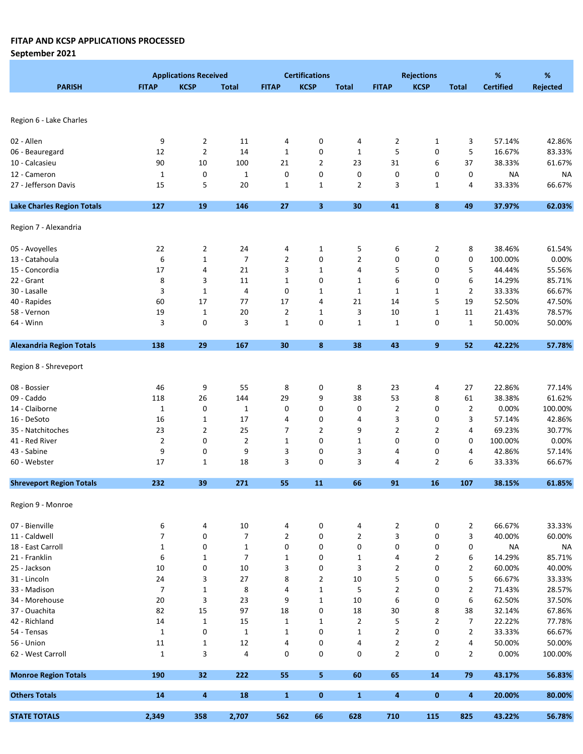September 2021

|                                   |                  | <b>Applications Received</b> |                |                | <b>Certifications</b>   |                |                | <b>Rejections</b> |                | %                | %         |
|-----------------------------------|------------------|------------------------------|----------------|----------------|-------------------------|----------------|----------------|-------------------|----------------|------------------|-----------|
| <b>PARISH</b>                     | <b>FITAP</b>     | <b>KCSP</b>                  | <b>Total</b>   | <b>FITAP</b>   | <b>KCSP</b>             | <b>Total</b>   | <b>FITAP</b>   | <b>KCSP</b>       | <b>Total</b>   | <b>Certified</b> | Rejected  |
|                                   |                  |                              |                |                |                         |                |                |                   |                |                  |           |
|                                   |                  |                              |                |                |                         |                |                |                   |                |                  |           |
| Region 6 - Lake Charles           |                  |                              |                |                |                         |                |                |                   |                |                  |           |
|                                   |                  |                              |                |                |                         |                |                |                   |                |                  |           |
| 02 - Allen                        | 9                | $\overline{2}$               | 11             | 4              | 0                       | 4              | 2              | $\mathbf{1}$      | 3              | 57.14%           | 42.86%    |
| 06 - Beauregard                   | 12               | $\mathbf{2}$                 | 14             | $\mathbf 1$    | 0                       | $\mathbf{1}$   | 5              | 0                 | 5              | 16.67%           | 83.33%    |
| 10 - Calcasieu                    | 90               | 10                           | 100            | 21             | $\overline{2}$          | 23             | 31             | 6                 | 37             | 38.33%           | 61.67%    |
| 12 - Cameron                      | $\mathbf 1$      | 0                            | $\mathbf 1$    | 0              | 0                       | 0              | 0              | 0                 | 0              | <b>NA</b>        | <b>NA</b> |
| 27 - Jefferson Davis              | 15               | 5                            | 20             | $\mathbf{1}$   | $\mathbf{1}$            | $\overline{2}$ | 3              | $\mathbf{1}$      | 4              | 33.33%           | 66.67%    |
| <b>Lake Charles Region Totals</b> | 127              | 19                           | 146            | 27             | $\overline{\mathbf{3}}$ | 30             | 41             | 8                 | 49             | 37.97%           | 62.03%    |
|                                   |                  |                              |                |                |                         |                |                |                   |                |                  |           |
| Region 7 - Alexandria             |                  |                              |                |                |                         |                |                |                   |                |                  |           |
|                                   |                  |                              |                |                |                         |                |                |                   |                |                  |           |
| 05 - Avoyelles                    | 22               | 2                            | 24             | 4              | 1                       | 5              | 6              | 2                 | 8              | 38.46%           | 61.54%    |
| 13 - Catahoula                    | 6                | $\mathbf 1$                  | $\overline{7}$ | $\overline{2}$ | 0                       | $\overline{2}$ | 0              | 0                 | 0              | 100.00%          | 0.00%     |
| 15 - Concordia                    | 17               | 4                            | 21             | 3              | $\mathbf{1}$            | 4              | 5              | 0                 | 5              | 44.44%           | 55.56%    |
| 22 - Grant                        | 8                | 3                            | 11             | 1              | 0                       | $\mathbf{1}$   | 6              | 0                 | 6              | 14.29%           | 85.71%    |
| 30 - Lasalle                      | 3                | $\mathbf{1}$                 | 4              | 0              | 1                       | 1              | 1              | 1                 | 2              | 33.33%           | 66.67%    |
| 40 - Rapides                      | 60               | 17                           | 77             | 17             | $\overline{4}$          | 21             | 14             | 5                 | 19             | 52.50%           | 47.50%    |
| 58 - Vernon                       | 19               | $\mathbf{1}$                 | 20             | $\overline{2}$ | $\mathbf{1}$            | 3              | 10             | $\mathbf{1}$      | 11             | 21.43%           | 78.57%    |
| 64 - Winn                         | 3                | 0                            | 3              | $\mathbf{1}$   | 0                       | $\mathbf{1}$   | $\mathbf{1}$   | 0                 | $\mathbf{1}$   | 50.00%           | 50.00%    |
|                                   |                  |                              |                |                |                         |                |                |                   |                |                  |           |
| <b>Alexandria Region Totals</b>   | 138              | 29                           | 167            | 30             | 8                       | 38             | 43             | 9                 | 52             | 42.22%           | 57.78%    |
| Region 8 - Shreveport             |                  |                              |                |                |                         |                |                |                   |                |                  |           |
| 08 - Bossier                      | 46               | 9                            | 55             | 8              | 0                       | 8              | 23             | 4                 | 27             | 22.86%           | 77.14%    |
| 09 - Caddo                        | 118              | 26                           | 144            | 29             | 9                       | 38             | 53             | 8                 | 61             | 38.38%           | 61.62%    |
| 14 - Claiborne                    | $\mathbf{1}$     | 0                            | $\mathbf 1$    | 0              | 0                       | 0              | $\mathbf{2}$   | 0                 | 2              | 0.00%            | 100.00%   |
| 16 - DeSoto                       | 16               | 1                            | 17             | 4              | 0                       | 4              | 3              | 0                 | 3              | 57.14%           | 42.86%    |
| 35 - Natchitoches                 | 23               | 2                            | 25             | 7              | $\overline{2}$          | 9              | 2              | $\overline{2}$    | 4              | 69.23%           | 30.77%    |
| 41 - Red River                    | $\overline{2}$   | 0                            | $\overline{2}$ | 1              | 0                       | $\mathbf{1}$   | 0              | 0                 | 0              | 100.00%          | 0.00%     |
| 43 - Sabine                       | 9                | 0                            | 9              | 3              | 0                       | 3              | 4              | 0                 | 4              | 42.86%           | 57.14%    |
| 60 - Webster                      | 17               | 1                            | 18             | 3              | 0                       | 3              | 4              | $\overline{2}$    | 6              | 33.33%           | 66.67%    |
|                                   |                  |                              |                |                |                         |                |                |                   |                |                  |           |
| <b>Shreveport Region Totals</b>   | 232              | 39                           | 271            | 55             | 11                      | 66             | 91             | 16                | 107            | 38.15%           | 61.85%    |
| Region 9 - Monroe                 |                  |                              |                |                |                         |                |                |                   |                |                  |           |
| 07 - Bienville                    | 6                | 4                            | 10             | 4              | 0                       | 4              | $\overline{2}$ | 0                 | $\overline{2}$ | 66.67%           | 33.33%    |
| 11 - Caldwell                     | 7                | 0                            | $\overline{7}$ | $\overline{2}$ | 0                       | $\overline{2}$ | 3              | 0                 | 3              | 40.00%           | 60.00%    |
| 18 - East Carroll                 | $\mathbf{1}$     | 0                            | $\mathbf 1$    | 0              | 0                       | 0              | 0              | 0                 | 0              | <b>NA</b>        | <b>NA</b> |
| 21 - Franklin                     | $\boldsymbol{6}$ | $\mathbf 1$                  | $\overline{7}$ | $\mathbf 1$    | 0                       | $\mathbf{1}$   | 4              | $\overline{2}$    | 6              | 14.29%           | 85.71%    |
| 25 - Jackson                      | 10               | 0                            | 10             | 3              | 0                       | 3              | $\overline{2}$ | 0                 | 2              | 60.00%           | 40.00%    |
| 31 - Lincoln                      | 24               | 3                            | 27             | 8              | 2                       | 10             | 5              | 0                 | 5              | 66.67%           | 33.33%    |
| 33 - Madison                      | $\overline{7}$   | $\mathbf{1}$                 |                | 4              | $\mathbf{1}$            | 5              | 2              | 0                 | $\overline{2}$ | 71.43%           | 28.57%    |
|                                   |                  |                              | 8              |                | $\mathbf 1$             |                |                |                   |                |                  |           |
| 34 - Morehouse                    | 20               | 3                            | 23             | 9              |                         | 10             | 6              | 0                 | 6              | 62.50%           | 37.50%    |
| 37 - Ouachita                     | 82               | 15                           | 97             | $18\,$         | 0                       | 18             | 30             | 8                 | 38             | 32.14%           | 67.86%    |
| 42 - Richland                     | 14               | $\mathbf{1}$                 | 15             | $\mathbf 1$    | $\mathbf{1}$            | $\overline{2}$ | 5              | $\overline{2}$    | 7              | 22.22%           | 77.78%    |
| 54 - Tensas                       | $\mathbf 1$      | $\pmb{0}$                    | $\mathbf{1}$   | $\mathbf 1$    | 0                       | $\mathbf{1}$   | $\overline{2}$ | 0                 | 2              | 33.33%           | 66.67%    |
| 56 - Union                        | 11               | $\mathbf{1}$                 | 12             | 4              | 0                       | 4              | $\overline{2}$ | $\overline{2}$    | 4              | 50.00%           | 50.00%    |
| 62 - West Carroll                 | $\mathbf{1}$     | 3                            | 4              | 0              | 0                       | 0              | $\overline{2}$ | 0                 | $\overline{2}$ | 0.00%            | 100.00%   |
| <b>Monroe Region Totals</b>       | 190              | 32                           | 222            | 55             | 5                       | 60             | 65             | 14                | 79             | 43.17%           | 56.83%    |
| <b>Others Totals</b>              | ${\bf 14}$       | $\overline{\mathbf{4}}$      | <b>18</b>      | $\mathbf{1}$   | $\mathbf 0$             | $\mathbf{1}$   | 4              | 0                 | 4              | 20.00%           | 80.00%    |
| <b>STATE TOTALS</b>               | 2,349            | 358                          | 2,707          | 562            | 66                      | 628            | 710            | 115               | 825            | 43.22%           | 56.78%    |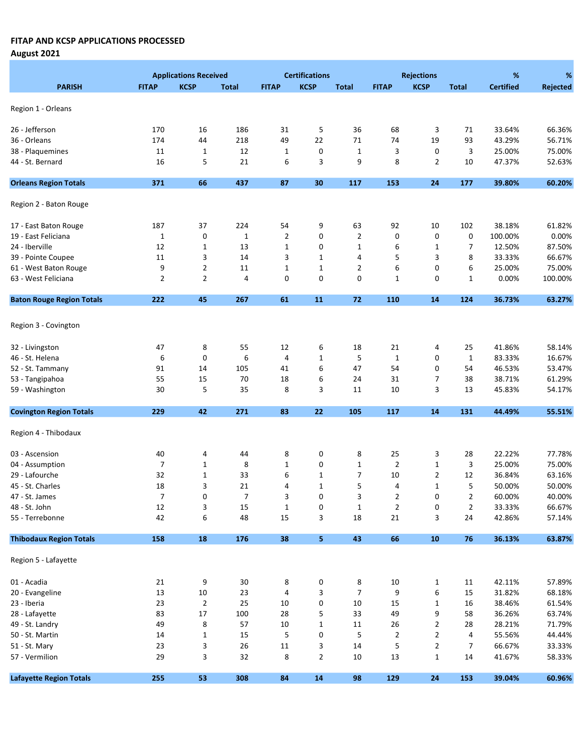August 2021

|                                  |                | <b>Applications Received</b> |              |                | <b>Certifications</b> |                |                | <b>Rejections</b> |                | %                | %        |
|----------------------------------|----------------|------------------------------|--------------|----------------|-----------------------|----------------|----------------|-------------------|----------------|------------------|----------|
| <b>PARISH</b>                    | <b>FITAP</b>   | <b>KCSP</b>                  | <b>Total</b> | <b>FITAP</b>   | <b>KCSP</b>           | <b>Total</b>   | <b>FITAP</b>   | <b>KCSP</b>       | <b>Total</b>   | <b>Certified</b> | Rejected |
| Region 1 - Orleans               |                |                              |              |                |                       |                |                |                   |                |                  |          |
|                                  |                |                              |              |                |                       |                |                |                   |                |                  |          |
| 26 - Jefferson                   | 170            | 16                           | 186          | 31             | 5                     | 36             | 68             | 3                 | 71             | 33.64%           | 66.36%   |
| 36 - Orleans                     | 174            | 44                           | 218          | 49             | 22                    | 71             | 74             | 19                | 93             | 43.29%           | 56.71%   |
| 38 - Plaquemines                 | 11             | $\mathbf{1}$                 | 12           | $\mathbf{1}$   | 0                     | $\mathbf 1$    | 3              | 0                 | 3              | 25.00%           | 75.00%   |
| 44 - St. Bernard                 | 16             | 5                            | 21           | 6              | 3                     | 9              | 8              | 2                 | 10             | 47.37%           | 52.63%   |
| <b>Orleans Region Totals</b>     | 371            | 66                           | 437          | 87             | 30                    | 117            | 153            | 24                | 177            | 39.80%           | 60.20%   |
| Region 2 - Baton Rouge           |                |                              |              |                |                       |                |                |                   |                |                  |          |
| 17 - East Baton Rouge            | 187            | 37                           | 224          | 54             | 9                     | 63             | 92             | 10                | 102            | 38.18%           | 61.82%   |
| 19 - East Feliciana              | 1              | $\pmb{0}$                    | $\mathbf 1$  | $\overline{2}$ | 0                     | 2              | 0              | 0                 | 0              | 100.00%          | 0.00%    |
| 24 - Iberville                   | 12             | $\mathbf{1}$                 | 13           | $\mathbf{1}$   | 0                     | $\mathbf{1}$   | 6              | 1                 | 7              | 12.50%           | 87.50%   |
| 39 - Pointe Coupee               | 11             | 3                            | 14           | 3              | $\mathbf{1}$          | 4              | 5              | 3                 | 8              | 33.33%           | 66.67%   |
| 61 - West Baton Rouge            | 9              | $\overline{2}$               | 11           | 1              | $\mathbf 1$           | 2              | 6              | 0                 | 6              | 25.00%           | 75.00%   |
| 63 - West Feliciana              | $\overline{2}$ | $\overline{2}$               | 4            | 0              | 0                     | 0              | 1              | 0                 | $\mathbf{1}$   | 0.00%            | 100.00%  |
| <b>Baton Rouge Region Totals</b> | 222            | 45                           | 267          | 61             | 11                    | 72             | 110            | 14                | 124            | 36.73%           | 63.27%   |
|                                  |                |                              |              |                |                       |                |                |                   |                |                  |          |
| Region 3 - Covington             |                |                              |              |                |                       |                |                |                   |                |                  |          |
| 32 - Livingston                  | 47             | 8                            | 55           | 12             | 6                     | 18             | 21             | 4                 | 25             | 41.86%           | 58.14%   |
| 46 - St. Helena                  | 6              | 0                            | 6            | 4              | $\mathbf{1}$          | 5              | $\mathbf{1}$   | 0                 | $\mathbf{1}$   | 83.33%           | 16.67%   |
| 52 - St. Tammany                 | 91             | 14                           | 105          | 41             | 6                     | 47             | 54             | 0                 | 54             | 46.53%           | 53.47%   |
| 53 - Tangipahoa                  | 55             | 15                           | 70           | 18             | 6                     | 24             | 31             | 7                 | 38             | 38.71%           | 61.29%   |
| 59 - Washington                  | 30             | 5                            | 35           | 8              | 3                     | 11             | 10             | 3                 | 13             | 45.83%           | 54.17%   |
| <b>Covington Region Totals</b>   | 229            | 42                           | 271          | 83             | 22                    | 105            | 117            | 14                | 131            | 44.49%           | 55.51%   |
|                                  |                |                              |              |                |                       |                |                |                   |                |                  |          |
| Region 4 - Thibodaux             |                |                              |              |                |                       |                |                |                   |                |                  |          |
| 03 - Ascension                   | 40             | 4                            | 44           | 8              | 0                     | 8              | 25             | 3                 | 28             | 22.22%           | 77.78%   |
| 04 - Assumption                  | 7              | $\mathbf{1}$                 | 8            | 1              | 0                     | $\mathbf{1}$   | $\overline{2}$ | $\mathbf 1$       | 3              | 25.00%           | 75.00%   |
| 29 - Lafourche                   | 32             | $\mathbf{1}$                 | 33           | 6              | 1                     | 7              | 10             | $\overline{2}$    | 12             | 36.84%           | 63.16%   |
| 45 - St. Charles                 | 18             | 3                            | 21           | 4              | $\mathbf{1}$          | 5              | 4              | $\mathbf 1$       | 5              | 50.00%           | 50.00%   |
| 47 - St. James                   | 7              | 0                            | 7            | 3              | 0                     | 3              | 2              | 0                 | 2              | 60.00%           | 40.00%   |
| 48 - St. John                    | $12\,$         | 3                            | 15           | $\mathbf{1}$   | 0                     | $\mathbf 1$    | $\overline{2}$ | 0                 | $\overline{2}$ | 33.33%           | 66.67%   |
| 55 - Terrebonne                  | 42             | 6                            | 48           | 15             | 3                     | 18             | 21             | 3                 | 24             | 42.86%           | 57.14%   |
| <b>Thibodaux Region Totals</b>   | 158            | 18                           | 176          | 38             | 5                     | 43             | 66             | ${\bf 10}$        | 76             | 36.13%           | 63.87%   |
| Region 5 - Lafayette             |                |                              |              |                |                       |                |                |                   |                |                  |          |
|                                  |                |                              |              |                |                       |                |                |                   |                |                  |          |
| 01 - Acadia                      | 21             | 9                            | 30           | 8              | 0                     | 8              | 10             | 1                 | 11             | 42.11%           | 57.89%   |
| 20 - Evangeline                  | 13             | $10\,$                       | 23           | 4              | 3                     | $\overline{7}$ | 9              | 6                 | 15             | 31.82%           | 68.18%   |
| 23 - Iberia                      | 23             | $\overline{2}$               | 25           | 10             | 0                     | 10             | 15             | $\mathbf 1$       | 16             | 38.46%           | 61.54%   |
| 28 - Lafayette                   | 83             | 17                           | 100          | 28             | 5                     | 33             | 49             | 9                 | 58             | 36.26%           | 63.74%   |
| 49 - St. Landry                  | 49             | 8                            | 57           | 10             | $\mathbf 1$           | 11             | 26             | 2                 | 28             | 28.21%           | 71.79%   |
| 50 - St. Martin                  | 14             | $\mathbf{1}$                 | 15           | 5              | 0                     | 5              | 2              | 2                 | 4              | 55.56%           | 44.44%   |
| 51 - St. Mary                    | 23             | 3                            | 26           | 11             | 3                     | 14             | 5              | $\overline{2}$    | 7              | 66.67%           | 33.33%   |
| 57 - Vermilion                   | 29             | 3                            | 32           | 8              | $\overline{2}$        | 10             | 13             | $\mathbf{1}$      | 14             | 41.67%           | 58.33%   |
| <b>Lafayette Region Totals</b>   | 255            | 53                           | 308          | 84             | 14                    | 98             | 129            | 24                | 153            | 39.04%           | 60.96%   |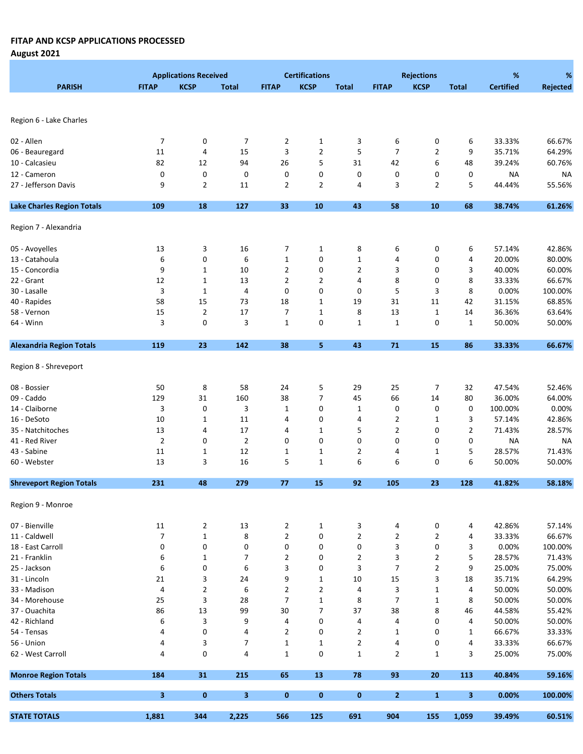August 2021

|                                   |                | <b>Applications Received</b> |                |                | <b>Certifications</b> |                |                | <b>Rejections</b> |                | %                | %         |
|-----------------------------------|----------------|------------------------------|----------------|----------------|-----------------------|----------------|----------------|-------------------|----------------|------------------|-----------|
| <b>PARISH</b>                     | <b>FITAP</b>   | <b>KCSP</b>                  | <b>Total</b>   | <b>FITAP</b>   | <b>KCSP</b>           | <b>Total</b>   | <b>FITAP</b>   | <b>KCSP</b>       | <b>Total</b>   | <b>Certified</b> | Rejected  |
|                                   |                |                              |                |                |                       |                |                |                   |                |                  |           |
|                                   |                |                              |                |                |                       |                |                |                   |                |                  |           |
| Region 6 - Lake Charles           |                |                              |                |                |                       |                |                |                   |                |                  |           |
|                                   |                |                              |                |                |                       |                |                |                   |                |                  |           |
| 02 - Allen                        | 7              | 0                            | 7              | $\overline{2}$ | 1                     | 3              | 6              | 0                 | 6              | 33.33%           | 66.67%    |
| 06 - Beauregard                   | 11             | 4                            | 15             | 3              | $\overline{2}$        | 5              | $\overline{7}$ | $\overline{2}$    | 9              | 35.71%           | 64.29%    |
| 10 - Calcasieu                    | 82             | 12                           | 94             | 26             | 5                     | 31             | 42             | 6                 | 48             | 39.24%           | 60.76%    |
| 12 - Cameron                      | 0              | $\pmb{0}$                    | 0              | 0              | 0                     | 0              | 0              | 0                 | 0              | <b>NA</b>        | <b>NA</b> |
| 27 - Jefferson Davis              | 9              | $\overline{2}$               | 11             | $\overline{2}$ | $\overline{2}$        | 4              | 3              | $\overline{2}$    | 5              | 44.44%           | 55.56%    |
| <b>Lake Charles Region Totals</b> | 109            | 18                           | 127            | 33             | 10                    | 43             | 58             | ${\bf 10}$        | 68             | 38.74%           | 61.26%    |
| Region 7 - Alexandria             |                |                              |                |                |                       |                |                |                   |                |                  |           |
|                                   |                |                              |                |                |                       |                |                |                   |                |                  |           |
| 05 - Avoyelles                    | 13             | 3                            | 16             | 7              | $\mathbf{1}$          | 8              | 6              | 0                 | 6              | 57.14%           | 42.86%    |
| 13 - Catahoula                    | 6              | 0                            | 6              | $\mathbf 1$    | 0                     | $\mathbf{1}$   | 4              | 0                 | 4              | 20.00%           | 80.00%    |
| 15 - Concordia                    | 9              | $\mathbf{1}$                 | 10             | $\overline{2}$ | 0                     | $\overline{2}$ | 3              | 0                 | 3              | 40.00%           | 60.00%    |
| 22 - Grant                        | 12             | 1                            | 13             | $\overline{2}$ | 2                     | 4              | 8              | 0                 | 8              | 33.33%           | 66.67%    |
| 30 - Lasalle                      | 3              | $\mathbf{1}$                 | 4              | 0              | 0                     | 0              | 5              | 3                 | 8              | 0.00%            | 100.00%   |
| 40 - Rapides                      | 58             | 15                           | 73             | 18             | 1                     | 19             | 31             | 11                | 42             | 31.15%           | 68.85%    |
| 58 - Vernon                       | 15             | $\overline{2}$               | 17             | 7              | $\mathbf 1$           | 8              | 13             | $\mathbf{1}$      | 14             | 36.36%           | 63.64%    |
| 64 - Winn                         | 3              | 0                            | 3              | $1\,$          | 0                     | $\mathbf{1}$   | $\mathbf{1}$   | 0                 | 1              | 50.00%           | 50.00%    |
|                                   |                |                              |                |                |                       |                |                |                   |                |                  |           |
| <b>Alexandria Region Totals</b>   | 119            | 23                           | 142            | 38             | 5                     | 43             | 71             | 15                | 86             | 33.33%           | 66.67%    |
| Region 8 - Shreveport             |                |                              |                |                |                       |                |                |                   |                |                  |           |
| 08 - Bossier                      | 50             | 8                            | 58             | 24             | 5                     | 29             | 25             | 7                 | 32             | 47.54%           | 52.46%    |
| 09 - Caddo                        | 129            | 31                           | 160            | 38             | $\overline{7}$        | 45             | 66             | 14                | 80             | 36.00%           | 64.00%    |
| 14 - Claiborne                    | 3              | 0                            | 3              | $\mathbf{1}$   | 0                     | 1              | 0              | 0                 | 0              | 100.00%          | 0.00%     |
| 16 - DeSoto                       | 10             | $\mathbf{1}$                 | 11             | 4              | 0                     | 4              | 2              | $\mathbf 1$       | 3              | 57.14%           | 42.86%    |
| 35 - Natchitoches                 | 13             |                              | 17             | 4              | $\mathbf 1$           | 5              | $\overline{2}$ | 0                 | $\overline{2}$ | 71.43%           | 28.57%    |
|                                   |                | 4                            |                |                |                       |                |                |                   |                |                  |           |
| 41 - Red River                    | $\overline{2}$ | 0                            | $\overline{2}$ | 0              | 0                     | 0              | 0              | 0                 | 0              | <b>NA</b>        | <b>NA</b> |
| 43 - Sabine                       | 11             | $\mathbf{1}$                 | 12             | 1              | $\mathbf{1}$          | $\overline{2}$ | 4              | 1                 | 5              | 28.57%           | 71.43%    |
| 60 - Webster                      | 13             | 3                            | 16             | 5              | $\mathbf{1}$          | 6              | 6              | 0                 | 6              | 50.00%           | 50.00%    |
| <b>Shreveport Region Totals</b>   | 231            | 48                           | 279            | 77             | 15                    | 92             | 105            | 23                | 128            | 41.82%           | 58.18%    |
| Region 9 - Monroe                 |                |                              |                |                |                       |                |                |                   |                |                  |           |
| 07 - Bienville                    | 11             | $\overline{2}$               | 13             | 2              | $\mathbf{1}$          | 3              | 4              | $\pmb{0}$         | 4              | 42.86%           | 57.14%    |
| 11 - Caldwell                     | $\overline{7}$ | $\mathbf{1}$                 | 8              | $\overline{2}$ | 0                     | $\overline{2}$ | 2              | 2                 | 4              | 33.33%           | 66.67%    |
| 18 - East Carroll                 | 0              | 0                            | 0              | 0              | 0                     | 0              | 3              | $\pmb{0}$         | 3              | 0.00%            | 100.00%   |
| 21 - Franklin                     | 6              | $\mathbf{1}$                 | 7              | $\overline{2}$ | 0                     | $\overline{2}$ | 3              | $\overline{2}$    | 5              | 28.57%           | 71.43%    |
| 25 - Jackson                      | 6              | 0                            | 6              | 3              | 0                     | 3              | 7              | $\overline{2}$    | 9              | 25.00%           | 75.00%    |
| 31 - Lincoln                      | 21             | 3                            | 24             | 9              | $\mathbf{1}$          | 10             | 15             | 3                 |                | 35.71%           | 64.29%    |
|                                   |                |                              |                |                |                       |                |                |                   | 18             |                  |           |
| 33 - Madison                      | 4              | $\overline{2}$               | 6              | $\overline{2}$ | $\overline{2}$        | 4              | 3              | $\mathbf{1}$      | 4              | 50.00%           | 50.00%    |
| 34 - Morehouse                    | 25             | 3                            | 28             | $\overline{7}$ | $\mathbf{1}$          | 8              | 7              | 1                 | 8              | 50.00%           | 50.00%    |
| 37 - Ouachita                     | 86             | 13                           | 99             | 30             | $\overline{7}$        | 37             | 38             | 8                 | 46             | 44.58%           | 55.42%    |
| 42 - Richland                     | 6              | 3                            | 9              | 4              | 0                     | 4              | 4              | 0                 | 4              | 50.00%           | 50.00%    |
| 54 - Tensas                       | 4              | 0                            | 4              | $\overline{2}$ | 0                     | $\overline{2}$ | $\mathbf{1}$   | 0                 | 1              | 66.67%           | 33.33%    |
| 56 - Union                        | 4              | 3                            | 7              | $\mathbf 1$    | $\mathbf{1}$          | $\overline{2}$ | 4              | 0                 | 4              | 33.33%           | 66.67%    |
| 62 - West Carroll                 | 4              | 0                            | 4              | $\mathbf{1}$   | 0                     | $\mathbf{1}$   | $\overline{2}$ | 1                 | 3              | 25.00%           | 75.00%    |
| <b>Monroe Region Totals</b>       | 184            | 31                           | 215            | 65             | 13                    | 78             | 93             | 20                | 113            | 40.84%           | 59.16%    |
| <b>Others Totals</b>              | 3              | $\mathbf 0$                  | 3              | $\bf{0}$       | $\pmb{0}$             | $\mathbf 0$    | $\mathbf{2}$   | $\mathbf{1}$      | 3              | 0.00%            | 100.00%   |
| <b>STATE TOTALS</b>               | 1,881          | 344                          | 2,225          | 566            | 125                   | 691            | 904            | 155               | 1,059          | 39.49%           | 60.51%    |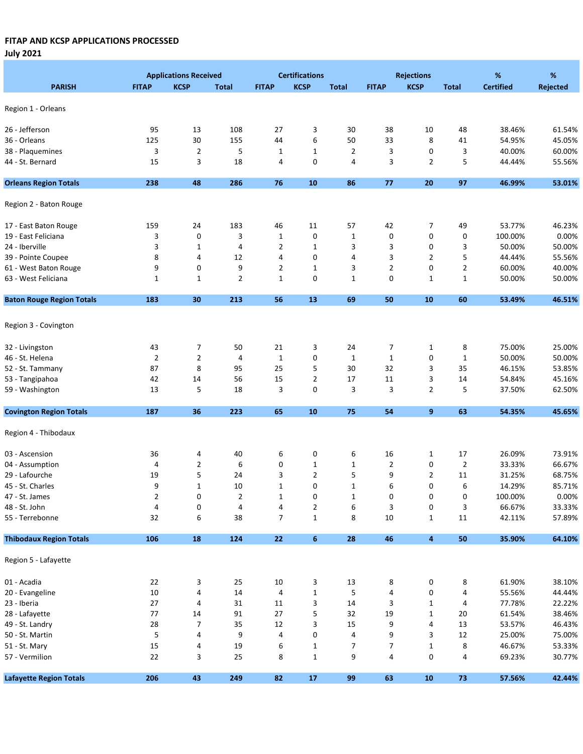July 2021

|                                  |                | <b>Applications Received</b> |                |                | <b>Certifications</b> |                | <b>Rejections</b> |                |                | $\%$             | $\%$            |  |
|----------------------------------|----------------|------------------------------|----------------|----------------|-----------------------|----------------|-------------------|----------------|----------------|------------------|-----------------|--|
| <b>PARISH</b>                    | <b>FITAP</b>   | <b>KCSP</b>                  | <b>Total</b>   | <b>FITAP</b>   | <b>KCSP</b>           | <b>Total</b>   | <b>FITAP</b>      | <b>KCSP</b>    | <b>Total</b>   | <b>Certified</b> | <b>Rejected</b> |  |
|                                  |                |                              |                |                |                       |                |                   |                |                |                  |                 |  |
| Region 1 - Orleans               |                |                              |                |                |                       |                |                   |                |                |                  |                 |  |
| 26 - Jefferson                   | 95             | 13                           | 108            | 27             | 3                     | 30             | 38                | 10             | 48             | 38.46%           | 61.54%          |  |
| 36 - Orleans                     | 125            | 30                           | 155            | 44             | 6                     | 50             | 33                | 8              | 41             | 54.95%           | 45.05%          |  |
| 38 - Plaquemines                 | 3              | $\overline{2}$               | 5              | $\mathbf{1}$   | $\mathbf{1}$          | $\overline{2}$ | 3                 | 0              | 3              | 40.00%           | 60.00%          |  |
| 44 - St. Bernard                 | 15             | 3                            | 18             | 4              | 0                     | 4              | 3                 | $\overline{2}$ | 5              | 44.44%           | 55.56%          |  |
| <b>Orleans Region Totals</b>     | 238            | 48                           | 286            | 76             | ${\bf 10}$            | 86             | 77                | 20             | 97             | 46.99%           | 53.01%          |  |
|                                  |                |                              |                |                |                       |                |                   |                |                |                  |                 |  |
| Region 2 - Baton Rouge           |                |                              |                |                |                       |                |                   |                |                |                  |                 |  |
| 17 - East Baton Rouge            | 159            | 24                           | 183            | 46             | 11                    | 57             | 42                | 7              | 49             | 53.77%           | 46.23%          |  |
| 19 - East Feliciana              | 3              | 0                            | 3              | $\mathbf{1}$   | 0                     | $\mathbf{1}$   | 0                 | 0              | 0              | 100.00%          | 0.00%           |  |
| 24 - Iberville                   | 3              | $\mathbf{1}$                 | 4              | 2              | $\mathbf{1}$          | 3              | 3                 | 0              | 3              | 50.00%           | 50.00%          |  |
| 39 - Pointe Coupee               | 8              | 4                            | 12             | 4              | 0                     | 4              | 3                 | $\overline{2}$ | 5              | 44.44%           | 55.56%          |  |
| 61 - West Baton Rouge            | 9              | 0                            | 9              | $\overline{2}$ | $\mathbf{1}$          | 3              | $\overline{2}$    | 0              | $\overline{2}$ | 60.00%           | 40.00%          |  |
| 63 - West Feliciana              | 1              | $\mathbf{1}$                 | $\overline{2}$ | $\mathbf{1}$   | 0                     | $\mathbf{1}$   | 0                 | $\mathbf{1}$   | $\mathbf{1}$   | 50.00%           | 50.00%          |  |
| <b>Baton Rouge Region Totals</b> | 183            | 30                           | 213            | 56             | 13                    | 69             | 50                | 10             | 60             | 53.49%           | 46.51%          |  |
|                                  |                |                              |                |                |                       |                |                   |                |                |                  |                 |  |
| Region 3 - Covington             |                |                              |                |                |                       |                |                   |                |                |                  |                 |  |
| 32 - Livingston                  | 43             | 7                            | 50             | 21             | 3                     | 24             | 7                 | $\mathbf{1}$   | 8              | 75.00%           | 25.00%          |  |
| 46 - St. Helena                  | $\overline{2}$ | $\overline{2}$               | 4              | $\mathbf 1$    | 0                     | $\mathbf{1}$   | $\mathbf{1}$      | $\pmb{0}$      | $\mathbf{1}$   | 50.00%           | 50.00%          |  |
| 52 - St. Tammany                 | 87             | 8                            | 95             | 25             | 5                     | 30             | 32                | 3              | 35             | 46.15%           | 53.85%          |  |
| 53 - Tangipahoa                  | 42             | 14                           | 56             | 15             | 2                     | 17             | 11                | 3              | 14             | 54.84%           | 45.16%          |  |
| 59 - Washington                  | 13             | 5                            | 18             | 3              | 0                     | 3              | 3                 | $\overline{2}$ | 5              | 37.50%           | 62.50%          |  |
| <b>Covington Region Totals</b>   | 187            | 36                           | 223            | 65             | 10                    | 75             | 54                | 9              | 63             | 54.35%           | 45.65%          |  |
|                                  |                |                              |                |                |                       |                |                   |                |                |                  |                 |  |
| Region 4 - Thibodaux             |                |                              |                |                |                       |                |                   |                |                |                  |                 |  |
| 03 - Ascension                   | 36             | 4                            | 40             | 6              | 0                     | 6              | 16                | $\mathbf{1}$   | 17             | 26.09%           | 73.91%          |  |
| 04 - Assumption                  | 4              | $\overline{2}$               | 6              | 0              | $\mathbf{1}$          | $\mathbf{1}$   | $\overline{2}$    | $\pmb{0}$      | $\overline{2}$ | 33.33%           | 66.67%          |  |
| 29 - Lafourche                   | 19             | 5                            | 24             | 3              | $\overline{2}$        | 5              | 9                 | $\overline{2}$ | 11             | 31.25%           | 68.75%          |  |
| 45 - St. Charles                 | 9              | $\mathbf{1}$                 | 10             | $\mathbf{1}$   | 0                     | $\mathbf{1}$   | 6                 | 0              | 6              | 14.29%           | 85.71%          |  |
| 47 - St. James                   | 2              | 0                            | 2              | 1              | 0                     | 1              | 0                 | 0              | 0              | 100.00%          | 0.00%           |  |
| 48 - St. John                    | 4              | 0                            | 4              | 4              | $\overline{2}$        | 6              | 3                 | 0              | 3              | 66.67%           | 33.33%          |  |
| 55 - Terrebonne                  | 32             | 6                            | 38             | $\overline{7}$ | $\mathbf{1}$          | 8              | $10\,$            | $\mathbf 1$    | 11             | 42.11%           | 57.89%          |  |
| <b>Thibodaux Region Totals</b>   | 106            | 18                           | 124            | $\bf 22$       | $\boldsymbol{6}$      | 28             | 46                | 4              | 50             | 35.90%           | 64.10%          |  |
| Region 5 - Lafayette             |                |                              |                |                |                       |                |                   |                |                |                  |                 |  |
|                                  |                |                              |                |                |                       |                |                   |                |                |                  |                 |  |
| 01 - Acadia                      | 22             | 3                            | 25             | 10             | 3                     | 13             | 8                 | 0              | 8              | 61.90%           | 38.10%          |  |
| 20 - Evangeline                  | 10             | 4                            | 14             | 4              | $\mathbf 1$           | 5              | 4                 | $\pmb{0}$      | 4              | 55.56%           | 44.44%          |  |
| 23 - Iberia                      | 27             | 4                            | 31             | 11             | 3                     | 14             | 3                 | $\mathbf 1$    | 4              | 77.78%           | 22.22%          |  |
| 28 - Lafayette                   | 77             | 14                           | 91             | 27             | 5                     | 32             | 19                | $\mathbf 1$    | 20             | 61.54%           | 38.46%          |  |
| 49 - St. Landry                  | 28             | $\overline{7}$               | 35             | 12             | 3                     | 15             | 9                 | 4              | 13             | 53.57%           | 46.43%          |  |
| 50 - St. Martin                  | 5              | 4                            | 9              | 4              | 0                     | 4              | 9                 | 3              | 12             | 25.00%           | 75.00%          |  |
| 51 - St. Mary                    | 15             | 4                            | 19             | 6              | 1                     | 7              | $\overline{7}$    | $\mathbf 1$    | 8              | 46.67%           | 53.33%          |  |
| 57 - Vermilion                   | 22             | 3                            | 25             | 8              | $\mathbf{1}$          | 9              | 4                 | $\pmb{0}$      | 4              | 69.23%           | 30.77%          |  |
| <b>Lafayette Region Totals</b>   | 206            | 43                           | 249            | 82             | 17                    | 99             | 63                | 10             | $73\,$         | 57.56%           | 42.44%          |  |